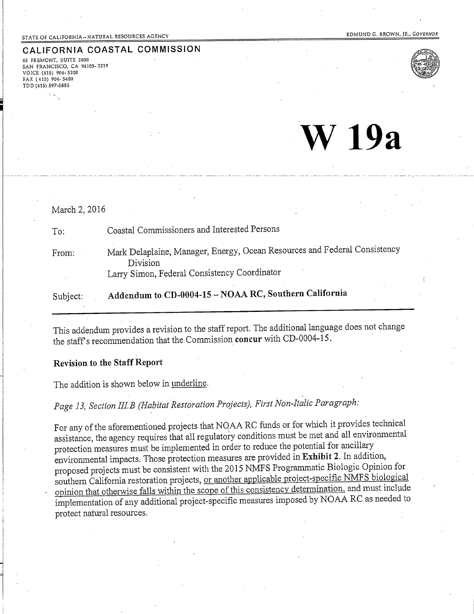#### STATE OF CALIFORNIA-NATURAL RESOURCES AGENCY

CALIFORNIA COASTAL COMMISSION 45 FREMONT, SUITE 2000 **5AN FRANCISCO, CA 94105-2219** VOICE (415) 904-5200 FAX (415) 904-5400 TDD (415) 597-5885

 $V$  19 $a$ 



March 2, 2016 Coastal Commissioners and Interested Persons  $To:$ Mark Delaplaine, Manager, Energy, Ocean Resources and Federal Consistency From: Division Larry Simon, Federal Consistency Coordinator Addendum to CD-0004-15 - NOAA RC, Southern California Subject:

This addendum provides a revision to the staff report. The additional language does not change the staff's recommendation that the Commission concur with CD-0004-15.

#### **Revision to the Staff Report**

The addition is shown below in underline.

Page 13, Section III.B (Habitat Restoration Projects), First Non-Italic Paragraph:

For any of the aforementioned projects that NQAA RC funds or for which it provides technical assistance, the agency requires that all regulatory conditions must be met and all environmental protection measures must be implemented in order to reduce the potential for ancillary environmental impacts. Those protection measures are provided in Exhibit 2. In addition, proposed projects must be consistent with the 2015 NMFS Programmatic Biologic Opinion for southern California restoration projects, or another applicable project-specific NMFS biological opinion that otherwise falls within the scope of this consistency determination, and must include implementation of any additional project-specific measures imposed by NOAA RC as needed to protect natural resources.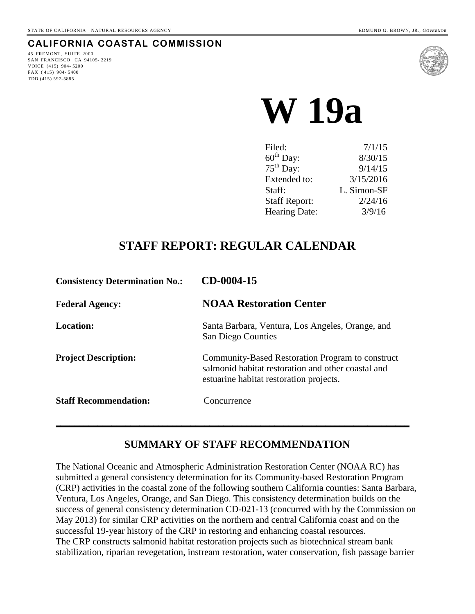### **CALIFORNIA COASTAL COMMISSION**

45 FREMONT, SUITE 2000 SAN FRANCISCO, CA 94105- 2219 VOICE (415) 904- 5200 FAX ( 415) 904- 5400 TDD (415) 597-5885



 **W 19a** 

| Filed:               | 7/1/15      |
|----------------------|-------------|
| $60th$ Day:          | 8/30/15     |
| $75th$ Day:          | 9/14/15     |
| Extended to:         | 3/15/2016   |
| Staff:               | L. Simon-SF |
| <b>Staff Report:</b> | 2/24/16     |
| Hearing Date:        | 3/9/16      |
|                      |             |

# **STAFF REPORT: REGULAR CALENDAR**

| CD-0004-15                                                                                                                                        |
|---------------------------------------------------------------------------------------------------------------------------------------------------|
| <b>NOAA Restoration Center</b>                                                                                                                    |
| Santa Barbara, Ventura, Los Angeles, Orange, and<br><b>San Diego Counties</b>                                                                     |
| Community-Based Restoration Program to construct<br>salmonid habitat restoration and other coastal and<br>estuarine habitat restoration projects. |
| Concurrence                                                                                                                                       |
|                                                                                                                                                   |

### **SUMMARY OF STAFF RECOMMENDATION**

The National Oceanic and Atmospheric Administration Restoration Center (NOAA RC) has submitted a general consistency determination for its Community-based Restoration Program (CRP) activities in the coastal zone of the following southern California counties: Santa Barbara, Ventura, Los Angeles, Orange, and San Diego. This consistency determination builds on the success of general consistency determination CD-021-13 (concurred with by the Commission on May 2013) for similar CRP activities on the northern and central California coast and on the successful 19-year history of the CRP in restoring and enhancing coastal resources. The CRP constructs salmonid habitat restoration projects such as biotechnical stream bank stabilization, riparian revegetation, instream restoration, water conservation, fish passage barrier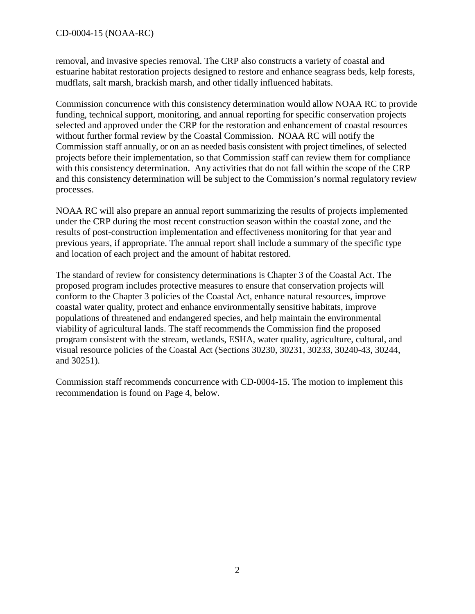removal, and invasive species removal. The CRP also constructs a variety of coastal and estuarine habitat restoration projects designed to restore and enhance seagrass beds, kelp forests, mudflats, salt marsh, brackish marsh, and other tidally influenced habitats.

Commission concurrence with this consistency determination would allow NOAA RC to provide funding, technical support, monitoring, and annual reporting for specific conservation projects selected and approved under the CRP for the restoration and enhancement of coastal resources without further formal review by the Coastal Commission. NOAA RC will notify the Commission staff annually, or on an as needed basis consistent with project timelines, of selected projects before their implementation, so that Commission staff can review them for compliance with this consistency determination. Any activities that do not fall within the scope of the CRP and this consistency determination will be subject to the Commission's normal regulatory review processes.

NOAA RC will also prepare an annual report summarizing the results of projects implemented under the CRP during the most recent construction season within the coastal zone, and the results of post-construction implementation and effectiveness monitoring for that year and previous years, if appropriate. The annual report shall include a summary of the specific type and location of each project and the amount of habitat restored.

The standard of review for consistency determinations is Chapter 3 of the Coastal Act. The proposed program includes protective measures to ensure that conservation projects will conform to the Chapter 3 policies of the Coastal Act, enhance natural resources, improve coastal water quality, protect and enhance environmentally sensitive habitats, improve populations of threatened and endangered species, and help maintain the environmental viability of agricultural lands. The staff recommends the Commission find the proposed program consistent with the stream, wetlands, ESHA, water quality, agriculture, cultural, and visual resource policies of the Coastal Act (Sections 30230, 30231, 30233, 30240-43, 30244, and 30251).

Commission staff recommends concurrence with CD-0004-15. The motion to implement this recommendation is found on Page 4, below.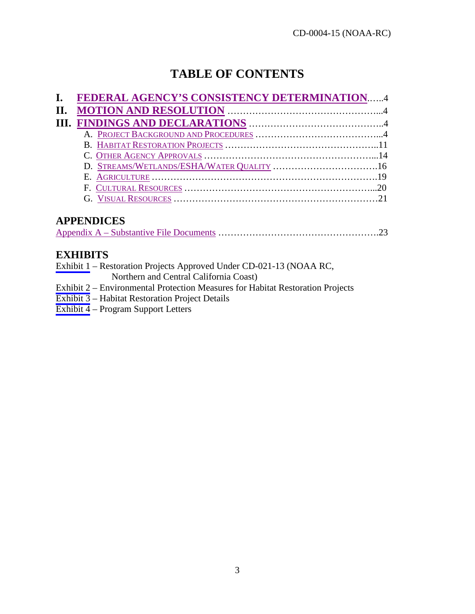# **TABLE OF CONTENTS**

| I. FEDERAL AGENCY'S CONSISTENCY DETERMINATION4 |  |
|------------------------------------------------|--|
|                                                |  |
|                                                |  |
|                                                |  |
|                                                |  |
|                                                |  |
|                                                |  |
|                                                |  |
|                                                |  |
|                                                |  |

# **APPENDICES**

|--|

## **EXHIBITS**

[Exhibit 1](#page-24-0) – Restoration Projects Approved Under CD-021-13 (NOAA RC,

Northern and Central California Coast)

[Exhibit 2](#page-25-0) – Environmental Protection Measures for Habitat Restoration Projects

[Exhibit 3](#page-38-0) – Habitat Restoration Project Details

[Exhibit 4](#page-54-0) – Program Support Letters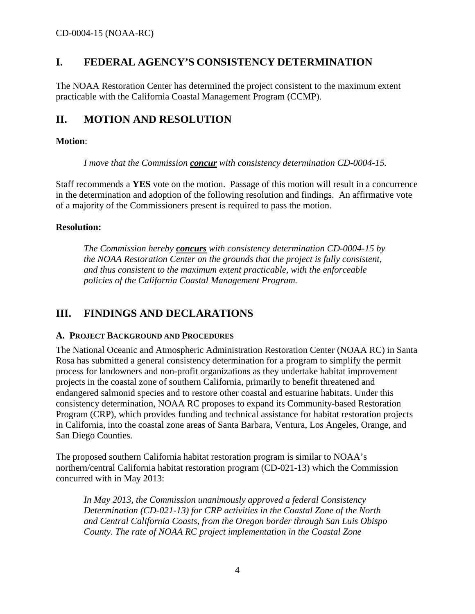### <span id="page-4-0"></span>**I. FEDERAL AGENCY'S CONSISTENCY DETERMINATION**

The NOAA Restoration Center has determined the project consistent to the maximum extent practicable with the California Coastal Management Program (CCMP).

## <span id="page-4-1"></span>**II. MOTION AND RESOLUTION**

#### **Motion**:

*I move that the Commission concur with consistency determination CD-0004-15.* 

Staff recommends a **YES** vote on the motion. Passage of this motion will result in a concurrence in the determination and adoption of the following resolution and findings. An affirmative vote of a majority of the Commissioners present is required to pass the motion.

#### **Resolution:**

*The Commission hereby concurs with consistency determination CD-0004-15 by the NOAA Restoration Center on the grounds that the project is fully consistent, and thus consistent to the maximum extent practicable, with the enforceable policies of the California Coastal Management Program.* 

### <span id="page-4-2"></span>**III. FINDINGS AND DECLARATIONS**

#### <span id="page-4-3"></span>**A. PROJECT BACKGROUND AND PROCEDURES**

The National Oceanic and Atmospheric Administration Restoration Center (NOAA RC) in Santa Rosa has submitted a general consistency determination for a program to simplify the permit process for landowners and non-profit organizations as they undertake habitat improvement projects in the coastal zone of southern California, primarily to benefit threatened and endangered salmonid species and to restore other coastal and estuarine habitats. Under this consistency determination, NOAA RC proposes to expand its Community-based Restoration Program (CRP), which provides funding and technical assistance for habitat restoration projects in California, into the coastal zone areas of Santa Barbara, Ventura, Los Angeles, Orange, and San Diego Counties.

The proposed southern California habitat restoration program is similar to NOAA's northern/central California habitat restoration program (CD-021-13) which the Commission concurred with in May 2013:

*In May 2013, the Commission unanimously approved a federal Consistency Determination (CD-021-13) for CRP activities in the Coastal Zone of the North and Central California Coasts, from the Oregon border through San Luis Obispo County. The rate of NOAA RC project implementation in the Coastal Zone*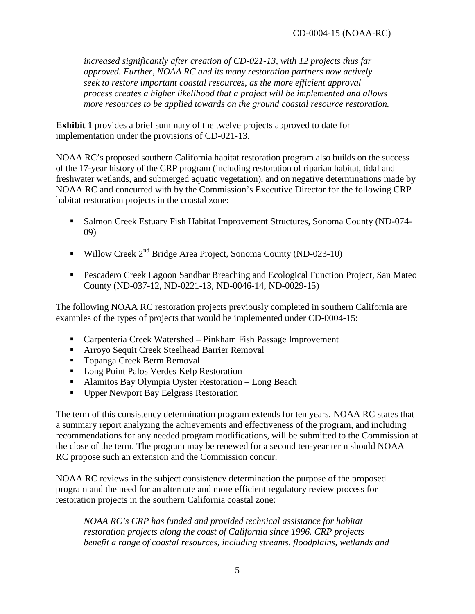*increased significantly after creation of CD-021-13, with 12 projects thus far approved. Further, NOAA RC and its many restoration partners now actively seek to restore important coastal resources, as the more efficient approval process creates a higher likelihood that a project will be implemented and allows more resources to be applied towards on the ground coastal resource restoration.* 

**Exhibit 1** provides a brief summary of the twelve projects approved to date for implementation under the provisions of CD-021-13.

NOAA RC's proposed southern California habitat restoration program also builds on the success of the 17-year history of the CRP program (including restoration of riparian habitat, tidal and freshwater wetlands, and submerged aquatic vegetation), and on negative determinations made by NOAA RC and concurred with by the Commission's Executive Director for the following CRP habitat restoration projects in the coastal zone:

- Salmon Creek Estuary Fish Habitat Improvement Structures, Sonoma County (ND-074- 09)
- Willow Creek  $2<sup>nd</sup>$  Bridge Area Project, Sonoma County (ND-023-10)
- **Pescadero Creek Lagoon Sandbar Breaching and Ecological Function Project, San Mateo** County (ND-037-12, ND-0221-13, ND-0046-14, ND-0029-15)

The following NOAA RC restoration projects previously completed in southern California are examples of the types of projects that would be implemented under CD-0004-15:

- Carpenteria Creek Watershed Pinkham Fish Passage Improvement
- Arroyo Sequit Creek Steelhead Barrier Removal
- Topanga Creek Berm Removal
- **Long Point Palos Verdes Kelp Restoration**
- Alamitos Bay Olympia Oyster Restoration Long Beach
- Upper Newport Bay Eelgrass Restoration

The term of this consistency determination program extends for ten years. NOAA RC states that a summary report analyzing the achievements and effectiveness of the program, and including recommendations for any needed program modifications, will be submitted to the Commission at the close of the term. The program may be renewed for a second ten-year term should NOAA RC propose such an extension and the Commission concur.

NOAA RC reviews in the subject consistency determination the purpose of the proposed program and the need for an alternate and more efficient regulatory review process for restoration projects in the southern California coastal zone:

*NOAA RC's CRP has funded and provided technical assistance for habitat restoration projects along the coast of California since 1996. CRP projects benefit a range of coastal resources, including streams, floodplains, wetlands and*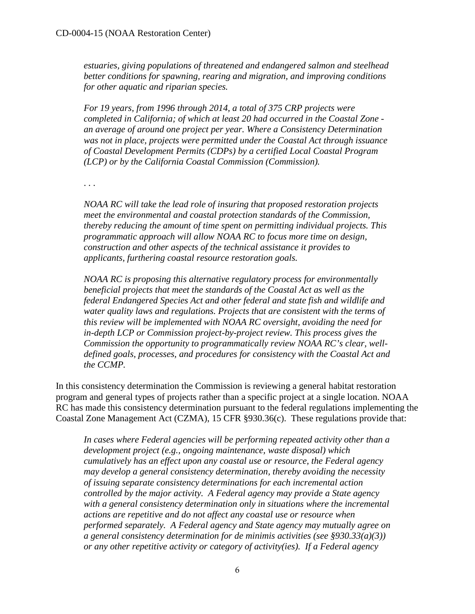*estuaries, giving populations of threatened and endangered salmon and steelhead better conditions for spawning, rearing and migration, and improving conditions for other aquatic and riparian species.* 

*For 19 years, from 1996 through 2014, a total of 375 CRP projects were completed in California; of which at least 20 had occurred in the Coastal Zone an average of around one project per year. Where a Consistency Determination was not in place, projects were permitted under the Coastal Act through issuance of Coastal Development Permits (CDPs) by a certified Local Coastal Program (LCP) or by the California Coastal Commission (Commission).* 

. . .

*NOAA RC will take the lead role of insuring that proposed restoration projects meet the environmental and coastal protection standards of the Commission, thereby reducing the amount of time spent on permitting individual projects. This programmatic approach will allow NOAA RC to focus more time on design, construction and other aspects of the technical assistance it provides to applicants, furthering coastal resource restoration goals.* 

*NOAA RC is proposing this alternative regulatory process for environmentally beneficial projects that meet the standards of the Coastal Act as well as the federal Endangered Species Act and other federal and state fish and wildlife and water quality laws and regulations. Projects that are consistent with the terms of this review will be implemented with NOAA RC oversight, avoiding the need for in-depth LCP or Commission project-by-project review. This process gives the Commission the opportunity to programmatically review NOAA RC's clear, welldefined goals, processes, and procedures for consistency with the Coastal Act and the CCMP.*

In this consistency determination the Commission is reviewing a general habitat restoration program and general types of projects rather than a specific project at a single location. NOAA RC has made this consistency determination pursuant to the federal regulations implementing the Coastal Zone Management Act (CZMA), 15 CFR §930.36(c). These regulations provide that:

*In cases where Federal agencies will be performing repeated activity other than a development project (e.g., ongoing maintenance, waste disposal) which cumulatively has an effect upon any coastal use or resource, the Federal agency may develop a general consistency determination, thereby avoiding the necessity of issuing separate consistency determinations for each incremental action controlled by the major activity. A Federal agency may provide a State agency with a general consistency determination only in situations where the incremental actions are repetitive and do not affect any coastal use or resource when performed separately. A Federal agency and State agency may mutually agree on a general consistency determination for de minimis activities (see §930.33(a)(3)) or any other repetitive activity or category of activity(ies). If a Federal agency*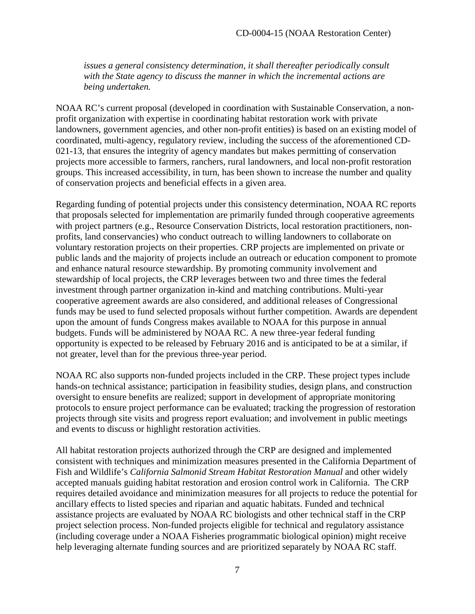*issues a general consistency determination, it shall thereafter periodically consult with the State agency to discuss the manner in which the incremental actions are being undertaken.* 

NOAA RC's current proposal (developed in coordination with Sustainable Conservation, a nonprofit organization with expertise in coordinating habitat restoration work with private landowners, government agencies, and other non-profit entities) is based on an existing model of coordinated, multi-agency, regulatory review, including the success of the aforementioned CD-021-13, that ensures the integrity of agency mandates but makes permitting of conservation projects more accessible to farmers, ranchers, rural landowners, and local non-profit restoration groups. This increased accessibility, in turn, has been shown to increase the number and quality of conservation projects and beneficial effects in a given area.

Regarding funding of potential projects under this consistency determination, NOAA RC reports that proposals selected for implementation are primarily funded through cooperative agreements with project partners (e.g., Resource Conservation Districts, local restoration practitioners, nonprofits, land conservancies) who conduct outreach to willing landowners to collaborate on voluntary restoration projects on their properties. CRP projects are implemented on private or public lands and the majority of projects include an outreach or education component to promote and enhance natural resource stewardship. By promoting community involvement and stewardship of local projects, the CRP leverages between two and three times the federal investment through partner organization in-kind and matching contributions. Multi-year cooperative agreement awards are also considered, and additional releases of Congressional funds may be used to fund selected proposals without further competition. Awards are dependent upon the amount of funds Congress makes available to NOAA for this purpose in annual budgets. Funds will be administered by NOAA RC. A new three-year federal funding opportunity is expected to be released by February 2016 and is anticipated to be at a similar, if not greater, level than for the previous three-year period.

NOAA RC also supports non-funded projects included in the CRP. These project types include hands-on technical assistance; participation in feasibility studies, design plans, and construction oversight to ensure benefits are realized; support in development of appropriate monitoring protocols to ensure project performance can be evaluated; tracking the progression of restoration projects through site visits and progress report evaluation; and involvement in public meetings and events to discuss or highlight restoration activities.

All habitat restoration projects authorized through the CRP are designed and implemented consistent with techniques and minimization measures presented in the California Department of Fish and Wildlife's *California Salmonid Stream Habitat Restoration Manual* and other widely accepted manuals guiding habitat restoration and erosion control work in California. The CRP requires detailed avoidance and minimization measures for all projects to reduce the potential for ancillary effects to listed species and riparian and aquatic habitats. Funded and technical assistance projects are evaluated by NOAA RC biologists and other technical staff in the CRP project selection process. Non-funded projects eligible for technical and regulatory assistance (including coverage under a NOAA Fisheries programmatic biological opinion) might receive help leveraging alternate funding sources and are prioritized separately by NOAA RC staff.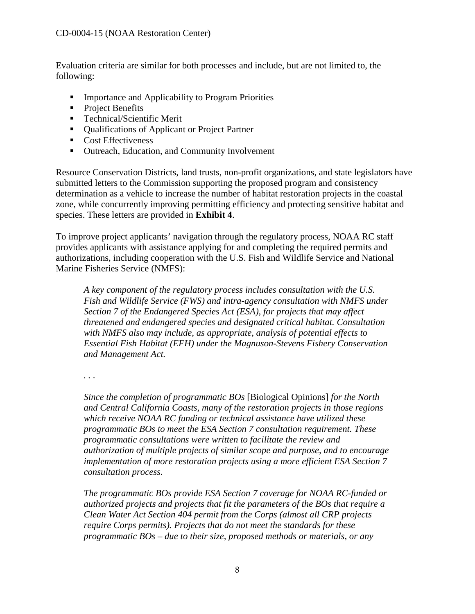Evaluation criteria are similar for both processes and include, but are not limited to, the following:

- **IMPORTANCE And Applicability to Program Priorities**
- **Project Benefits**
- Technical/Scientific Merit
- Qualifications of Applicant or Project Partner
- Cost Effectiveness
- Outreach, Education, and Community Involvement

Resource Conservation Districts, land trusts, non-profit organizations, and state legislators have submitted letters to the Commission supporting the proposed program and consistency determination as a vehicle to increase the number of habitat restoration projects in the coastal zone, while concurrently improving permitting efficiency and protecting sensitive habitat and species. These letters are provided in **Exhibit 4**.

To improve project applicants' navigation through the regulatory process, NOAA RC staff provides applicants with assistance applying for and completing the required permits and authorizations, including cooperation with the U.S. Fish and Wildlife Service and National Marine Fisheries Service (NMFS):

*A key component of the regulatory process includes consultation with the U.S. Fish and Wildlife Service (FWS) and intra-agency consultation with NMFS under Section 7 of the Endangered Species Act (ESA), for projects that may affect threatened and endangered species and designated critical habitat. Consultation with NMFS also may include, as appropriate, analysis of potential effects to Essential Fish Habitat (EFH) under the Magnuson-Stevens Fishery Conservation and Management Act.* 

*. . .* 

*Since the completion of programmatic BOs* [Biological Opinions] *for the North and Central California Coasts, many of the restoration projects in those regions which receive NOAA RC funding or technical assistance have utilized these programmatic BOs to meet the ESA Section 7 consultation requirement. These programmatic consultations were written to facilitate the review and authorization of multiple projects of similar scope and purpose, and to encourage implementation of more restoration projects using a more efficient ESA Section 7 consultation process.* 

*The programmatic BOs provide ESA Section 7 coverage for NOAA RC-funded or authorized projects and projects that fit the parameters of the BOs that require a Clean Water Act Section 404 permit from the Corps (almost all CRP projects require Corps permits). Projects that do not meet the standards for these programmatic BOs – due to their size, proposed methods or materials, or any*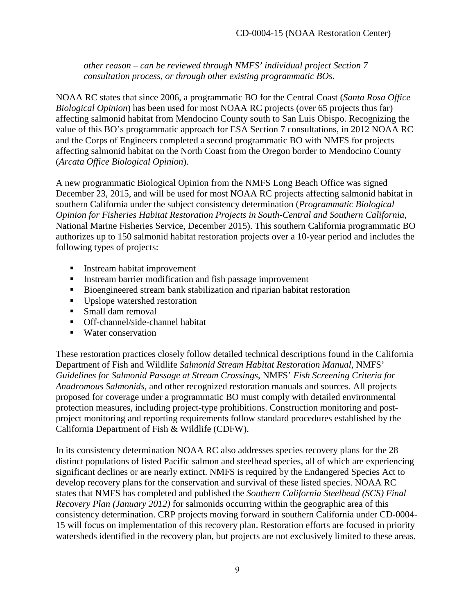*other reason – can be reviewed through NMFS' individual project Section 7 consultation process, or through other existing programmatic BOs.*

NOAA RC states that since 2006, a programmatic BO for the Central Coast (*Santa Rosa Office Biological Opinion*) has been used for most NOAA RC projects (over 65 projects thus far) affecting salmonid habitat from Mendocino County south to San Luis Obispo. Recognizing the value of this BO's programmatic approach for ESA Section 7 consultations, in 2012 NOAA RC and the Corps of Engineers completed a second programmatic BO with NMFS for projects affecting salmonid habitat on the North Coast from the Oregon border to Mendocino County (*Arcata Office Biological Opinion*).

A new programmatic Biological Opinion from the NMFS Long Beach Office was signed December 23, 2015, and will be used for most NOAA RC projects affecting salmonid habitat in southern California under the subject consistency determination (*Programmatic Biological Opinion for Fisheries Habitat Restoration Projects in South-Central and Southern California*, National Marine Fisheries Service, December 2015). This southern California programmatic BO authorizes up to 150 salmonid habitat restoration projects over a 10-year period and includes the following types of projects:

- **Instream habitat improvement**
- **Instream barrier modification and fish passage improvement**
- Bioengineered stream bank stabilization and riparian habitat restoration
- Upslope watershed restoration
- **Small dam removal**
- Off-channel/side-channel habitat
- Water conservation

These restoration practices closely follow detailed technical descriptions found in the California Department of Fish and Wildlife *Salmonid Stream Habitat Restoration Manual*, NMFS' *Guidelines for Salmonid Passage at Stream Crossings*, NMFS' *Fish Screening Criteria for Anadromous Salmonids*, and other recognized restoration manuals and sources. All projects proposed for coverage under a programmatic BO must comply with detailed environmental protection measures, including project-type prohibitions. Construction monitoring and postproject monitoring and reporting requirements follow standard procedures established by the California Department of Fish & Wildlife (CDFW).

In its consistency determination NOAA RC also addresses species recovery plans for the 28 distinct populations of listed Pacific salmon and steelhead species, all of which are experiencing significant declines or are nearly extinct. NMFS is required by the Endangered Species Act to develop recovery plans for the conservation and survival of these listed species. NOAA RC states that NMFS has completed and published the *Southern California Steelhead (SCS) Final Recovery Plan (January 2012)* for salmonids occurring within the geographic area of this consistency determination. CRP projects moving forward in southern California under CD-0004- 15 will focus on implementation of this recovery plan. Restoration efforts are focused in priority watersheds identified in the recovery plan, but projects are not exclusively limited to these areas.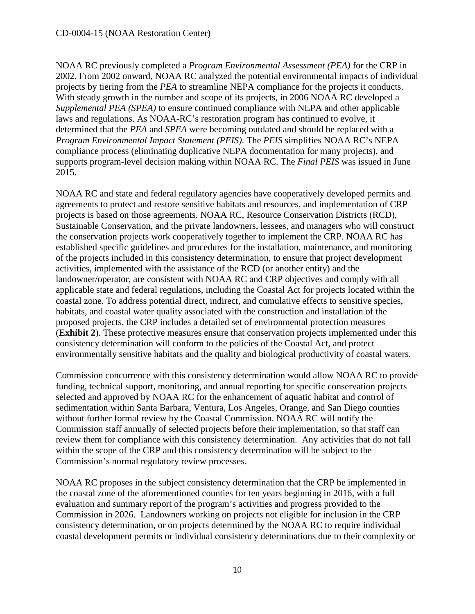NOAA RC previously completed a *Program Environmental Assessment (PEA)* for the CRP in 2002. From 2002 onward, NOAA RC analyzed the potential environmental impacts of individual projects by tiering from the *PEA* to streamline NEPA compliance for the projects it conducts. With steady growth in the number and scope of its projects, in 2006 NOAA RC developed a *Supplemental PEA (SPEA)* to ensure continued compliance with NEPA and other applicable laws and regulations. As NOAA-RC's restoration program has continued to evolve, it determined that the *PEA* and *SPEA* were becoming outdated and should be replaced with a *Program Environmental Impact Statement (PEIS)*. The *PEIS* simplifies NOAA RC's NEPA compliance process (eliminating duplicative NEPA documentation for many projects), and supports program-level decision making within NOAA RC. The *Final PEIS* was issued in June 2015.

NOAA RC and state and federal regulatory agencies have cooperatively developed permits and agreements to protect and restore sensitive habitats and resources, and implementation of CRP projects is based on those agreements. NOAA RC, Resource Conservation Districts (RCD), Sustainable Conservation, and the private landowners, lessees, and managers who will construct the conservation projects work cooperatively together to implement the CRP. NOAA RC has established specific guidelines and procedures for the installation, maintenance, and monitoring of the projects included in this consistency determination, to ensure that project development activities, implemented with the assistance of the RCD (or another entity) and the landowner/operator, are consistent with NOAA RC and CRP objectives and comply with all applicable state and federal regulations, including the Coastal Act for projects located within the coastal zone. To address potential direct, indirect, and cumulative effects to sensitive species, habitats, and coastal water quality associated with the construction and installation of the proposed projects, the CRP includes a detailed set of environmental protection measures (**Exhibit 2**). These protective measures ensure that conservation projects implemented under this consistency determination will conform to the policies of the Coastal Act, and protect environmentally sensitive habitats and the quality and biological productivity of coastal waters.

Commission concurrence with this consistency determination would allow NOAA RC to provide funding, technical support, monitoring, and annual reporting for specific conservation projects selected and approved by NOAA RC for the enhancement of aquatic habitat and control of sedimentation within Santa Barbara, Ventura, Los Angeles, Orange, and San Diego counties without further formal review by the Coastal Commission. NOAA RC will notify the Commission staff annually of selected projects before their implementation, so that staff can review them for compliance with this consistency determination. Any activities that do not fall within the scope of the CRP and this consistency determination will be subject to the Commission's normal regulatory review processes.

NOAA RC proposes in the subject consistency determination that the CRP be implemented in the coastal zone of the aforementioned counties for ten years beginning in 2016, with a full evaluation and summary report of the program's activities and progress provided to the Commission in 2026. Landowners working on projects not eligible for inclusion in the CRP consistency determination, or on projects determined by the NOAA RC to require individual coastal development permits or individual consistency determinations due to their complexity or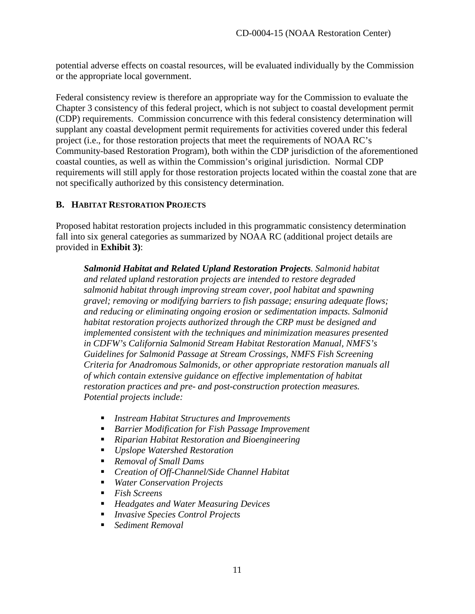potential adverse effects on coastal resources, will be evaluated individually by the Commission or the appropriate local government.

Federal consistency review is therefore an appropriate way for the Commission to evaluate the Chapter 3 consistency of this federal project, which is not subject to coastal development permit (CDP) requirements. Commission concurrence with this federal consistency determination will supplant any coastal development permit requirements for activities covered under this federal project (i.e., for those restoration projects that meet the requirements of NOAA RC's Community-based Restoration Program), both within the CDP jurisdiction of the aforementioned coastal counties, as well as within the Commission's original jurisdiction. Normal CDP requirements will still apply for those restoration projects located within the coastal zone that are not specifically authorized by this consistency determination.

#### <span id="page-11-0"></span>**B. HABITAT RESTORATION PROJECTS**

Proposed habitat restoration projects included in this programmatic consistency determination fall into six general categories as summarized by NOAA RC (additional project details are provided in **Exhibit 3)**:

*Salmonid Habitat and Related Upland Restoration Projects. Salmonid habitat and related upland restoration projects are intended to restore degraded salmonid habitat through improving stream cover, pool habitat and spawning gravel; removing or modifying barriers to fish passage; ensuring adequate flows; and reducing or eliminating ongoing erosion or sedimentation impacts. Salmonid habitat restoration projects authorized through the CRP must be designed and implemented consistent with the techniques and minimization measures presented in CDFW's California Salmonid Stream Habitat Restoration Manual, NMFS's Guidelines for Salmonid Passage at Stream Crossings, NMFS Fish Screening Criteria for Anadromous Salmonids, or other appropriate restoration manuals all of which contain extensive guidance on effective implementation of habitat restoration practices and pre- and post-construction protection measures. Potential projects include:* 

- *Instream Habitat Structures and Improvements*
- *Barrier Modification for Fish Passage Improvement*
- *Riparian Habitat Restoration and Bioengineering*
- *Upslope Watershed Restoration*
- *Removal of Small Dams*
- *Creation of Off-Channel/Side Channel Habitat*
- *Water Conservation Projects*
- *Fish Screens*
- *Headgates and Water Measuring Devices*
- *Invasive Species Control Projects*
- *Sediment Removal*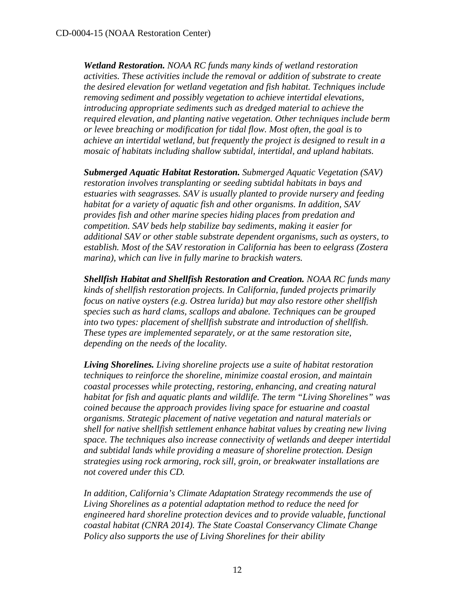*Wetland Restoration. NOAA RC funds many kinds of wetland restoration activities. These activities include the removal or addition of substrate to create the desired elevation for wetland vegetation and fish habitat. Techniques include removing sediment and possibly vegetation to achieve intertidal elevations, introducing appropriate sediments such as dredged material to achieve the required elevation, and planting native vegetation. Other techniques include berm or levee breaching or modification for tidal flow. Most often, the goal is to achieve an intertidal wetland, but frequently the project is designed to result in a mosaic of habitats including shallow subtidal, intertidal, and upland habitats.*

*Submerged Aquatic Habitat Restoration. Submerged Aquatic Vegetation (SAV) restoration involves transplanting or seeding subtidal habitats in bays and estuaries with seagrasses. SAV is usually planted to provide nursery and feeding habitat for a variety of aquatic fish and other organisms. In addition, SAV provides fish and other marine species hiding places from predation and competition. SAV beds help stabilize bay sediments, making it easier for additional SAV or other stable substrate dependent organisms, such as oysters, to establish. Most of the SAV restoration in California has been to eelgrass (Zostera marina), which can live in fully marine to brackish waters.*

*Shellfish Habitat and Shellfish Restoration and Creation. NOAA RC funds many kinds of shellfish restoration projects. In California, funded projects primarily focus on native oysters (e.g. Ostrea lurida) but may also restore other shellfish species such as hard clams, scallops and abalone. Techniques can be grouped into two types: placement of shellfish substrate and introduction of shellfish. These types are implemented separately, or at the same restoration site, depending on the needs of the locality.*

*Living Shorelines. Living shoreline projects use a suite of habitat restoration techniques to reinforce the shoreline, minimize coastal erosion, and maintain coastal processes while protecting, restoring, enhancing, and creating natural habitat for fish and aquatic plants and wildlife. The term "Living Shorelines" was coined because the approach provides living space for estuarine and coastal organisms. Strategic placement of native vegetation and natural materials or shell for native shellfish settlement enhance habitat values by creating new living space. The techniques also increase connectivity of wetlands and deeper intertidal and subtidal lands while providing a measure of shoreline protection. Design strategies using rock armoring, rock sill, groin, or breakwater installations are not covered under this CD.*

*In addition, California's Climate Adaptation Strategy recommends the use of Living Shorelines as a potential adaptation method to reduce the need for engineered hard shoreline protection devices and to provide valuable, functional coastal habitat (CNRA 2014). The State Coastal Conservancy Climate Change Policy also supports the use of Living Shorelines for their ability*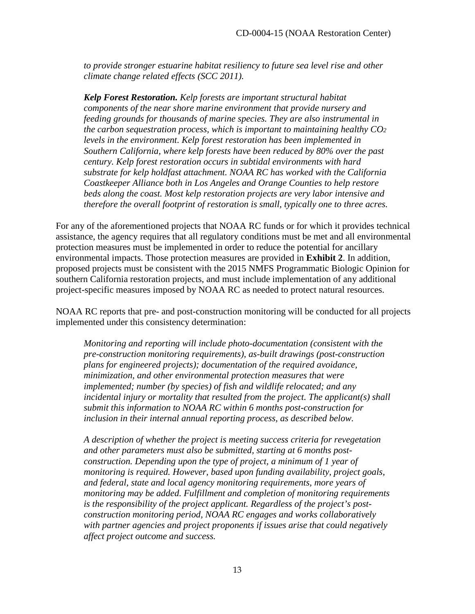*to provide stronger estuarine habitat resiliency to future sea level rise and other climate change related effects (SCC 2011).*

*Kelp Forest Restoration. Kelp forests are important structural habitat components of the near shore marine environment that provide nursery and feeding grounds for thousands of marine species. They are also instrumental in the carbon sequestration process, which is important to maintaining healthy CO2 levels in the environment. Kelp forest restoration has been implemented in Southern California, where kelp forests have been reduced by 80% over the past century. Kelp forest restoration occurs in subtidal environments with hard substrate for kelp holdfast attachment. NOAA RC has worked with the California Coastkeeper Alliance both in Los Angeles and Orange Counties to help restore beds along the coast. Most kelp restoration projects are very labor intensive and therefore the overall footprint of restoration is small, typically one to three acres.*

For any of the aforementioned projects that NOAA RC funds or for which it provides technical assistance, the agency requires that all regulatory conditions must be met and all environmental protection measures must be implemented in order to reduce the potential for ancillary environmental impacts. Those protection measures are provided in **Exhibit 2**. In addition, proposed projects must be consistent with the 2015 NMFS Programmatic Biologic Opinion for southern California restoration projects, and must include implementation of any additional project-specific measures imposed by NOAA RC as needed to protect natural resources.

NOAA RC reports that pre- and post-construction monitoring will be conducted for all projects implemented under this consistency determination:

*Monitoring and reporting will include photo-documentation (consistent with the pre-construction monitoring requirements), as-built drawings (post-construction plans for engineered projects); documentation of the required avoidance, minimization, and other environmental protection measures that were implemented; number (by species) of fish and wildlife relocated; and any incidental injury or mortality that resulted from the project. The applicant(s) shall submit this information to NOAA RC within 6 months post-construction for inclusion in their internal annual reporting process, as described below.* 

*A description of whether the project is meeting success criteria for revegetation and other parameters must also be submitted, starting at 6 months postconstruction. Depending upon the type of project, a minimum of 1 year of monitoring is required. However, based upon funding availability, project goals, and federal, state and local agency monitoring requirements, more years of monitoring may be added. Fulfillment and completion of monitoring requirements is the responsibility of the project applicant. Regardless of the project's postconstruction monitoring period, NOAA RC engages and works collaboratively with partner agencies and project proponents if issues arise that could negatively affect project outcome and success.*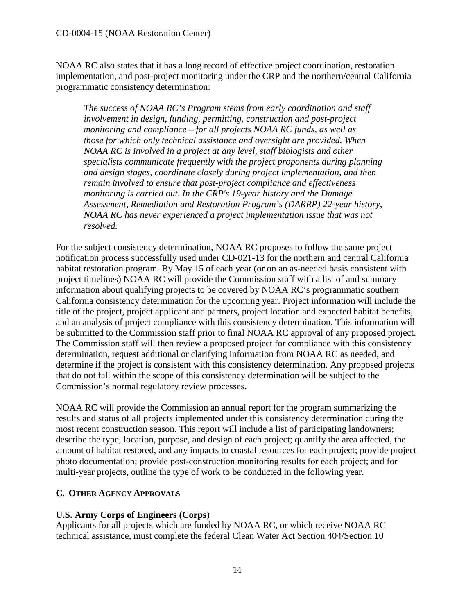NOAA RC also states that it has a long record of effective project coordination, restoration implementation, and post-project monitoring under the CRP and the northern/central California programmatic consistency determination:

*The success of NOAA RC's Program stems from early coordination and staff involvement in design, funding, permitting, construction and post-project monitoring and compliance – for all projects NOAA RC funds, as well as those for which only technical assistance and oversight are provided. When NOAA RC is involved in a project at any level, staff biologists and other specialists communicate frequently with the project proponents during planning and design stages, coordinate closely during project implementation, and then remain involved to ensure that post-project compliance and effectiveness monitoring is carried out. In the CRP's 19-year history and the Damage Assessment, Remediation and Restoration Program's (DARRP) 22-year history, NOAA RC has never experienced a project implementation issue that was not resolved.*

For the subject consistency determination, NOAA RC proposes to follow the same project notification process successfully used under CD-021-13 for the northern and central California habitat restoration program. By May 15 of each year (or on an as-needed basis consistent with project timelines) NOAA RC will provide the Commission staff with a list of and summary information about qualifying projects to be covered by NOAA RC's programmatic southern California consistency determination for the upcoming year. Project information will include the title of the project, project applicant and partners, project location and expected habitat benefits, and an analysis of project compliance with this consistency determination. This information will be submitted to the Commission staff prior to final NOAA RC approval of any proposed project. The Commission staff will then review a proposed project for compliance with this consistency determination, request additional or clarifying information from NOAA RC as needed, and determine if the project is consistent with this consistency determination. Any proposed projects that do not fall within the scope of this consistency determination will be subject to the Commission's normal regulatory review processes.

NOAA RC will provide the Commission an annual report for the program summarizing the results and status of all projects implemented under this consistency determination during the most recent construction season. This report will include a list of participating landowners; describe the type, location, purpose, and design of each project; quantify the area affected, the amount of habitat restored, and any impacts to coastal resources for each project; provide project photo documentation; provide post-construction monitoring results for each project; and for multi-year projects, outline the type of work to be conducted in the following year.

### <span id="page-14-0"></span>**C. OTHER AGENCY APPROVALS**

### **U.S. Army Corps of Engineers (Corps)**

Applicants for all projects which are funded by NOAA RC, or which receive NOAA RC technical assistance, must complete the federal Clean Water Act Section 404/Section 10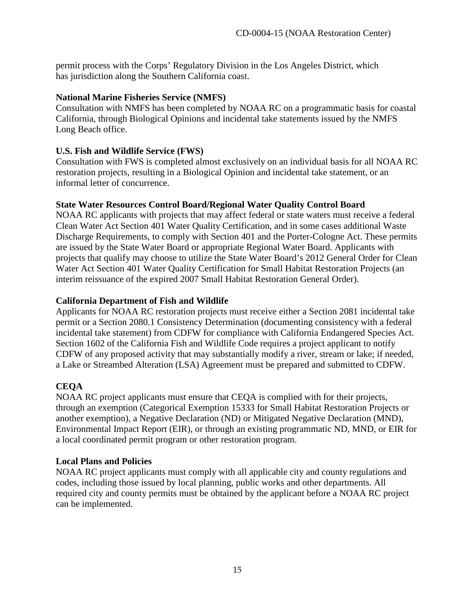permit process with the Corps' Regulatory Division in the Los Angeles District, which has jurisdiction along the Southern California coast.

#### **National Marine Fisheries Service (NMFS)**

Consultation with NMFS has been completed by NOAA RC on a programmatic basis for coastal California, through Biological Opinions and incidental take statements issued by the NMFS Long Beach office.

#### **U.S. Fish and Wildlife Service (FWS)**

Consultation with FWS is completed almost exclusively on an individual basis for all NOAA RC restoration projects, resulting in a Biological Opinion and incidental take statement, or an informal letter of concurrence.

#### **State Water Resources Control Board/Regional Water Quality Control Board**

NOAA RC applicants with projects that may affect federal or state waters must receive a federal Clean Water Act Section 401 Water Quality Certification, and in some cases additional Waste Discharge Requirements, to comply with Section 401 and the Porter-Cologne Act. These permits are issued by the State Water Board or appropriate Regional Water Board. Applicants with projects that qualify may choose to utilize the State Water Board's 2012 General Order for Clean Water Act Section 401 Water Quality Certification for Small Habitat Restoration Projects (an interim reissuance of the expired 2007 Small Habitat Restoration General Order).

#### **California Department of Fish and Wildlife**

Applicants for NOAA RC restoration projects must receive either a Section 2081 incidental take permit or a Section 2080.1 Consistency Determination (documenting consistency with a federal incidental take statement) from CDFW for compliance with California Endangered Species Act. Section 1602 of the California Fish and Wildlife Code requires a project applicant to notify CDFW of any proposed activity that may substantially modify a river, stream or lake; if needed, a Lake or Streambed Alteration (LSA) Agreement must be prepared and submitted to CDFW.

### **CEQA**

NOAA RC project applicants must ensure that CEQA is complied with for their projects, through an exemption (Categorical Exemption 15333 for Small Habitat Restoration Projects or another exemption), a Negative Declaration (ND) or Mitigated Negative Declaration (MND), Environmental Impact Report (EIR), or through an existing programmatic ND, MND, or EIR for a local coordinated permit program or other restoration program.

#### **Local Plans and Policies**

NOAA RC project applicants must comply with all applicable city and county regulations and codes, including those issued by local planning, public works and other departments. All required city and county permits must be obtained by the applicant before a NOAA RC project can be implemented.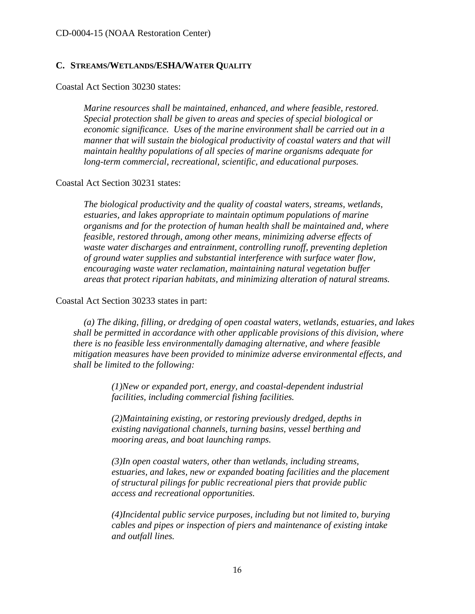#### <span id="page-16-0"></span>**C. STREAMS/WETLANDS/ESHA/WATER QUALITY**

Coastal Act Section 30230 states:

*Marine resources shall be maintained, enhanced, and where feasible, restored. Special protection shall be given to areas and species of special biological or economic significance. Uses of the marine environment shall be carried out in a manner that will sustain the biological productivity of coastal waters and that will maintain healthy populations of all species of marine organisms adequate for long-term commercial, recreational, scientific, and educational purposes.* 

#### Coastal Act Section 30231 states:

*The biological productivity and the quality of coastal waters, streams, wetlands, estuaries, and lakes appropriate to maintain optimum populations of marine organisms and for the protection of human health shall be maintained and, where feasible, restored through, among other means, minimizing adverse effects of waste water discharges and entrainment, controlling runoff, preventing depletion of ground water supplies and substantial interference with surface water flow, encouraging waste water reclamation, maintaining natural vegetation buffer areas that protect riparian habitats, and minimizing alteration of natural streams.* 

#### Coastal Act Section 30233 states in part:

*(a) The diking, filling, or dredging of open coastal waters, wetlands, estuaries, and lakes shall be permitted in accordance with other applicable provisions of this division, where there is no feasible less environmentally damaging alternative, and where feasible mitigation measures have been provided to minimize adverse environmental effects, and shall be limited to the following:*

> *(1)New or expanded port, energy, and coastal-dependent industrial facilities, including commercial fishing facilities.*

> *(2)Maintaining existing, or restoring previously dredged, depths in existing navigational channels, turning basins, vessel berthing and mooring areas, and boat launching ramps.*

*(3)In open coastal waters, other than wetlands, including streams, estuaries, and lakes, new or expanded boating facilities and the placement of structural pilings for public recreational piers that provide public access and recreational opportunities.* 

*(4)Incidental public service purposes, including but not limited to, burying cables and pipes or inspection of piers and maintenance of existing intake and outfall lines.*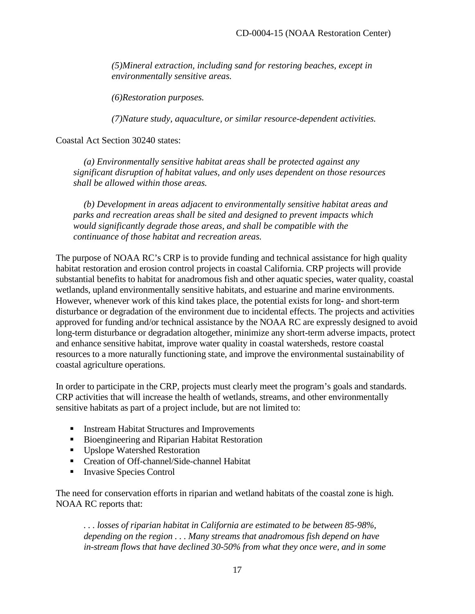*(5)Mineral extraction, including sand for restoring beaches, except in environmentally sensitive areas.* 

 *(6)Restoration purposes.* 

 *(7)Nature study, aquaculture, or similar resource-dependent activities.*

Coastal Act Section 30240 states:

*(a) Environmentally sensitive habitat areas shall be protected against any significant disruption of habitat values, and only uses dependent on those resources shall be allowed within those areas.* 

*(b) Development in areas adjacent to environmentally sensitive habitat areas and parks and recreation areas shall be sited and designed to prevent impacts which would significantly degrade those areas, and shall be compatible with the continuance of those habitat and recreation areas.*

The purpose of NOAA RC's CRP is to provide funding and technical assistance for high quality habitat restoration and erosion control projects in coastal California. CRP projects will provide substantial benefits to habitat for anadromous fish and other aquatic species, water quality, coastal wetlands, upland environmentally sensitive habitats, and estuarine and marine environments. However, whenever work of this kind takes place, the potential exists for long- and short-term disturbance or degradation of the environment due to incidental effects. The projects and activities approved for funding and/or technical assistance by the NOAA RC are expressly designed to avoid long-term disturbance or degradation altogether, minimize any short-term adverse impacts, protect and enhance sensitive habitat, improve water quality in coastal watersheds, restore coastal resources to a more naturally functioning state, and improve the environmental sustainability of coastal agriculture operations.

In order to participate in the CRP, projects must clearly meet the program's goals and standards. CRP activities that will increase the health of wetlands, streams, and other environmentally sensitive habitats as part of a project include, but are not limited to:

- **Instream Habitat Structures and Improvements**
- Bioengineering and Riparian Habitat Restoration
- Upslope Watershed Restoration
- Creation of Off-channel/Side-channel Habitat
- **Invasive Species Control**

The need for conservation efforts in riparian and wetland habitats of the coastal zone is high. NOAA RC reports that:

*. . . losses of riparian habitat in California are estimated to be between 85-98%, depending on the region . . . Many streams that anadromous fish depend on have in-stream flows that have declined 30-50% from what they once were, and in some*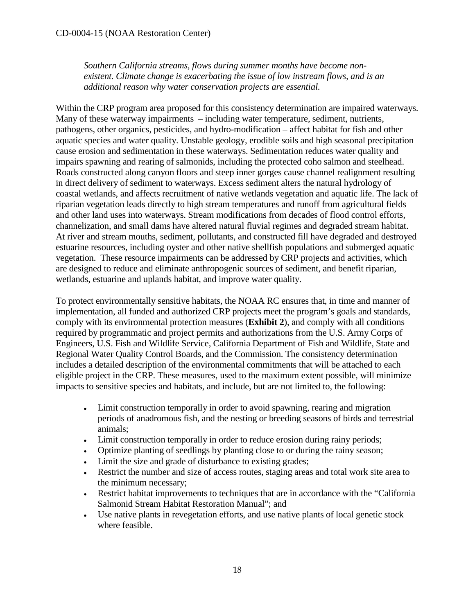*Southern California streams, flows during summer months have become nonexistent. Climate change is exacerbating the issue of low instream flows, and is an additional reason why water conservation projects are essential.*

Within the CRP program area proposed for this consistency determination are impaired waterways. Many of these waterway impairments – including water temperature, sediment, nutrients, pathogens, other organics, pesticides, and hydro-modification – affect habitat for fish and other aquatic species and water quality. Unstable geology, erodible soils and high seasonal precipitation cause erosion and sedimentation in these waterways. Sedimentation reduces water quality and impairs spawning and rearing of salmonids, including the protected coho salmon and steelhead. Roads constructed along canyon floors and steep inner gorges cause channel realignment resulting in direct delivery of sediment to waterways. Excess sediment alters the natural hydrology of coastal wetlands, and affects recruitment of native wetlands vegetation and aquatic life. The lack of riparian vegetation leads directly to high stream temperatures and runoff from agricultural fields and other land uses into waterways. Stream modifications from decades of flood control efforts, channelization, and small dams have altered natural fluvial regimes and degraded stream habitat. At river and stream mouths, sediment, pollutants, and constructed fill have degraded and destroyed estuarine resources, including oyster and other native shellfish populations and submerged aquatic vegetation. These resource impairments can be addressed by CRP projects and activities, which are designed to reduce and eliminate anthropogenic sources of sediment, and benefit riparian, wetlands, estuarine and uplands habitat, and improve water quality.

To protect environmentally sensitive habitats, the NOAA RC ensures that, in time and manner of implementation, all funded and authorized CRP projects meet the program's goals and standards, comply with its environmental protection measures (**Exhibit 2**), and comply with all conditions required by programmatic and project permits and authorizations from the U.S. Army Corps of Engineers, U.S. Fish and Wildlife Service, California Department of Fish and Wildlife, State and Regional Water Quality Control Boards, and the Commission. The consistency determination includes a detailed description of the environmental commitments that will be attached to each eligible project in the CRP. These measures, used to the maximum extent possible, will minimize impacts to sensitive species and habitats, and include, but are not limited to, the following:

- Limit construction temporally in order to avoid spawning, rearing and migration periods of anadromous fish, and the nesting or breeding seasons of birds and terrestrial animals;
- Limit construction temporally in order to reduce erosion during rainy periods;
- Optimize planting of seedlings by planting close to or during the rainy season;
- Limit the size and grade of disturbance to existing grades;
- Restrict the number and size of access routes, staging areas and total work site area to the minimum necessary;
- Restrict habitat improvements to techniques that are in accordance with the "California Salmonid Stream Habitat Restoration Manual"; and
- Use native plants in revegetation efforts, and use native plants of local genetic stock where feasible.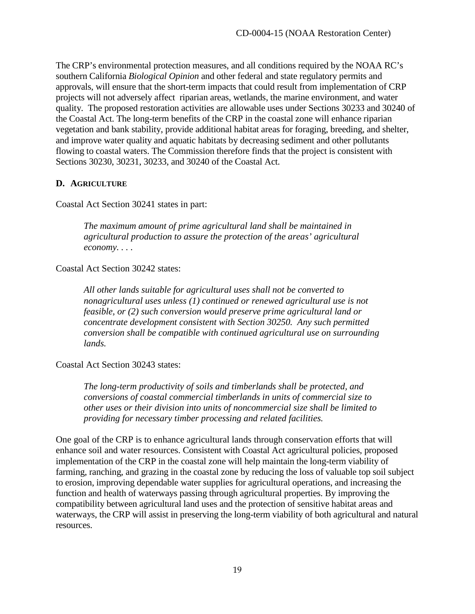The CRP's environmental protection measures, and all conditions required by the NOAA RC's southern California *Biological Opinion* and other federal and state regulatory permits and approvals, will ensure that the short-term impacts that could result from implementation of CRP projects will not adversely affect riparian areas, wetlands, the marine environment, and water quality. The proposed restoration activities are allowable uses under Sections 30233 and 30240 of the Coastal Act. The long-term benefits of the CRP in the coastal zone will enhance riparian vegetation and bank stability, provide additional habitat areas for foraging, breeding, and shelter, and improve water quality and aquatic habitats by decreasing sediment and other pollutants flowing to coastal waters. The Commission therefore finds that the project is consistent with Sections 30230, 30231, 30233, and 30240 of the Coastal Act.

### <span id="page-19-0"></span>**D. AGRICULTURE**

Coastal Act Section 30241 states in part:

*The maximum amount of prime agricultural land shall be maintained in agricultural production to assure the protection of the areas' agricultural economy. . . .* 

Coastal Act Section 30242 states:

*All other lands suitable for agricultural uses shall not be converted to nonagricultural uses unless (1) continued or renewed agricultural use is not feasible, or (2) such conversion would preserve prime agricultural land or concentrate development consistent with Section 30250. Any such permitted conversion shall be compatible with continued agricultural use on surrounding lands.* 

Coastal Act Section 30243 states:

*The long-term productivity of soils and timberlands shall be protected, and conversions of coastal commercial timberlands in units of commercial size to other uses or their division into units of noncommercial size shall be limited to providing for necessary timber processing and related facilities.* 

One goal of the CRP is to enhance agricultural lands through conservation efforts that will enhance soil and water resources. Consistent with Coastal Act agricultural policies, proposed implementation of the CRP in the coastal zone will help maintain the long-term viability of farming, ranching, and grazing in the coastal zone by reducing the loss of valuable top soil subject to erosion, improving dependable water supplies for agricultural operations, and increasing the function and health of waterways passing through agricultural properties. By improving the compatibility between agricultural land uses and the protection of sensitive habitat areas and waterways, the CRP will assist in preserving the long-term viability of both agricultural and natural resources.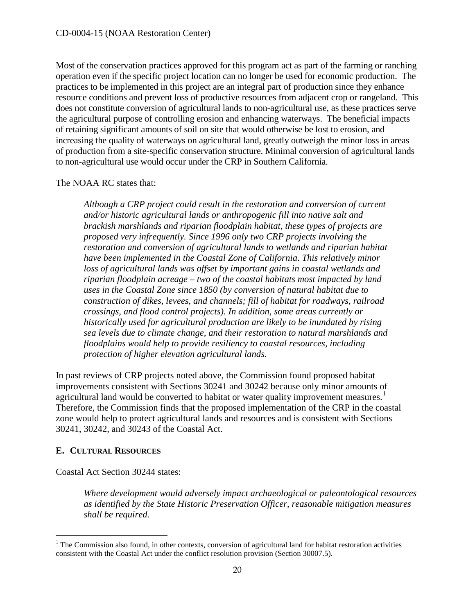Most of the conservation practices approved for this program act as part of the farming or ranching operation even if the specific project location can no longer be used for economic production. The practices to be implemented in this project are an integral part of production since they enhance resource conditions and prevent loss of productive resources from adjacent crop or rangeland. This does not constitute conversion of agricultural lands to non-agricultural use, as these practices serve the agricultural purpose of controlling erosion and enhancing waterways. The beneficial impacts of retaining significant amounts of soil on site that would otherwise be lost to erosion, and increasing the quality of waterways on agricultural land, greatly outweigh the minor loss in areas of production from a site-specific conservation structure. Minimal conversion of agricultural lands to non-agricultural use would occur under the CRP in Southern California.

### The NOAA RC states that:

*Although a CRP project could result in the restoration and conversion of current and/or historic agricultural lands or anthropogenic fill into native salt and brackish marshlands and riparian floodplain habitat, these types of projects are proposed very infrequently. Since 1996 only two CRP projects involving the restoration and conversion of agricultural lands to wetlands and riparian habitat have been implemented in the Coastal Zone of California*. *This relatively minor loss of agricultural lands was offset by important gains in coastal wetlands and riparian floodplain acreage – two of the coastal habitats most impacted by land uses in the Coastal Zone since 1850 (by conversion of natural habitat due to construction of dikes, levees, and channels; fill of habitat for roadways, railroad crossings, and flood control projects). In addition, some areas currently or historically used for agricultural production are likely to be inundated by rising sea levels due to climate change, and their restoration to natural marshlands and floodplains would help to provide resiliency to coastal resources, including protection of higher elevation agricultural lands.* 

In past reviews of CRP projects noted above, the Commission found proposed habitat improvements consistent with Sections 30241 and 30242 because only minor amounts of agricultural land would be converted to habitat or water quality improvement measures.<sup>[1](#page-20-1)</sup> Therefore, the Commission finds that the proposed implementation of the CRP in the coastal zone would help to protect agricultural lands and resources and is consistent with Sections 30241, 30242, and 30243 of the Coastal Act.

### <span id="page-20-0"></span>**E. CULTURAL RESOURCES**

Coastal Act Section 30244 states:

*Where development would adversely impact archaeological or paleontological resources as identified by the State Historic Preservation Officer, reasonable mitigation measures shall be required.* 

<span id="page-20-1"></span> $\overline{a}$  $1$ <sup>1</sup> The Commission also found, in other contexts, conversion of agricultural land for habitat restoration activities consistent with the Coastal Act under the conflict resolution provision (Section 30007.5).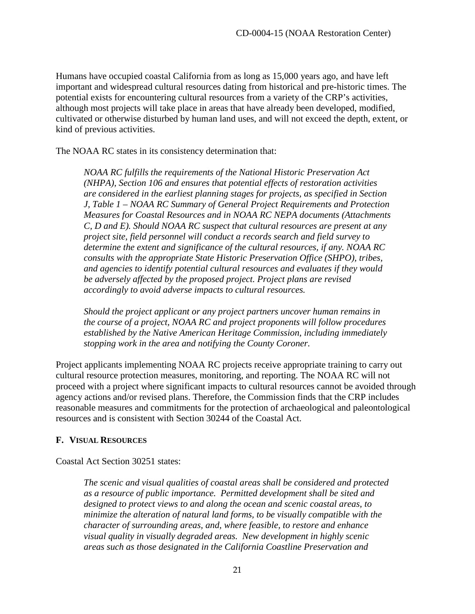Humans have occupied coastal California from as long as 15,000 years ago, and have left important and widespread cultural resources dating from historical and pre-historic times. The potential exists for encountering cultural resources from a variety of the CRP's activities, although most projects will take place in areas that have already been developed, modified, cultivated or otherwise disturbed by human land uses, and will not exceed the depth, extent, or kind of previous activities.

The NOAA RC states in its consistency determination that:

*NOAA RC fulfills the requirements of the National Historic Preservation Act (NHPA), Section 106 and ensures that potential effects of restoration activities are considered in the earliest planning stages for projects, as specified in Section J, Table 1 – NOAA RC Summary of General Project Requirements and Protection Measures for Coastal Resources and in NOAA RC NEPA documents (Attachments C, D and E). Should NOAA RC suspect that cultural resources are present at any project site, field personnel will conduct a records search and field survey to determine the extent and significance of the cultural resources, if any. NOAA RC consults with the appropriate State Historic Preservation Office (SHPO), tribes, and agencies to identify potential cultural resources and evaluates if they would be adversely affected by the proposed project. Project plans are revised accordingly to avoid adverse impacts to cultural resources.*

*Should the project applicant or any project partners uncover human remains in the course of a project, NOAA RC and project proponents will follow procedures established by the Native American Heritage Commission, including immediately stopping work in the area and notifying the County Coroner.*

Project applicants implementing NOAA RC projects receive appropriate training to carry out cultural resource protection measures, monitoring, and reporting. The NOAA RC will not proceed with a project where significant impacts to cultural resources cannot be avoided through agency actions and/or revised plans. Therefore, the Commission finds that the CRP includes reasonable measures and commitments for the protection of archaeological and paleontological resources and is consistent with Section 30244 of the Coastal Act.

#### <span id="page-21-0"></span>**F. VISUAL RESOURCES**

Coastal Act Section 30251 states:

*The scenic and visual qualities of coastal areas shall be considered and protected as a resource of public importance. Permitted development shall be sited and designed to protect views to and along the ocean and scenic coastal areas, to minimize the alteration of natural land forms, to be visually compatible with the character of surrounding areas, and, where feasible, to restore and enhance visual quality in visually degraded areas. New development in highly scenic areas such as those designated in the California Coastline Preservation and*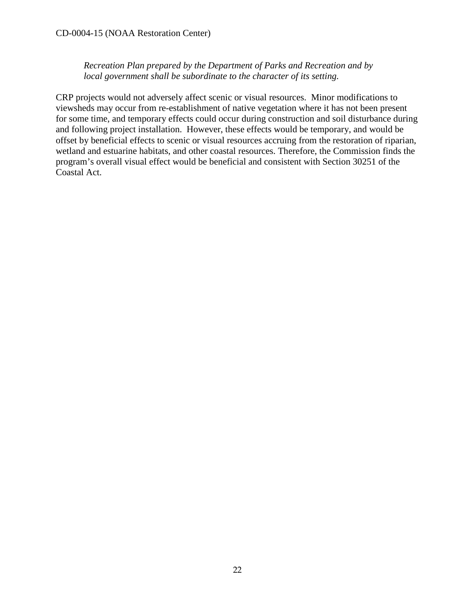*Recreation Plan prepared by the Department of Parks and Recreation and by local government shall be subordinate to the character of its setting.* 

CRP projects would not adversely affect scenic or visual resources. Minor modifications to viewsheds may occur from re-establishment of native vegetation where it has not been present for some time, and temporary effects could occur during construction and soil disturbance during and following project installation. However, these effects would be temporary, and would be offset by beneficial effects to scenic or visual resources accruing from the restoration of riparian, wetland and estuarine habitats, and other coastal resources. Therefore, the Commission finds the program's overall visual effect would be beneficial and consistent with Section 30251 of the Coastal Act.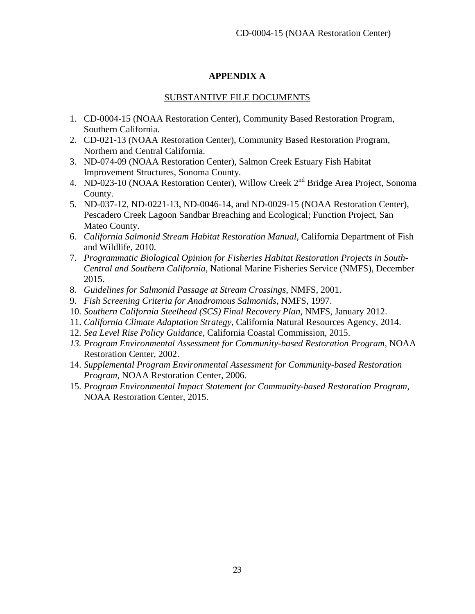### **APPENDIX A**

#### SUBSTANTIVE FILE DOCUMENTS

- <span id="page-23-0"></span>1. CD-0004-15 (NOAA Restoration Center), Community Based Restoration Program, Southern California.
- 2. CD-021-13 (NOAA Restoration Center), Community Based Restoration Program, Northern and Central California.
- 3. ND-074-09 (NOAA Restoration Center), Salmon Creek Estuary Fish Habitat Improvement Structures, Sonoma County.
- 4. ND-023-10 (NOAA Restoration Center), Willow Creek 2<sup>nd</sup> Bridge Area Project, Sonoma County.
- 5. ND-037-12, ND-0221-13, ND-0046-14, and ND-0029-15 (NOAA Restoration Center), Pescadero Creek Lagoon Sandbar Breaching and Ecological; Function Project, San Mateo County.
- 6. *California Salmonid Stream Habitat Restoration Manual*, California Department of Fish and Wildlife, 2010.
- 7. *Programmatic Biological Opinion for Fisheries Habitat Restoration Projects in South-Central and Southern California*, National Marine Fisheries Service (NMFS), December 2015.
- 8. *Guidelines for Salmonid Passage at Stream Crossings*, NMFS, 2001.
- 9. *Fish Screening Criteria for Anadromous Salmonids*, NMFS, 1997.
- 10. *Southern California Steelhead (SCS) Final Recovery Plan,* NMFS, January 2012.
- 11. *California Climate Adaptation Strategy*, California Natural Resources Agency, 2014.
- 12. *Sea Level Rise Policy Guidance*, California Coastal Commission, 2015.
- *13. Program Environmental Assessment for Community-based Restoration Program,* NOAA Restoration Center, 2002.
- 14. *Supplemental Program Environmental Assessment for Community-based Restoration Program,* NOAA Restoration Center, 2006.
- 15. *Program Environmental Impact Statement for Community-based Restoration Program,*  NOAA Restoration Center, 2015.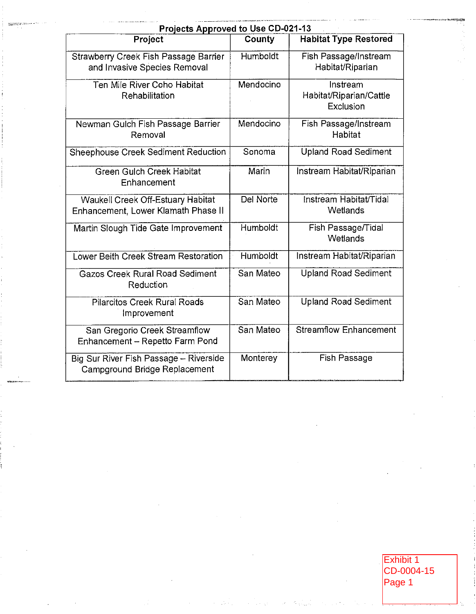| Projects Approved to Use CD-021-13                                              |                 |                                                  |
|---------------------------------------------------------------------------------|-----------------|--------------------------------------------------|
| Project                                                                         | County          | <b>Habitat Type Restored</b>                     |
| Strawberry Creek Fish Passage Barrier<br>and Invasive Species Removal           | Humboldt        | Fish Passage/Instream<br>Habitat/Riparian        |
| Ten Mile River Coho Habitat<br>Rehabilitation                                   | Mendocino       | Instream<br>Habitat/Riparian/Cattle<br>Exclusion |
| Newman Gulch Fish Passage Barrier<br>Removal                                    | Mendocino       | Fish Passage/Instream<br><b>Habitat</b>          |
| Sheephouse Creek Sediment Reduction                                             | Sonoma          | <b>Upland Road Sediment</b>                      |
| Green Gulch Creek Habitat<br>Enhancement                                        | Marin           | Instream Habitat/Riparian                        |
| <b>Waukell Creek Off-Estuary Habitat</b><br>Enhancement, Lower Klamath Phase II | Del Norte       | Instream Habitat/Tidal<br>Wetlands               |
| Martin Slough Tide Gate Improvement                                             | Humboldt        | Fish Passage/Tidal<br>Wetlands                   |
| Lower Beith Creek Stream Restoration                                            | <b>Humboldt</b> | Instream Habitat/Riparian                        |
| <b>Gazos Creek Rural Road Sediment</b><br>Reduction                             | San Mateo       | <b>Upland Road Sediment</b>                      |
| <b>Pilarcitos Creek Rural Roads</b><br>Improvement                              | San Mateo       | <b>Upland Road Sediment</b>                      |
| San Gregorio Creek Streamflow<br>Enhancement - Repetto Farm Pond                | San Mateo       | <b>Streamflow Enhancement</b>                    |
| Big Sur River Fish Passage - Riverside<br>Campground Bridge Replacement         | Monterey        | <b>Fish Passage</b>                              |

**NSMEDIAN** 

Exhibit 1<br>CD-0004-15<br>Page 1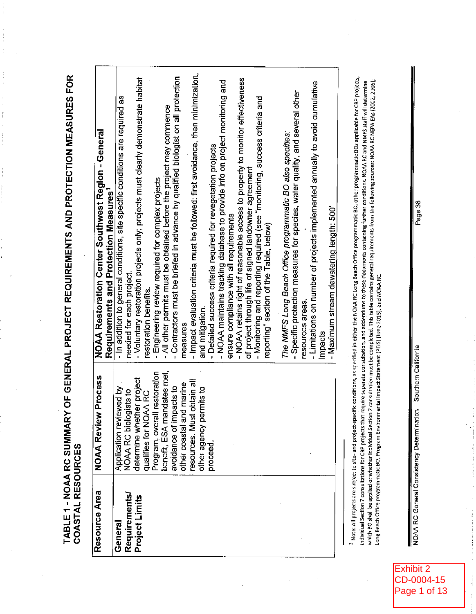TABLE 1 - NOAA RC SUMMARY OF GENERAL PROJECT REQUIREMENTS AND PROTECTION MEASURES FOR<br>COASTAL RESOURCES

 $\begin{array}{c} \mathbf{1} & \mathbf{1} \\ \mathbf{1} & \mathbf{1} \\ \mathbf{1} & \mathbf{1} \end{array}$ 

 $\vdots$ 

| - Contractors must be briefed in advance by qualified biologist on all protection<br>- Specific protection measures for species, water quality, and several other<br>The NMFS Long Beach Office programmatic BO also specifies:<br>- Detailed success criteria required for revegetation projects<br>of project through life of signed landowner agreement<br>Engineering review required for complex projects<br>ensure compliance with all requirements<br>reporting" section of the Table, below)<br>needed for each project.<br>restoration benefits.<br>resources areas.<br>and mitigation.<br>measures<br>impacts<br>Program, overall restoration<br>benefit, ESA mandates met,<br>avoidance of impacts to<br>her project<br>obtain all<br>d marine<br>swed by<br>other agency permits to<br>NOAA RC biologists to<br>qualifies for NOAA RC<br>other coastal an<br>resources. Must<br>Application revie<br>determine whet<br>proceed.<br><b>Requirements</b><br>Project Limits<br>General | Resource Area | <b>NOAA Review Process</b> | <b>NOAA Restoration Center Southwest Region - General</b>                          |
|-------------------------------------------------------------------------------------------------------------------------------------------------------------------------------------------------------------------------------------------------------------------------------------------------------------------------------------------------------------------------------------------------------------------------------------------------------------------------------------------------------------------------------------------------------------------------------------------------------------------------------------------------------------------------------------------------------------------------------------------------------------------------------------------------------------------------------------------------------------------------------------------------------------------------------------------------------------------------------------------------|---------------|----------------------------|------------------------------------------------------------------------------------|
|                                                                                                                                                                                                                                                                                                                                                                                                                                                                                                                                                                                                                                                                                                                                                                                                                                                                                                                                                                                                 |               |                            | Requirements and Protection Measures <sup>1</sup>                                  |
|                                                                                                                                                                                                                                                                                                                                                                                                                                                                                                                                                                                                                                                                                                                                                                                                                                                                                                                                                                                                 |               |                            | - In addition to general conditions, site specific conditions are required as      |
|                                                                                                                                                                                                                                                                                                                                                                                                                                                                                                                                                                                                                                                                                                                                                                                                                                                                                                                                                                                                 |               |                            |                                                                                    |
|                                                                                                                                                                                                                                                                                                                                                                                                                                                                                                                                                                                                                                                                                                                                                                                                                                                                                                                                                                                                 |               |                            | - Voluntary restoration projects only; projects must clearly demonstrate habitat   |
|                                                                                                                                                                                                                                                                                                                                                                                                                                                                                                                                                                                                                                                                                                                                                                                                                                                                                                                                                                                                 |               |                            |                                                                                    |
|                                                                                                                                                                                                                                                                                                                                                                                                                                                                                                                                                                                                                                                                                                                                                                                                                                                                                                                                                                                                 |               |                            |                                                                                    |
|                                                                                                                                                                                                                                                                                                                                                                                                                                                                                                                                                                                                                                                                                                                                                                                                                                                                                                                                                                                                 |               |                            | All other permits must be obtained before the project may commence                 |
|                                                                                                                                                                                                                                                                                                                                                                                                                                                                                                                                                                                                                                                                                                                                                                                                                                                                                                                                                                                                 |               |                            |                                                                                    |
|                                                                                                                                                                                                                                                                                                                                                                                                                                                                                                                                                                                                                                                                                                                                                                                                                                                                                                                                                                                                 |               |                            |                                                                                    |
|                                                                                                                                                                                                                                                                                                                                                                                                                                                                                                                                                                                                                                                                                                                                                                                                                                                                                                                                                                                                 |               |                            | - Impact evaluation criteria must be followed: first avoidance, then minimization, |
|                                                                                                                                                                                                                                                                                                                                                                                                                                                                                                                                                                                                                                                                                                                                                                                                                                                                                                                                                                                                 |               |                            |                                                                                    |
|                                                                                                                                                                                                                                                                                                                                                                                                                                                                                                                                                                                                                                                                                                                                                                                                                                                                                                                                                                                                 |               |                            |                                                                                    |
|                                                                                                                                                                                                                                                                                                                                                                                                                                                                                                                                                                                                                                                                                                                                                                                                                                                                                                                                                                                                 |               |                            | - NOAA maintains tracking database to provide info on project monitoring and       |
|                                                                                                                                                                                                                                                                                                                                                                                                                                                                                                                                                                                                                                                                                                                                                                                                                                                                                                                                                                                                 |               |                            |                                                                                    |
|                                                                                                                                                                                                                                                                                                                                                                                                                                                                                                                                                                                                                                                                                                                                                                                                                                                                                                                                                                                                 |               |                            | - NOAA retains right of reasonable access to property to monitor effectiveness     |
|                                                                                                                                                                                                                                                                                                                                                                                                                                                                                                                                                                                                                                                                                                                                                                                                                                                                                                                                                                                                 |               |                            |                                                                                    |
|                                                                                                                                                                                                                                                                                                                                                                                                                                                                                                                                                                                                                                                                                                                                                                                                                                                                                                                                                                                                 |               |                            | - Monitoring and reporting required (see "monitoring, success criteria and         |
|                                                                                                                                                                                                                                                                                                                                                                                                                                                                                                                                                                                                                                                                                                                                                                                                                                                                                                                                                                                                 |               |                            |                                                                                    |
|                                                                                                                                                                                                                                                                                                                                                                                                                                                                                                                                                                                                                                                                                                                                                                                                                                                                                                                                                                                                 |               |                            |                                                                                    |
|                                                                                                                                                                                                                                                                                                                                                                                                                                                                                                                                                                                                                                                                                                                                                                                                                                                                                                                                                                                                 |               |                            |                                                                                    |
|                                                                                                                                                                                                                                                                                                                                                                                                                                                                                                                                                                                                                                                                                                                                                                                                                                                                                                                                                                                                 |               |                            |                                                                                    |
|                                                                                                                                                                                                                                                                                                                                                                                                                                                                                                                                                                                                                                                                                                                                                                                                                                                                                                                                                                                                 |               |                            | - Limitations on number of projects implemented annually to avoid cumulative       |
|                                                                                                                                                                                                                                                                                                                                                                                                                                                                                                                                                                                                                                                                                                                                                                                                                                                                                                                                                                                                 |               |                            |                                                                                    |
| - Maximum stream dewatering length: 500'                                                                                                                                                                                                                                                                                                                                                                                                                                                                                                                                                                                                                                                                                                                                                                                                                                                                                                                                                        |               |                            |                                                                                    |

<sup>1</sup> Note: All projects are subject to site- and project-specific conditions, as specified in either the NOAA RC Long Beach Office programmatic BO, other programmatic BOs applicable for CRP projects, which BO shall be applied or whether individual Section 7 consultation must be completed. This table contains general requirements from the following sources: NOAA RC NEPA EAs (2002, 2006), individual Section 7 consultations for CRP projects that require separate consultation, and addendums to these documents containing further conditions. NOAA RC and NMFS staff will determine Long Beach Office programmatic BO, Program Environmental Impact Statement (PEtS) (June 2015), and NOAA RC.

NOAA RC General Consistency Determination - Southern California

计算机 计字符 医生物

 $\frac{1}{4}$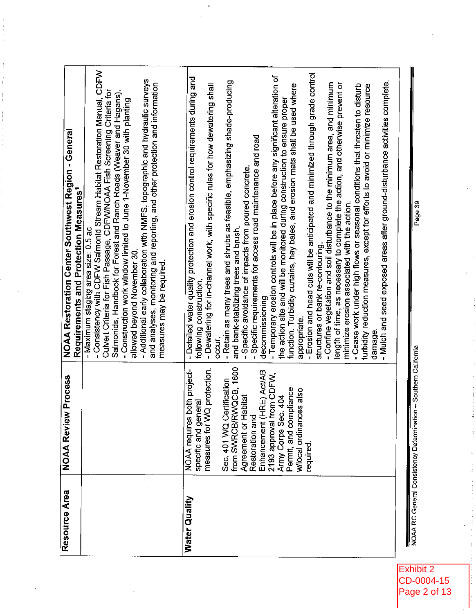| Resource Area | <b>NOAA Review Process</b>                                                                                                                                                                                                                                                                                                                | NOAA Restoration Center Southwest Region - General<br>Requirements and Protection Measures1                                                                                                                                                                                                                                                                                                                                                                                                                                                                                                                                                                                                                                                                                                                                                                                                                                                                                                                                                                                                                                                                                                                                                                                                                                                                                                                  |
|---------------|-------------------------------------------------------------------------------------------------------------------------------------------------------------------------------------------------------------------------------------------------------------------------------------------------------------------------------------------|--------------------------------------------------------------------------------------------------------------------------------------------------------------------------------------------------------------------------------------------------------------------------------------------------------------------------------------------------------------------------------------------------------------------------------------------------------------------------------------------------------------------------------------------------------------------------------------------------------------------------------------------------------------------------------------------------------------------------------------------------------------------------------------------------------------------------------------------------------------------------------------------------------------------------------------------------------------------------------------------------------------------------------------------------------------------------------------------------------------------------------------------------------------------------------------------------------------------------------------------------------------------------------------------------------------------------------------------------------------------------------------------------------------|
|               |                                                                                                                                                                                                                                                                                                                                           | - Consistency with CDFW Salmonid Stream Habitat Restoration Manual, CDFW<br>- Additional early collaboration with NMFS, topographic and hydraulic surveys<br>and analyses, monitoring and reporting, and other protection and information<br>Culvert Criteria for Fish Passage, CDFW/NOAA Fish Screening Criteria for<br>Salmonids, Handbook for Forest and Ranch Roads (Weaver and Hagans).<br>- Construction work window limited to June 1-November 30 with planting<br>- Maximum staging area size: 0.5 ac<br>allowed beyond November 30.<br>measures may be required.                                                                                                                                                                                                                                                                                                                                                                                                                                                                                                                                                                                                                                                                                                                                                                                                                                    |
| Water Quality | from SWRCB/RWQCB, 1600<br>measures for WQ protection.<br>NOAA requires both project-<br>(HRE) Act/AB<br>from CDFW,<br>Sec. 401 WQ Certification<br>Permit, and compliance<br>wlocal ordinances also<br>Agreement or Habitat<br>Army Corps Sec. 404<br>specific and general<br>Restoration and<br>Enhancement<br>2193 approval<br>required | Erosion and head cuts will be anticipated and minimized through grade control<br>- Temporary erosion controls will be in place before any significant alteration of<br>- Detailed water quality protection and erosion control requirements during and<br>Retain as many trees and shrubs as feasible, emphasizing shade-producing<br>- Mulch and seed exposed areas after ground-disturbance activities complete.<br>- Confine vegetation and soil disturbance to the minimum area, and minimum<br>length of time, as necessary to complete the action, and otherwise prevent or<br>function. Turbidity curtains, hay bales, and erosion mats shall be used where<br>- Cease work under high flows or seasonal conditions that threaten to disturb<br>- Dewatering for in-channel work, with specific rules for how dewatering shall<br>turbidity reduction measures, except for efforts to avoid or minimize resource<br>the action site and will be monitored during construction to ensure proper<br>Specific requirements for access road maintenance and road<br>Specific avoidance of impacts from poured concrete.<br>minimize erosion associated with the action.<br>and bank-stabilizing trees and brush.<br>structures or bank re-contouring.<br>following construction.<br>decommissioning<br>appropriate.<br>damage.<br>occur.<br>$\mathbf{I}$<br>$\mathbf{I}$<br>$\mathbf I$<br>$\blacksquare$ |
|               | NOAA RC General Consistency Determination - Southern California                                                                                                                                                                                                                                                                           | Page 39                                                                                                                                                                                                                                                                                                                                                                                                                                                                                                                                                                                                                                                                                                                                                                                                                                                                                                                                                                                                                                                                                                                                                                                                                                                                                                                                                                                                      |

Exhibit 2<br>CD-0004-15<br>Page 2 of 13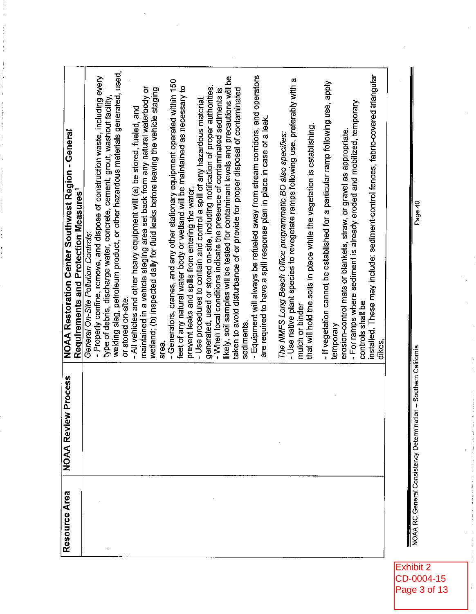| Resource Area | <b>NOAA Review Process</b> |                                                                                                    |
|---------------|----------------------------|----------------------------------------------------------------------------------------------------|
|               |                            | NOAA Restoration Center Southwest Region - General                                                 |
|               |                            | Requirements and Protection Measures <sup>1</sup>                                                  |
|               |                            | General On-Site Pollution Controls:                                                                |
|               |                            | - Properly confine, remove, and dispose of construction waste, including every                     |
|               |                            | type of debris, discharge water, concrete, cement, grout, washout facility,                        |
|               |                            | welding slag, petroleum product, or other hazardous materials generated, used,                     |
|               |                            | or stored on-site.                                                                                 |
|               |                            | - All vehicles and other heavy equipment will (a) be stored, fueled, and                           |
|               |                            | maintained in a vehicle staging area set back from any natural waterbody or                        |
|               |                            | wetland; (b) inspected daily for fluid leaks before leaving the vehicle staging                    |
|               |                            | area.                                                                                              |
|               |                            | - Generators, cranes, and any other stationary equipment operated within 150                       |
|               |                            | feet of any natural water body or wetland will be maintained as necessary to                       |
|               |                            | prevent leaks and spills from entering the water.                                                  |
|               |                            | - Use procedures to contain and control a spill of any hazardous material                          |
|               |                            | generated, used or stored on-site, including notification of proper authorities.                   |
|               |                            | - When local conditions indicate the presence of contaminated sediments is                         |
|               |                            | likely, soil samples will be tested for contaminant levels and precautions will be                 |
|               |                            | taken to avoid disturbance of or provide for proper disposal of contaminated                       |
|               |                            | sediments.                                                                                         |
|               |                            | - Equipment will always be refueled away from stream corridors, and operators                      |
|               |                            | are required to have a spill response plan in place in case of a leak.                             |
|               |                            |                                                                                                    |
|               |                            | The NMFS Long Beach Office programmatic BO also specifies:                                         |
|               |                            | - Use native plant species to revegetate ramps following use, preferably with a<br>mulch or binder |
|               |                            | that will hold the soils in place while the vegetation is establishing.                            |
|               |                            |                                                                                                    |
|               |                            | - If vegetation cannot be established for a particular ramp following use, apply                   |
|               |                            | temporary                                                                                          |
|               |                            | erosion-control mats or blankets, straw, or gravel as appropriate.                                 |
|               |                            | - For ramps where sediment is already eroded and mobilized, temporary<br>controls shall be         |
|               |                            |                                                                                                    |
|               |                            | installed. These may include: sediment-control fences, fabric-covered triangular<br>dikes,         |
|               |                            |                                                                                                    |
|               |                            |                                                                                                    |

NOAA RC General Consistency Determination -- Southern California

 $\frac{1}{4}$ 

i<br>I

Exhibit 2<br>CD-0004-15<br>Page 3 of 13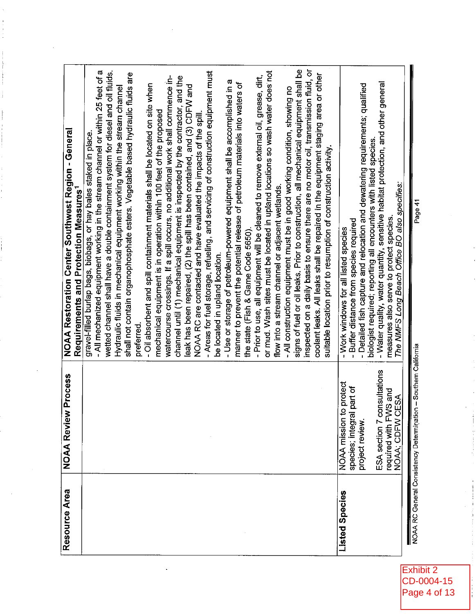| Resource Area  | <b>NOAA Review Process</b>                                      | NOAA Restoration Center Southwest Region - General                                                                          |
|----------------|-----------------------------------------------------------------|-----------------------------------------------------------------------------------------------------------------------------|
|                |                                                                 | Requirements and Protection Measures <sup>1</sup>                                                                           |
|                |                                                                 | gravel-filled burlap bags, biobags, or hay bales staked in place.                                                           |
|                |                                                                 | - All mechanized equipment working in the stream channel or within 25 feet of a                                             |
|                |                                                                 | wetted channel shall have a double containment system for diesel and oil fluids.                                            |
|                |                                                                 | Hydraulic fluids in mechanical equipment working within the stream channel                                                  |
|                |                                                                 | shall not contain organophosphate esters. Vegetable based hydraulic fluids are                                              |
|                |                                                                 | preferred.                                                                                                                  |
|                |                                                                 | - Oil absorbent and spill containment materials shall be located on site when                                               |
|                |                                                                 | mechanical equipment is in operation within 100 feet of the proposed                                                        |
|                |                                                                 | watercourse crossings. If a spill occurs, no additional work shall commence in-                                             |
|                |                                                                 | channel until (1) mechanical equipment is inspected by the contractor, and the                                              |
|                |                                                                 | leak has been repaired, (2) the spill has been contained, and (3) CDFW and                                                  |
|                |                                                                 | NOAA RC are contacted and have evaluated the impacts of the spill.                                                          |
|                |                                                                 | - Areas for fuel storage, refueling, and servicing of construction equipment must                                           |
|                |                                                                 | be located in upland location.                                                                                              |
|                |                                                                 | - Use or storage of petroleum-powered equipment shall be accomplished in a                                                  |
|                |                                                                 | manner to prevent the potential release of petroleum materials into waters of                                               |
|                |                                                                 | the state (Fish & Game Code 5650).                                                                                          |
|                |                                                                 | - Prior to use, all equipment will be cleaned to remove external oil, grease, dirt,                                         |
|                |                                                                 | or mud. Wash sites must be located in upland locations so wash water does not                                               |
|                |                                                                 | flow into a stream channel or adjacent wetlands.                                                                            |
|                |                                                                 | - All construction equipment must be in good working condition, showing no                                                  |
|                |                                                                 | signs of fuel or oil leaks. Prior to construction, all mechanical equipment shall be                                        |
|                |                                                                 | inspected on a daily basis to ensure there are no motor oil, transmission fluid, or                                         |
|                |                                                                 | coolant leaks. All leaks shall be repaired in the equipment staging area or other                                           |
|                |                                                                 | suitable location prior to resumption of construction activity.                                                             |
| Listed Species | to protect<br>NOAA mission                                      | Work windows for all listed species<br>$\mathbf{I}$                                                                         |
|                | species; integral part of                                       | Buffer distance from species required<br>$\mathbf{I}$                                                                       |
|                | project review.                                                 | Detailed fish capture and relocation and dewatering requirements; qualified<br>$\mathbf{I}$                                 |
|                | consultations<br>ESA section 7                                  | biologist required; reporting all encounters with listed species.                                                           |
|                | WS and<br>required with F                                       | - Water quality, water quantity, sensitive habitat protection, and other general<br>measures also serve to protect species. |
|                | CESA<br>NOAA; CDFW                                              | The NMFS Long Beach Office BO also specifies:                                                                               |
|                |                                                                 |                                                                                                                             |
|                | NOAA RC General Consistency Determination - Southern California | Page 41                                                                                                                     |

Exhibit 2<br>CD-0004-15 Page 4 of 13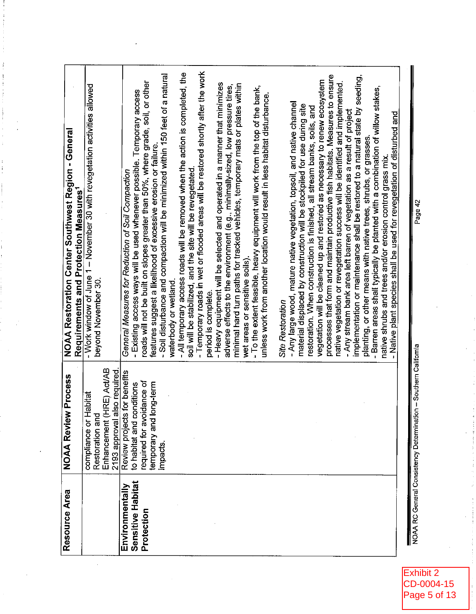| Resource Area                          | <b>NOAA Review Process</b>      |                                                                                   |
|----------------------------------------|---------------------------------|-----------------------------------------------------------------------------------|
|                                        |                                 | NOAA Restoration Center Southwest Region - General                                |
|                                        |                                 | Requirements and Protection Measures <sup>1</sup>                                 |
|                                        | Habitat<br>compliance or        | - Work window of June 1 - November 30 with revegetation activities allowed        |
|                                        | Restoration and                 | beyond November 30.                                                               |
|                                        | (HRE) Act/AB<br>Enhancement     |                                                                                   |
|                                        | also required.<br>2193 approval |                                                                                   |
| Environmentally                        | Review projects for benefits    | General Measures for Reduction of Soil Compaction                                 |
| Sensitive Habitat                      | to habitat and conditions       | - Existing access ways will be used whenever possible. Temporary access           |
| Protection                             | required for avoidance of       | roads will not be built on slopes greater than 50%, where grade, soil, or other   |
|                                        | long-term<br>temporary and      | features suggest a likelihood of excessive erosion or failure.                    |
|                                        | impacts.                        | - Soil disturbance and compaction will be minimized within 150 feet of a natural  |
|                                        |                                 | waterbody or wetland.                                                             |
|                                        |                                 | - All temporary access roads will be removed when the action is completed, the    |
|                                        |                                 | soil will be stabilized, and the site will be revegetated.                        |
|                                        |                                 | - Temporary roads in wet or flooded areas will be restored shortly after the work |
|                                        |                                 | period is complete.                                                               |
|                                        |                                 | - Heavy equipment will be selected and operated in a manner that minimizes        |
|                                        |                                 | adverse effects to the environment (e.g., minimally-sized, low pressure tires,    |
|                                        |                                 | minimal hard turn paths for tracked vehicles, temporary mats or plates within     |
|                                        |                                 | wet areas or sensitive soils).                                                    |
|                                        |                                 | - To the extent feasible, heavy equipment will work from the top of the bank,     |
|                                        |                                 | unless work from another location would result in less habitat disturbance.       |
|                                        |                                 | <b>Site Restoration</b>                                                           |
|                                        |                                 | - Any large wood, mature native vegetation, topsoil, and native channel           |
|                                        |                                 | material displaced by construction will be stockpiled for use during site         |
|                                        |                                 | restoration. When construction is finished, all stream banks, soils, and          |
|                                        |                                 | vegetation will be cleaned up and restored as necessary to renew ecosystem        |
|                                        |                                 | processes that form and maintain productive fish habitats. Measures to ensure     |
|                                        |                                 | native vegetation or revegetation success will be identified and implemented.     |
|                                        |                                 | - Any stream bank area left barren of vegetation as a result of project           |
|                                        |                                 | implementation or maintenance shall be restored to a natural state by seeding,    |
|                                        |                                 | planting, or other means with native trees, shrubs, or grasses.                   |
|                                        |                                 | - Barren areas shall typically be planted with a combination of willow stakes,    |
|                                        |                                 | native shrubs and trees and/or erosion control grass mix.                         |
|                                        |                                 | - Native plant species shall be used for revegetation of disturbed and            |
|                                        |                                 |                                                                                   |
| NOAA RC General Consistency Determinat | ion – Southern California       | Daca 47                                                                           |

Exhibit 2 CD-0004-15<br>Page 5 of 13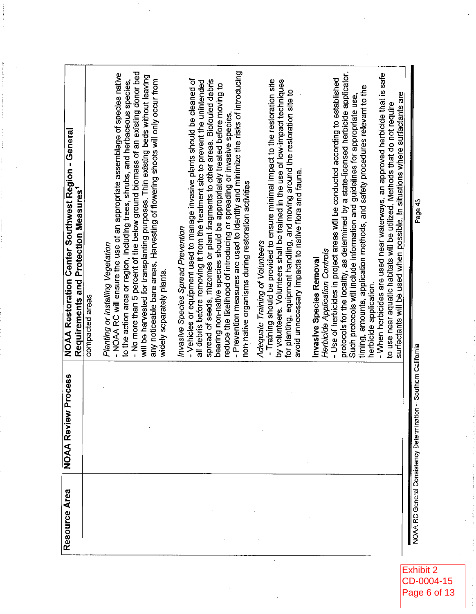| - When herbicides are used near waterways, an approved herbicide that is safe<br>surfactants will be used when possible. In situations where surfactants are<br>to use near aquatic habitats will be utilized. Methods that do not require |
|--------------------------------------------------------------------------------------------------------------------------------------------------------------------------------------------------------------------------------------------|
| Page 43<br>on - Southern California<br>NOAA RC General Consistency Determinati                                                                                                                                                             |

Exhibit 2<br>CD-0004-15<br>Page 6 of 13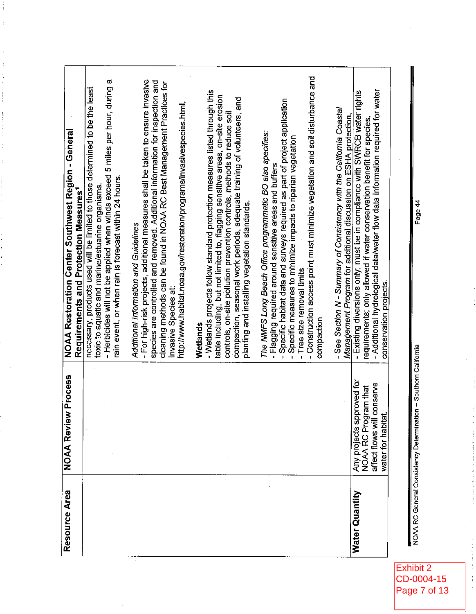| Resource Area  | <b>NOAA Review Process</b>                            | NOAA Restoration Center Southwest Region - General<br>Requirements and Protection Measures <sup>1</sup>                                                                                                           |
|----------------|-------------------------------------------------------|-------------------------------------------------------------------------------------------------------------------------------------------------------------------------------------------------------------------|
|                |                                                       |                                                                                                                                                                                                                   |
|                |                                                       | - Herbicides will not be applied when winds exceed 5 miles per hour, during a<br>necessary, products used will be limited to those determined to be the least<br>toxic to aquatic and marine/estuarine organisms. |
|                |                                                       | rain event, or when rain is forecast within 24 hours.                                                                                                                                                             |
|                |                                                       | - For high-risk projects, additional measures shall be taken to ensure invasive<br>species are controlled and removed. Additional information for inspection and<br>Additional Information and Guidelines         |
|                |                                                       | cleaning methods can be found in NOAA RC Best Management Practices for<br>Invasive Species at:                                                                                                                    |
|                |                                                       | http://www.habitat.noaa.gov/restoration/programs/invasivespecies.html.                                                                                                                                            |
|                |                                                       | - Wetlands projects follow standard protection measures listed through this<br>Wetlands                                                                                                                           |
|                |                                                       | table including, but not limited to, flagging sensitive areas, on-site erosion<br>controls, on-site pollution prevention controls, methods to reduce soil                                                         |
|                |                                                       | compaction, seasonal work periods, adequate training of volunteers, and<br>planting and installing vegetation standards.                                                                                          |
|                |                                                       | The NMFS Long Beach Office programmatic BO also specifies:                                                                                                                                                        |
|                |                                                       | - Flagging required around sensitive areas and buffers                                                                                                                                                            |
|                |                                                       | Specific habitat data and surveys required as part of project application<br>Specific measures to minimize impacts to riparian vegetation<br>$\mathbf{I}$<br>$\pmb{\cdot}$                                        |
|                |                                                       | - Tree size removal limits                                                                                                                                                                                        |
|                |                                                       | - Construction access point must minimize vegetation and soil disturbance and<br>compaction                                                                                                                       |
|                |                                                       | - See Section N - Summary of Consistency with the California Coastal                                                                                                                                              |
|                |                                                       | Management Program for additional discussion on ESHA protection.                                                                                                                                                  |
| Water Quantity | proved for<br>NOAA RC Program that<br>Any projects ap | - Existing diversions only; must be in compliance with SWRCB water rights<br>requirements; only allowed if water conservation benefit for species.                                                                |
|                | affect flows will conserve<br>water for habitat.      | - Additional hydrological data/water flow data information required for water                                                                                                                                     |
|                |                                                       | conservation projects.                                                                                                                                                                                            |

NOAA RC General Consistency Determination - Southern California

Page 44

Exhibit 2<br>CD-0004-15<br>Page 7 of 13

 $\frac{1}{2}$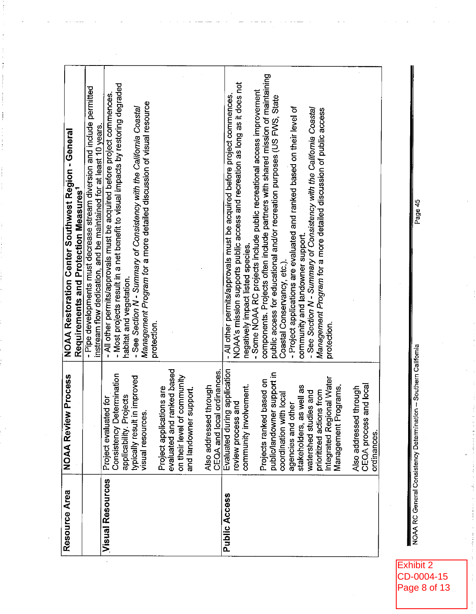| Resource Area           | <b>NOAA Review Process</b>                                                                    |                                                                                                                                                                                               |
|-------------------------|-----------------------------------------------------------------------------------------------|-----------------------------------------------------------------------------------------------------------------------------------------------------------------------------------------------|
|                         |                                                                                               | NOAA Restoration Center Southwest Region - General<br>Requirements and Protection Measures <sup>1</sup>                                                                                       |
|                         |                                                                                               | - Pipe developments must decrease stream diversion and include permitted<br>instream flow dedication, and be maintained for at least 10 years.                                                |
| <b>Visual Resources</b> | Consistency Determination<br>applicability. Projects<br>Project evaluated for                 | - Most projects result in a net benefit to visual impacts by restoring degraded<br>- All other permits/approvals must be acquired before project commences.<br>habitat and vegetation.        |
|                         | typically result in improved<br>visual resources                                              | Management Program for a more detailed discussion of visual resource<br>- See Section N - Summary of Consistency with the California Coastal<br>protection.                                   |
|                         | evaluated and ranked based<br>community<br>ions are<br>Project applicati<br>on their level of |                                                                                                                                                                                               |
|                         | ordinances.<br>through<br>and landowner support.<br>CEQA and local<br>Also addressed          |                                                                                                                                                                                               |
| Public Access           | Evaluated during application<br>review process and<br>review process                          | NOAA's mission supports public access and recreation as long as it does not<br>- All other permits/approvals must be acquired before project commences                                        |
|                         | based on<br>community involvement.<br>Projects ranked                                         | components. Projects often include partners with shared mission of maintaining<br>- Some NOAA RC projects include public recreational access improvement<br>negatively impact listed species. |
|                         | public/landowner support in<br>coordination with local                                        | public access for educational and/or recreation purposes (US FWS, State<br>Coastal Conservancy, etc.).                                                                                        |
|                         | stakeholders, as well as<br>agencies and other                                                | - Project applications are evaluated and ranked based on their level of<br>community and landowner support.                                                                                   |
|                         | prioritized actions from<br>watershed studies and                                             | - See Section N - Summary of Consistency with the California Coastal<br>Management Program for a more detailed discussion of public access                                                    |
|                         | Integrated Regional Water<br>Management Programs.                                             | protection                                                                                                                                                                                    |
|                         | and local<br>through<br>CEQA process a<br>Also addressed<br>ordinances                        |                                                                                                                                                                                               |
|                         |                                                                                               |                                                                                                                                                                                               |
|                         | NOAA RC General Consistency Determination -- Southern California                              | Page 45                                                                                                                                                                                       |

Exhibit 2<br>CD-0004-15<br>Page 8 of 13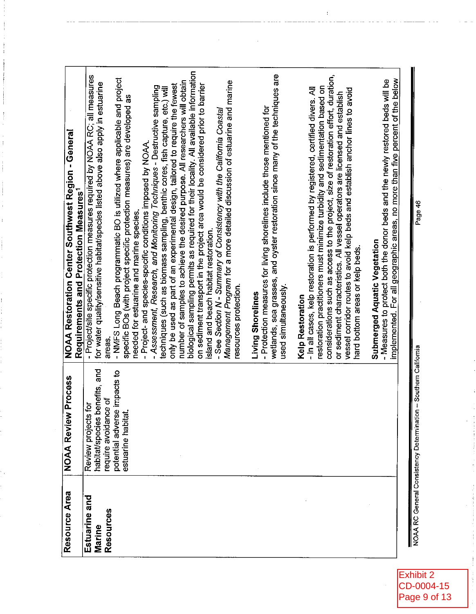| Resource Area       | <b>NOAA Review Process</b>                                      | NOAA Restoration Center Southwest Region - General                                                                                                                      |
|---------------------|-----------------------------------------------------------------|-------------------------------------------------------------------------------------------------------------------------------------------------------------------------|
|                     |                                                                 | Requirements and Protection Measures <sup>1</sup>                                                                                                                       |
| Estuarine and       | Review projects for                                             | - Project/site specific protection measures required by NOAA RC; all measures                                                                                           |
| Resources<br>Marine | habitat/species benefits, and<br>require avoidance of           | for water quality/sensitive habitat/species listed above also apply in estuarine<br>areas.                                                                              |
|                     | potential adverse impacts to                                    | - NMFS Long Beach programmatic BO is utilized where applicable and project                                                                                              |
|                     | estuarine habitat.                                              | specific BOs (with project specific protection measures) are developed as<br>needed for estuarine and marine species.                                                   |
|                     |                                                                 | - Assessment, Research, and Monitoring Techniques - Destructive sampling<br>- Project- and species-specific conditions imposed by NOAA.                                 |
|                     |                                                                 | techniques (such as biomass sampling, benthic cores, fish capture, etc.) will                                                                                           |
|                     |                                                                 | number of samples to achieve the desired purpose. All researchers will obtain<br>only be used as part of an experimental design, tailored to require the fewest         |
|                     |                                                                 | biological sampling permits as required for their locality. All available information<br>on sediment transport in the project area would be considered prior to barrier |
|                     |                                                                 | island and beach habitat restoration.                                                                                                                                   |
|                     |                                                                 | Management Program for a more detailed discussion of estuarine and marine<br>- See Section N - Summary of Consistency with the California Coastal                       |
|                     |                                                                 | resources protection.                                                                                                                                                   |
|                     |                                                                 | Living Shorelines                                                                                                                                                       |
|                     |                                                                 | wetlands, sea grasses, and oyster restoration since many of the techniques are<br>- Protection measures for living shorelines include those mentioned for               |
|                     |                                                                 | used simultaneously.                                                                                                                                                    |
|                     |                                                                 | Kelp Restoration                                                                                                                                                        |
|                     |                                                                 | restoration practitioners must minimize turbidity and sedimentation based on<br>- In all cases, kelp restoration is performed by registered, certified divers. All      |
|                     |                                                                 | considerations such as access to the project, size of restoration effort, duration,                                                                                     |
|                     |                                                                 | or sediment characteristics. All vessel operators are licensed and establish                                                                                            |
|                     |                                                                 | vessel corridor routes to avoid kelp beds and establish anchor lines to avoid<br>hard bottom areas or kelp beds.                                                        |
|                     |                                                                 | Submerged Aquatic Vegetation                                                                                                                                            |
|                     |                                                                 | - Measures to protect both the donor beds and the newly restored beds will be                                                                                           |
|                     |                                                                 | implemented. For all geographic areas, no more than five percent of the below                                                                                           |
|                     |                                                                 |                                                                                                                                                                         |
|                     | NOAA RC General Consistency Determination - Southern California | Page 46                                                                                                                                                                 |

 $\sim$ 

 $\hat{\mathbf{r}}$ 

Exhibit 2<br>CD-0004-15<br>Page 9 of 13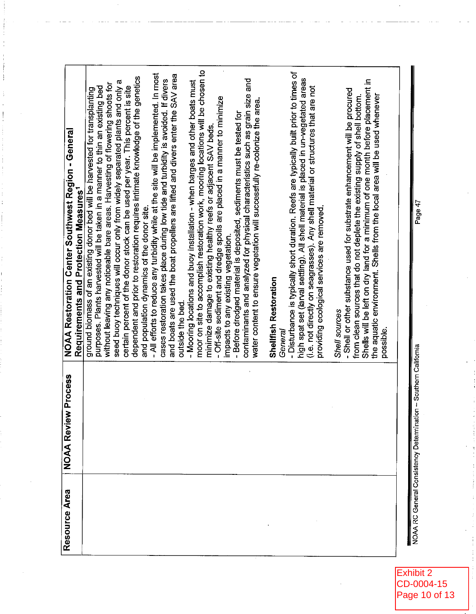| Resource Area                           | <b>NOAA Review Process</b> | NOAA Restoration Center Southwest Region - General                                                                                                                            |
|-----------------------------------------|----------------------------|-------------------------------------------------------------------------------------------------------------------------------------------------------------------------------|
|                                         |                            | Requirements and Protection Measures <sup>1</sup>                                                                                                                             |
|                                         |                            | purposes. Plants harvested will be taken in a manner to thin an existing bed<br>ground biomass of an existing donor bed will be harvested for transplanting                   |
|                                         |                            | without leaving any noticeable bare areas. Harvesting of flowering shoots for                                                                                                 |
|                                         |                            | seed buoy techniques will occur only from widely separated plants and only a                                                                                                  |
|                                         |                            | dependent and prior to restoration requires intimate knowledge of the genetics<br>certain percent of the donor stock can be used per year. This percent is site               |
|                                         |                            | and population dynamics of the donor site.                                                                                                                                    |
|                                         |                            | - All efforts to reduce any turbidity while at the site will be implemented. In most                                                                                          |
|                                         |                            | and boats are used the boat propellers are lifted and divers enter the SAV area<br>cases restoration takes place during low tide and turbidity is avoided. If divers          |
|                                         |                            | outside the bed.                                                                                                                                                              |
|                                         |                            | - Mooring locations and buoy installation - when barges and other boats must                                                                                                  |
|                                         |                            | moor on site to accomplish restoration work, mooring locations will be chosen to<br>minimize damage to existing healthy reets or adjacent SAV beds.                           |
|                                         |                            | - Off-site sediment and dredge spoils are placed in a manner to minimize                                                                                                      |
|                                         |                            | impacts to any existing vegetation.                                                                                                                                           |
|                                         |                            | - Before dredged material is deposited, sediments must be tested for                                                                                                          |
|                                         |                            | contaminants and analyzed for physical characteristics such as grain size and                                                                                                 |
|                                         |                            | water content to ensure vegetation will successfully re-colonize the area.                                                                                                    |
|                                         |                            | <b>Shellfish Restoration</b>                                                                                                                                                  |
|                                         |                            | General                                                                                                                                                                       |
|                                         |                            | - Disturbance is typically short duration. Reefs are typically built prior to times of<br>high spat set (larval settling). All shell material is placed in un-vegetated areas |
|                                         |                            | (i.e. not directly on seagrasses). Any shell material or structures that are not                                                                                              |
|                                         |                            | providing ecological services are removed.                                                                                                                                    |
|                                         |                            | Shell sources                                                                                                                                                                 |
|                                         |                            | - Shell or other substance used for substrate enhancement will be procured                                                                                                    |
|                                         |                            | Shells will be left on dry land for a minimum of one month before placement in<br>from clean sources that do not deplete the existing supply of shell bottom.                 |
|                                         |                            | the aquatic environment. Shells from the local area will be used whenever                                                                                                     |
|                                         |                            | possible.                                                                                                                                                                     |
|                                         |                            |                                                                                                                                                                               |
| NOAA RC General Consistency Determinati | on - Southern California   |                                                                                                                                                                               |
|                                         |                            | Page 47                                                                                                                                                                       |

Exhibit 2 CD-0004-15<br>Page 10 of 13

 $\bar{z}$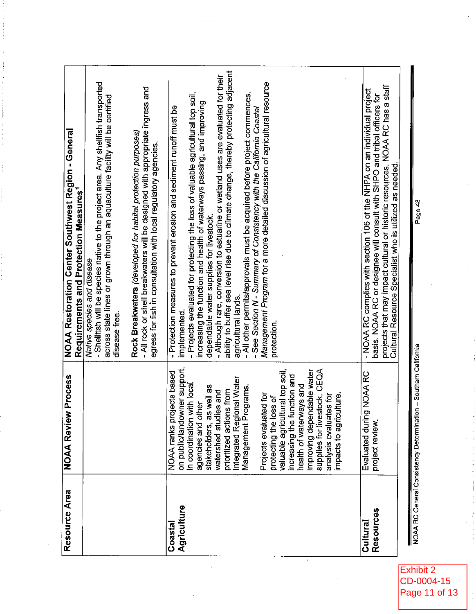| Resource Area                            | <b>NOAA Review Process</b>                                                                                                                                                                                                                                       | <b>NOAA Restoration Center Southwest Region - General</b><br>Requirements and Protection Measures <sup>1</sup>                                                                                                                                                                                                                                                                                                                                                                                                                                                                                                                                     |
|------------------------------------------|------------------------------------------------------------------------------------------------------------------------------------------------------------------------------------------------------------------------------------------------------------------|----------------------------------------------------------------------------------------------------------------------------------------------------------------------------------------------------------------------------------------------------------------------------------------------------------------------------------------------------------------------------------------------------------------------------------------------------------------------------------------------------------------------------------------------------------------------------------------------------------------------------------------------------|
|                                          |                                                                                                                                                                                                                                                                  | - Shelffish will be species native to the project area. Any shellfish transported<br>across state lines or grown through an aquaculture facility will be certified<br>Native species and disease<br>disease free.                                                                                                                                                                                                                                                                                                                                                                                                                                  |
|                                          |                                                                                                                                                                                                                                                                  | - All rock or shell breakwaters will be designed with appropriate ingress and<br>Rock Breakwaters (developed for habitat protection purposes)<br>egress for fish in consultation with local regulatory agencies.                                                                                                                                                                                                                                                                                                                                                                                                                                   |
| Agriculture<br>Coastal                   | on public/landowner support,<br>NOAA ranks projects based<br>Integrated Regional Water<br>Management Programs.<br>in coordination with local<br>stakeholders, as well as<br>prioritized actions from<br>watershed studies and<br>agencies and other              | ability to buffer sea level rise due to climate change, thereby protecting adjacent<br>- Although rare, conversion to estuarine or wetland uses are evaluated for their<br>- Projects evaluated for protecting the loss of valuable agricultural top soil,<br>- All other permits/approvals must be acquired before project commences.<br>increasing the function and health of waterways passing, and improving<br>- Protection measures to prevent erosion and sediment runoff must be<br>- See Section N - Summary of Consistency with the California Coastal<br>dependable water supplies for livestock.<br>agricultural lands.<br>implemented |
|                                          | improving dependable water<br>supplies for livestock, CEQA<br>valuable agricultural top soil,<br>increasing the function and<br>health of waterways and<br>Projects evaluated for<br>impacts to agriculture.<br>analysis evaluates for<br>protecting the loss of | Management Program for a more detailed discussion of agricultural resource<br>protection.                                                                                                                                                                                                                                                                                                                                                                                                                                                                                                                                                          |
| <b>Resources</b><br>Cultural             | Evaluated during NOAA RC<br>project review.                                                                                                                                                                                                                      | projects that may impact cultural or historic resources. NOAA RC has a staff<br>Cultural Resource Specialist who is utilized as needed.<br>- NOAA RC complies with section 106 of the NHPA on an individual project<br>basis. NOAA RC or designee will consult with SHPO and tribal officers for                                                                                                                                                                                                                                                                                                                                                   |
| NOAA RC General Consistency Determinatio | an — Southern California                                                                                                                                                                                                                                         | Doors                                                                                                                                                                                                                                                                                                                                                                                                                                                                                                                                                                                                                                              |

Exhibit 2<br>CD-0004-15<br>Page 11 of 13

-age 48<br>'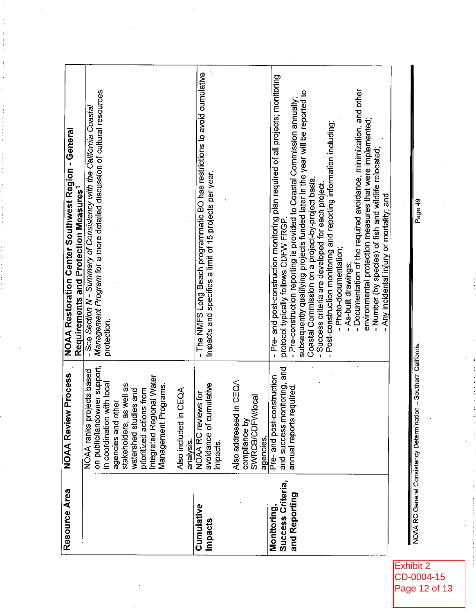|                                                      |                                                                                                                                                                                                                                                     | NOAA Restoration Center Southwest Region - General<br>Requirements and Protection Measures <sup>1</sup>                                                                                                                                                                                                                                                                                                                                                                                                                                                                                                                                                                                                                                                       |
|------------------------------------------------------|-----------------------------------------------------------------------------------------------------------------------------------------------------------------------------------------------------------------------------------------------------|---------------------------------------------------------------------------------------------------------------------------------------------------------------------------------------------------------------------------------------------------------------------------------------------------------------------------------------------------------------------------------------------------------------------------------------------------------------------------------------------------------------------------------------------------------------------------------------------------------------------------------------------------------------------------------------------------------------------------------------------------------------|
|                                                      | on public/landowner support,<br>NOAA ranks projects based<br>Integrated Regional Water<br>in coordination with local<br>stakeholders, as well as<br>Management Programs.<br>prioritized actions from<br>watershed studies and<br>agencies and other | Management Program for a more detailed discussion of cultural resources<br>- See Section N - Summary of Consistency with the California Coastal<br>protection.                                                                                                                                                                                                                                                                                                                                                                                                                                                                                                                                                                                                |
| Also included in<br>analysis.                        | CEQA                                                                                                                                                                                                                                                |                                                                                                                                                                                                                                                                                                                                                                                                                                                                                                                                                                                                                                                                                                                                                               |
| avoidance of cu<br>impacts.<br>Cumulative<br>Impacts | mulative<br>NOAA RC reviews for                                                                                                                                                                                                                     | - The NMFS Long Beach programmatic BO has restrictions to avoid cumulative<br>impacts and specifies a limit of 15 projects per year.                                                                                                                                                                                                                                                                                                                                                                                                                                                                                                                                                                                                                          |
| Also addressed<br>compliance by<br>agencies.         | in CEQA<br>SWRCB/CDFWlocal                                                                                                                                                                                                                          |                                                                                                                                                                                                                                                                                                                                                                                                                                                                                                                                                                                                                                                                                                                                                               |
| Success Criteria,<br>and Reporting<br>Monitoring,    | and success monitoring, and<br>Pre-and post-construction<br>annual reports required.                                                                                                                                                                | - Pre- and post-construction monitoring plan required of all projects; monitoring<br>- Documentation of the required avoidance, minimization, and other<br>- Pre-construction reporting is provided to Coastal Commission annually;<br>subsequently qualifying projects funded later in the year will be reported to<br>environmental protection measures that were implemented;<br>- Post-construction monitoring and reporting information including:<br>- Number (by species) of fish and wildlife relocated;<br>Coastal Commission on a project-by-project basis.<br>Success criteria are developed for each project.<br>Any incidental injury or mortality; and<br>protocol typically follows CDFW FRGP<br>- Photo-documentation;<br>- As-built drawings |

 $\frac{1}{2}$  ,  $\frac{1}{2}$ 

 $\frac{1}{2}$ 

 $\bar{\gamma}$ 

NOAA RC General Consistency Determination - Southern California

Page 49

Exhibit 2<br>CD-0004-15<br>Page 12 of 13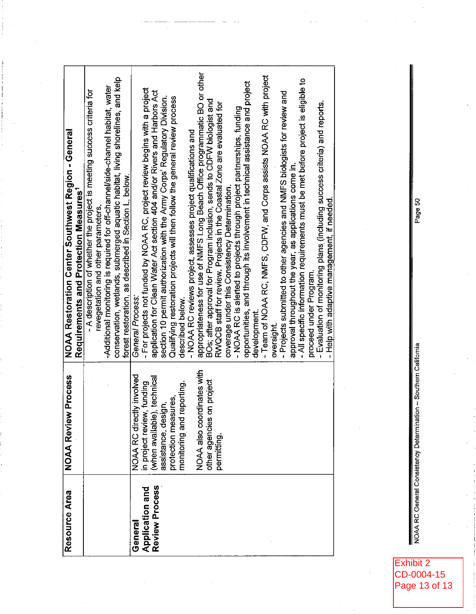| Resource Area          | <b>NOAA Review Process</b>                         | NOAA Restoration Center Southwest Region - General<br>Requirements and Protection Measures <sup>1</sup>      |
|------------------------|----------------------------------------------------|--------------------------------------------------------------------------------------------------------------|
|                        |                                                    | - A description of whether the project is meeting success criteria for<br>revegetation and other parameters. |
|                        |                                                    | -Additional monitoring is required for off-channel/side-channel habitat, water                               |
|                        |                                                    | conservation, wetlands, submerged aquatic habitat, living shorelines, and kelp                               |
|                        |                                                    | forest restoration, as described in Section L, below.                                                        |
| General                | NOAA RC directly involved                          | General Process                                                                                              |
| <b>Application and</b> | in project review, funding                         | - For projects not funded by NOAA RC, project review begins with a project                                   |
| Review Process         | (when available), technical<br>assistance, design, | application for Clean Water Act section 404 and/or Rivers and Harbors Act                                    |
|                        |                                                    | section 10 permit authorization with the Army Corps' Regulatory Division.                                    |
|                        | protection measures,                               | Qualifying restoration projects will then follow the general review process                                  |
|                        | monitoring and reporting.                          | described below.                                                                                             |
|                        |                                                    | - NOAA RC reviews project, assesses project qualifications and                                               |
|                        | NOAA also coordinates with                         | appropriateness for use of NMFS Long Beach Office programmatic BO or other                                   |
|                        | on project<br>other agencies                       | BOs; after approval for Program inclusion, sends to CDFW biologist and                                       |
|                        | permitting.                                        | RWQCB staff for review. Projects in the Coastal Zone are evaluated for                                       |
|                        |                                                    | coverage under this Consistency Determination.                                                               |
|                        |                                                    | - NOAA RC is alerted to projects through project partnerships, funding                                       |
|                        |                                                    | opportunities, and through its involvement in technical assistance and project                               |
|                        |                                                    | development                                                                                                  |
|                        |                                                    | - Team of NOAA RC, NMFS, CDFW, and Corps assists NOAA RC with project                                        |
|                        |                                                    | oversight.                                                                                                   |
|                        |                                                    | - Projects submitted to other agencies and NMFS biologists for review and                                    |
|                        |                                                    | approval throughout the year, as applications come in.                                                       |
|                        |                                                    | - All specific information requirements must be met before project is eligible to                            |
|                        |                                                    | proceed under Program.                                                                                       |
|                        |                                                    | - Evaluation of monitoring plans (including success criteria) and reports.                                   |
|                        |                                                    | Help with adaptive management, if needed.                                                                    |
|                        |                                                    |                                                                                                              |

NOAA RC General Consistency Determination -- Southern California

Page 50

Exhibit 2<br>CD-0004-15<br>Page 13 of 13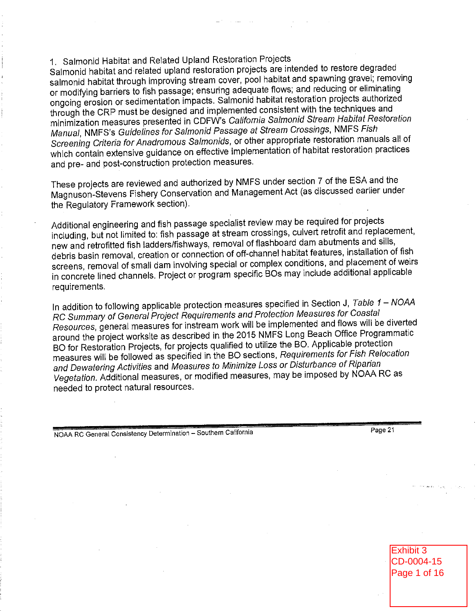# 1. Salmonid Habitat and Related Upland Restoration Projects

Salmonid habitat and related upland restoration projects are intended to restore degraded salmonid habitat through improving stream cover, pool habitat and spawning gravel; removing or modifying barriers to fish passage; ensuring adequate flows; and reducing or eliminating ongoing erosion or sedimentation impacts. Salmonid habitat restoration projects authorized through the CRP must be designed and implemented consistent with the techniques and minimization measures presented in CDFW's California Salmonid Stream Habitat Restoration Manual, NMFS's Guidelines for Salmonid Passage at Stream Crossings, NMFS Fish Screening Criteria for Anadromous Salmonids, or other appropriate restoration manuals all of which contain extensive guidance on effective implementation of habitat restoration practices and pre- and post-construction protection measures.

These projects are reviewed and authorized by NMFS under section 7 of the ESA and the Magnuson-Stevens Fishery Conservation and Management Act (as discussed earlier under the Regulatory Framework section).

Additional engineering and fish passage specialist review may be required for projects including, but not limited to: fish passage at stream crossings, culvert retrofit and replacement, new and retrofitted fish ladders/fishways, removal of flashboard dam abutments and sills, debris basin removal, creation or connection of off-channel habitat features, installation of fish screens, removal of small dam involving special or complex conditions, and placement of weirs in concrete lined channels. Project or program specific BOs may include additional applicable requirements.

In addition to following applicable protection measures specified in Section J, Table 1 - NOAA RC Summary of General Project Requirements and Protection Measures for Coastal Resources, general measures for instream work will be implemented and flows will be diverted around the project worksite as described in the 2015 NMFS Long Beach Office Programmatic BO for Restoration Projects, for projects qualified to utilize the BO. Applicable protection measures will be followed as specified in the BO sections, Requirements for Fish Relocation and Dewatering Activities and Measures to Minimize Loss or Disturbance of Riparian Vegetation. Additional measures, or modified measures, may be imposed by NOAA RC as needed to protect natural resources.

NOAA RC General Consistency Determination - Southern California

Page 21

Exhibit 3 CD-0004-15 Page 1 of 16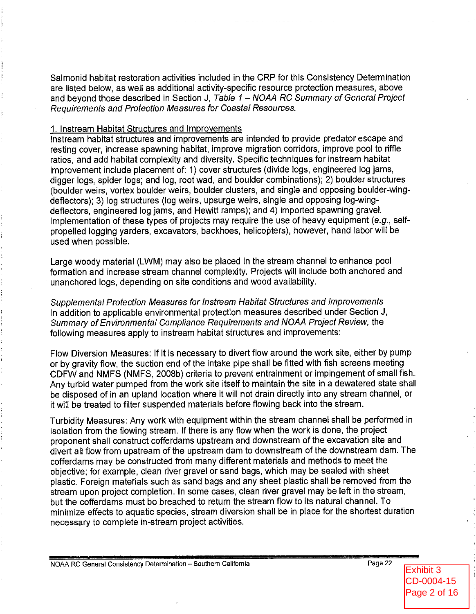Salmonid habitat restoration activities included in the CRP for this Consistency Determination are listed below, as well as additional activity-specific resource protection measures, above and beyond those described in Section J. Table 1 – NOAA RC Summary of General Project Requirements and Protection Measures for Coastal Resources.

#### 1. Instream Habitat Structures and Improvements

Instream habitat structures and improvements are intended to provide predator escape and resting cover, increase spawning habitat, improve migration corridors, improve pool to riffle ratios, and add habitat complexity and diversity. Specific techniques for instream habitat improvement include placement of: 1) cover structures (divide logs, engineered log jams, digger logs, spider logs; and log, root wad, and boulder combinations); 2) boulder structures (boulder weirs, vortex boulder weirs, boulder clusters, and single and opposing boulder-wingdeflectors); 3) log structures (log weirs, upsurge weirs, single and opposing log-wingdeflectors, engineered log jams, and Hewitt ramps); and 4) imported spawning gravel. Implementation of these types of projects may require the use of heavy equipment (e.g., selfpropelled logging varders, excavators, backhoes, helicopters), however, hand labor will be used when possible.

Large woody material (LWM) may also be placed in the stream channel to enhance pool formation and increase stream channel complexity. Projects will include both anchored and unanchored logs, depending on site conditions and wood availability.

Supplemental Protection Measures for Instream Habitat Structures and Improvements In addition to applicable environmental protection measures described under Section J, Summary of Environmental Compliance Requirements and NOAA Project Review, the following measures apply to instream habitat structures and improvements:

Flow Diversion Measures: If it is necessary to divert flow around the work site, either by pump or by gravity flow, the suction end of the intake pipe shall be fitted with fish screens meeting CDFW and NMFS (NMFS, 2008b) criteria to prevent entrainment or impingement of small fish. Any turbid water pumped from the work site itself to maintain the site in a dewatered state shall be disposed of in an upland location where it will not drain directly into any stream channel, or it will be treated to filter suspended materials before flowing back into the stream.

Turbidity Measures: Any work with equipment within the stream channel shall be performed in isolation from the flowing stream. If there is any flow when the work is done, the project proponent shall construct cofferdams upstream and downstream of the excavation site and divert all flow from upstream of the upstream dam to downstream of the downstream dam. The cofferdams may be constructed from many different materials and methods to meet the objective; for example, clean river gravel or sand bags, which may be sealed with sheet plastic. Foreign materials such as sand bags and any sheet plastic shall be removed from the stream upon project completion. In some cases, clean river gravel may be left in the stream, but the cofferdams must be breached to return the stream flow to its natural channel. To minimize effects to aquatic species, stream diversion shall be in place for the shortest duration necessary to complete in-stream project activities.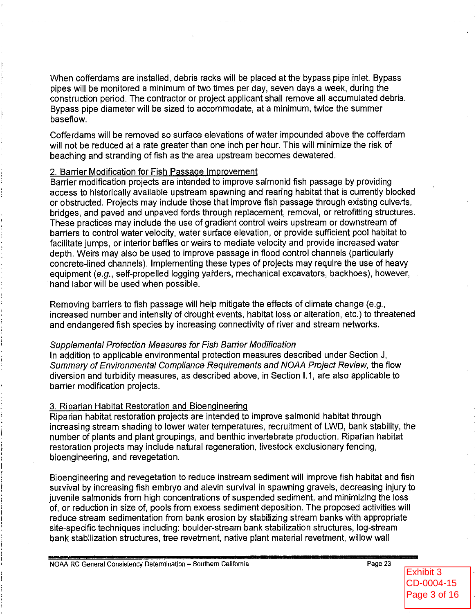When cofferdams are installed, debris racks will be placed at the bypass pipe inlet. Bypass pipes will be monitored a minimum of two times per day, seven days a week, during the construction period. The contractor or project applicant shall remove all accumulated debris. Bypass pipe diameter will be sized to accommodate, at a minimum, twice the summer baseflow.

Cofferdams will be removed so surface elevations of water impounded above the cofferdam will not be reduced at a rate greater than one inch per hour. This will minimize the risk of beaching and stranding of fish as the area upstream becomes dewatered.

#### 2. Barrier Modification for Fish Passage Improvement

Barrier modification projects are intended to improve salmonid fish passage by providing access to historically available upstream spawning and rearing habitat that is currently blocked or obstructed. Projects may include those that improve fish passage through existing culverts, bridges, and payed and unpayed fords through replacement, removal, or retrofitting structures. These practices may include the use of gradient control weirs upstream or downstream of barriers to control water velocity, water surface elevation, or provide sufficient pool habitat to facilitate jumps, or interior baffles or weirs to mediate velocity and provide increased water depth. Weirs may also be used to improve passage in flood control channels (particularly concrete-lined channels). Implementing these types of projects may require the use of heavy equipment (e.g., self-propelled logging yarders, mechanical excavators, backhoes), however, hand labor will be used when possible.

Removing barriers to fish passage will help mitigate the effects of climate change (e.g., increased number and intensity of drought events, habitat loss or alteration, etc.) to threatened and endangered fish species by increasing connectivity of river and stream networks.

#### Supplemental Protection Measures for Fish Barrier Modification

In addition to applicable environmental protection measures described under Section J. Summary of Environmental Compliance Requirements and NOAA Project Review, the flow diversion and turbidity measures, as described above, in Section I.1, are also applicable to barrier modification projects.

#### 3. Riparian Habitat Restoration and Bioengineering

Riparian habitat restoration projects are intended to improve salmonid habitat through increasing stream shading to lower water temperatures, recruitment of LWD, bank stability, the number of plants and plant groupings, and benthic invertebrate production. Riparian habitat restoration projects may include natural regeneration, livestock exclusionary fencing, bioengineering, and revegetation.

Bioengineering and revegetation to reduce instream sediment will improve fish habitat and fish survival by increasing fish embryo and alevin survival in spawning gravels, decreasing injury to juvenile salmonids from high concentrations of suspended sediment, and minimizing the loss of, or reduction in size of, pools from excess sediment deposition. The proposed activities will reduce stream sedimentation from bank erosion by stabilizing stream banks with appropriate site-specific techniques including: boulder-stream bank stabilization structures, log-stream bank stabilization structures, tree revetment, native plant material revetment, willow wall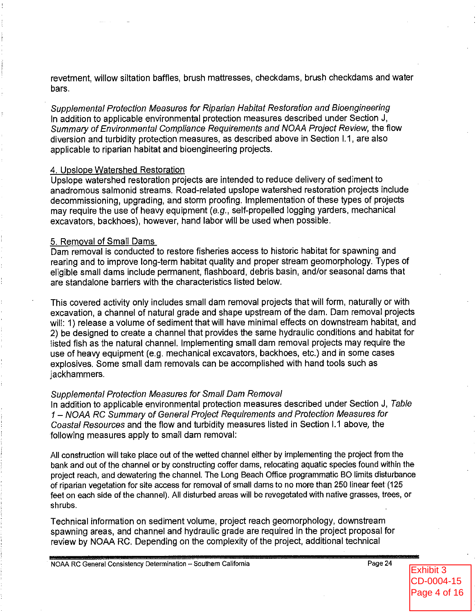revetment, willow siltation baffles, brush mattresses, checkdams, brush checkdams and water bars.

Supplemental Protection Measures for Riparian Habitat Restoration and Bioengineering In addition to applicable environmental protection measures described under Section J. Summary of Environmental Compliance Requirements and NOAA Project Review, the flow diversion and turbidity protection measures, as described above in Section I.1, are also applicable to riparian habitat and bioengineering projects.

#### 4. Upslope Watershed Restoration

Upslope watershed restoration projects are intended to reduce delivery of sediment to anadromous salmonid streams. Road-related upslope watershed restoration projects include decommissioning, upgrading, and storm proofing. Implementation of these types of proiects may require the use of heavy equipment (e.g., self-propelled logging yarders, mechanical excavators, backhoes), however, hand labor will be used when possible.

### 5. Removal of Small Dams

Dam removal is conducted to restore fisheries access to historic habitat for spawning and rearing and to improve long-term habitat quality and proper stream geomorphology. Types of eligible small dams include permanent, flashboard, debris basin, and/or seasonal dams that are standalone barriers with the characteristics listed below.

This covered activity only includes small dam removal projects that will form, naturally or with excavation, a channel of natural grade and shape upstream of the dam. Dam removal projects will: 1) release a volume of sediment that will have minimal effects on downstream habitat, and 2) be designed to create a channel that provides the same hydraulic conditions and habitat for listed fish as the natural channel. Implementing small dam removal projects may require the use of heavy equipment (e.g. mechanical excavators, backhoes, etc.) and in some cases explosives. Some small dam removals can be accomplished with hand tools such as jackhammers.

#### **Supplemental Protection Measures for Small Dam Removal**

In addition to applicable environmental protection measures described under Section J. Table 1 - NOAA RC Summary of General Project Requirements and Protection Measures for Coastal Resources and the flow and turbidity measures listed in Section I.1 above, the following measures apply to small dam removal:

All construction will take place out of the wetted channel either by implementing the project from the bank and out of the channel or by constructing coffer dams, relocating aquatic species found within the project reach, and dewatering the channel. The Long Beach Office programmatic BO limits disturbance of riparian vegetation for site access for removal of small dams to no more than 250 linear feet (125 feet on each side of the channel). All disturbed areas will be revegetated with native grasses, trees, or shrubs.

Technical information on sediment volume, project reach geomorphology, downstream spawning areas, and channel and hydraulic grade are required in the project proposal for review by NOAA RC. Depending on the complexity of the project, additional technical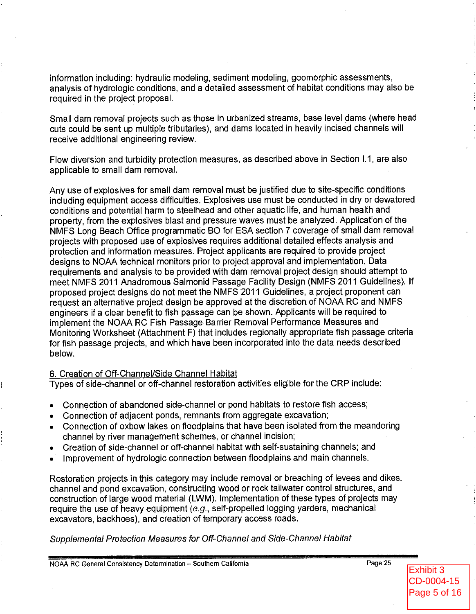information including: hydraulic modeling, sediment modeling, geomorphic assessments, analysis of hydrologic conditions, and a detailed assessment of habitat conditions may also be required in the project proposal.

Small dam removal projects such as those in urbanized streams, base level dams (where head cuts could be sent up multiple tributaries), and dams located in heavily incised channels will receive additional engineering review.

Flow diversion and turbidity protection measures, as described above in Section I.1, are also applicable to small dam removal.

Any use of explosives for small dam removal must be justified due to site-specific conditions including equipment access difficulties. Explosives use must be conducted in dry or dewatered conditions and potential harm to steelhead and other aquatic life, and human health and property, from the explosives blast and pressure waves must be analyzed. Application of the NMFS Long Beach Office programmatic BO for ESA section 7 coverage of small dam removal projects with proposed use of explosives requires additional detailed effects analysis and protection and information measures. Project applicants are required to provide project designs to NOAA technical monitors prior to project approval and implementation. Data requirements and analysis to be provided with dam removal project design should attempt to meet NMFS 2011 Anadromous Salmonid Passage Facility Design (NMFS 2011 Guidelines). If proposed project designs do not meet the NMFS 2011 Guidelines, a project proponent can request an alternative project design be approved at the discretion of NOAA RC and NMFS engineers if a clear benefit to fish passage can be shown. Applicants will be required to implement the NOAA RC Fish Passage Barrier Removal Performance Measures and Monitoring Worksheet (Attachment F) that includes regionally appropriate fish passage criteria for fish passage projects, and which have been incorporated into the data needs described below.

### 6. Creation of Off-Channel/Side Channel Habitat

Types of side-channel or off-channel restoration activities eligible for the CRP include:

- Connection of abandoned side-channel or pond habitats to restore fish access;
- Connection of adjacent ponds, remnants from aggregate excavation;
- Connection of oxbow lakes on floodplains that have been isolated from the meandering channel by river management schemes, or channel incision;
- Creation of side-channel or off-channel habitat with self-sustaining channels; and  $\bullet$
- Improvement of hydrologic connection between floodplains and main channels.

Restoration projects in this category may include removal or breaching of levees and dikes, channel and pond excavation, constructing wood or rock tailwater control structures, and construction of large wood material (LWM). Implementation of these types of projects may require the use of heavy equipment  $(e.g., self-propelled$  logging yarders, mechanical excavators, backhoes), and creation of temporary access roads.

Supplemental Protection Measures for Off-Channel and Side-Channel Habitat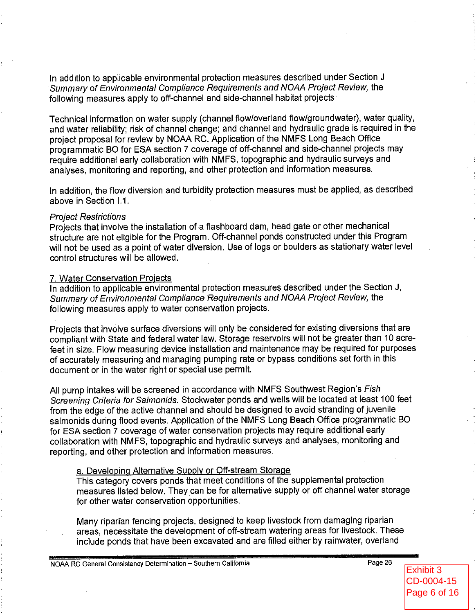In addition to applicable environmental protection measures described under Section J Summary of Environmental Compliance Requirements and NOAA Project Review, the following measures apply to off-channel and side-channel habitat projects:

Technical information on water supply (channel flow/overland flow/groundwater), water quality, and water reliability; risk of channel change; and channel and hydraulic grade is required in the project proposal for review by NOAA RC. Application of the NMFS Long Beach Office programmatic BO for ESA section 7 coverage of off-channel and side-channel projects may require additional early collaboration with NMFS, topographic and hydraulic surveys and analyses, monitoring and reporting, and other protection and information measures.

In addition, the flow diversion and turbidity protection measures must be applied, as described above in Section I.1.

#### **Project Restrictions**

Projects that involve the installation of a flashboard dam, head gate or other mechanical structure are not eligible for the Program. Off-channel ponds constructed under this Program will not be used as a point of water diversion. Use of logs or boulders as stationary water level control structures will be allowed.

#### 7. Water Conservation Projects

In addition to applicable environmental protection measures described under the Section J, Summary of Environmental Compliance Requirements and NOAA Project Review, the following measures apply to water conservation projects.

Projects that involve surface diversions will only be considered for existing diversions that are compliant with State and federal water law. Storage reservoirs will not be greater than 10 acrefeet in size. Flow measuring device installation and maintenance may be required for purposes of accurately measuring and managing pumping rate or bypass conditions set forth in this document or in the water right or special use permit.

All pump intakes will be screened in accordance with NMFS Southwest Region's Fish Screening Criteria for Salmonids. Stockwater ponds and wells will be located at least 100 feet from the edge of the active channel and should be designed to avoid stranding of juvenile salmonids during flood events. Application of the NMFS Long Beach Office programmatic BO for ESA section 7 coverage of water conservation projects may require additional early collaboration with NMFS, topographic and hydraulic surveys and analyses, monitoring and reporting, and other protection and information measures.

### a. Developing Alternative Supply or Off-stream Storage

This category covers ponds that meet conditions of the supplemental protection measures listed below. They can be for alternative supply or off channel water storage for other water conservation opportunities.

Many riparian fencing projects, designed to keep livestock from damaging riparian areas, necessitate the development of off-stream watering areas for livestock. These include ponds that have been excavated and are filled either by rainwater, overland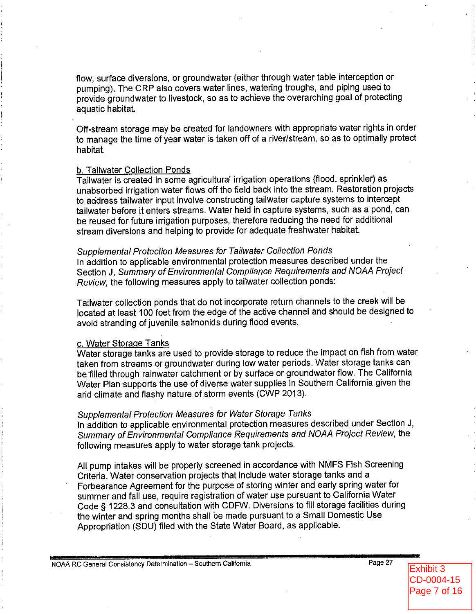flow, surface diversions, or groundwater (either through water table interception or pumping). The CRP also covers water lines, watering troughs, and piping used to provide groundwater to livestock, so as to achieve the overarching goal of protecting aquatic habitat.

Off-stream storage may be created for landowners with appropriate water rights in order to manage the time of year water is taken off of a river/stream, so as to optimally protect habitat.

#### b. Tailwater Collection Ponds

Tailwater is created in some agricultural irrigation operations (flood, sprinkler) as unabsorbed irrigation water flows off the field back into the stream. Restoration projects to address tailwater input involve constructing tailwater capture systems to intercept tailwater before it enters streams. Water held in capture systems, such as a pond, can be reused for future irrigation purposes, therefore reducing the need for additional stream diversions and helping to provide for adequate freshwater habitat.

#### **Supplemental Protection Measures for Tailwater Collection Ponds**

In addition to applicable environmental protection measures described under the Section J. Summary of Environmental Compliance Requirements and NOAA Project Review, the following measures apply to tailwater collection ponds:

Tailwater collection ponds that do not incorporate return channels to the creek will be located at least 100 feet from the edge of the active channel and should be designed to avoid stranding of juvenile salmonids during flood events.

#### c. Water Storage Tanks

Water storage tanks are used to provide storage to reduce the impact on fish from water taken from streams or groundwater during low water periods. Water storage tanks can be filled through rainwater catchment or by surface or groundwater flow. The California Water Plan supports the use of diverse water supplies in Southern California given the arid climate and flashy nature of storm events (CWP 2013).

### Supplemental Protection Measures for Water Storage Tanks

In addition to applicable environmental protection measures described under Section J. Summary of Environmental Compliance Requirements and NOAA Project Review, the following measures apply to water storage tank projects.

All pump intakes will be properly screened in accordance with NMFS Fish Screening Criteria. Water conservation projects that include water storage tanks and a Forbearance Agreement for the purpose of storing winter and early spring water for summer and fall use, require registration of water use pursuant to California Water Code § 1228.3 and consultation with CDFW. Diversions to fill storage facilities during the winter and spring months shall be made pursuant to a Small Domestic Use Appropriation (SDU) filed with the State Water Board, as applicable.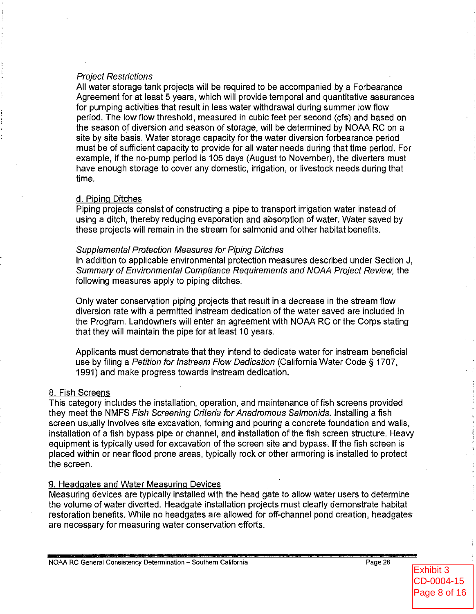## **Project Restrictions**

All water storage tank projects will be required to be accompanied by a Forbearance Agreement for at least 5 years, which will provide temporal and quantitative assurances for pumping activities that result in less water withdrawal during summer low flow period. The low flow threshold, measured in cubic feet per second (cfs) and based on the season of diversion and season of storage, will be determined by NOAA RC on a site by site basis. Water storage capacity for the water diversion forbearance period must be of sufficient capacity to provide for all water needs during that time period. For example, if the no-pump period is 105 days (August to November), the diverters must have enough storage to cover any domestic, irrigation, or livestock needs during that time.

### d. Piping Ditches

Piping projects consist of constructing a pipe to transport irrigation water instead of using a ditch, thereby reducing evaporation and absorption of water. Water saved by these projects will remain in the stream for salmonid and other habitat benefits.

#### **Supplemental Protection Measures for Piping Ditches**

In addition to applicable environmental protection measures described under Section J. Summary of Environmental Compliance Requirements and NOAA Project Review, the following measures apply to piping ditches.

Only water conservation piping projects that result in a decrease in the stream flow diversion rate with a permitted instream dedication of the water saved are included in the Program. Landowners will enter an agreement with NOAA RC or the Corps stating that they will maintain the pipe for at least 10 years.

Applicants must demonstrate that they intend to dedicate water for instream beneficial use by filing a Petition for Instream Flow Dedication (California Water Code § 1707, 1991) and make progress towards instream dedication.

## 8. Fish Screens

This category includes the installation, operation, and maintenance of fish screens provided they meet the NMFS Fish Screening Criteria for Anadromous Salmonids. Installing a fish screen usually involves site excavation, forming and pouring a concrete foundation and walls, installation of a fish bypass pipe or channel, and installation of the fish screen structure. Heavy equipment is typically used for excavation of the screen site and bypass. If the fish screen is placed within or near flood prone areas, typically rock or other armoring is installed to protect the screen.

## 9. Headgates and Water Measuring Devices

Measuring devices are typically installed with the head gate to allow water users to determine the volume of water diverted. Headgate installation projects must clearly demonstrate habitat restoration benefits. While no headgates are allowed for off-channel pond creation, headgates are necessary for measuring water conservation efforts.

Exhibit 3 CD-0004-15 Page 8 of 16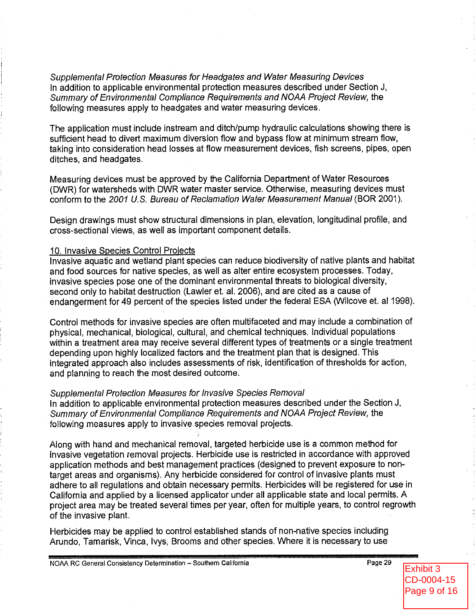Supplemental Protection Measures for Headgates and Water Measuring Devices In addition to applicable environmental protection measures described under Section J, Summary of Environmental Compliance Requirements and NOAA Project Review, the following measures apply to headgates and water measuring devices.

The application must include instream and ditch/pump hydraulic calculations showing there is sufficient head to divert maximum diversion flow and bypass flow at minimum stream flow, taking into consideration head losses at flow measurement devices, fish screens, pipes, open ditches, and headgates.

Measuring devices must be approved by the California Department of Water Resources (DWR) for watersheds with DWR water master service. Otherwise, measuring devices must conform to the 2001 U.S. Bureau of Reclamation Water Measurement Manual (BOR 2001).

Design drawings must show structural dimensions in plan, elevation, longitudinal profile, and cross-sectional views, as well as important component details.

#### 10. Invasive Species Control Projects

Invasive aguatic and wetland plant species can reduce biodiversity of native plants and habitat and food sources for native species, as well as alter entire ecosystem processes. Today, invasive species pose one of the dominant environmental threats to biological diversity, second only to habitat destruction (Lawler et. al. 2006), and are cited as a cause of endangerment for 49 percent of the species listed under the federal ESA (Wilcove et. al 1998).

Control methods for invasive species are often multifaceted and may include a combination of physical, mechanical, biological, cultural, and chemical techniques. Individual populations within a treatment area may receive several different types of treatments or a single treatment depending upon highly localized factors and the treatment plan that is designed. This integrated approach also includes assessments of risk, identification of thresholds for action, and planning to reach the most desired outcome.

#### Supplemental Protection Measures for Invasive Species Removal

In addition to applicable environmental protection measures described under the Section J, Summary of Environmental Compliance Requirements and NOAA Project Review, the following measures apply to invasive species removal projects.

Along with hand and mechanical removal, targeted herbicide use is a common method for invasive vegetation removal projects. Herbicide use is restricted in accordance with approved application methods and best management practices (designed to prevent exposure to nontarget areas and organisms). Any herbicide considered for control of invasive plants must adhere to all regulations and obtain necessary permits. Herbicides will be registered for use in California and applied by a licensed applicator under all applicable state and local permits. A project area may be treated several times per year, often for multiple years, to control regrowth of the invasive plant.

Herbicides may be applied to control established stands of non-native species including Arundo, Tamarisk, Vinca, Ivys, Brooms and other species. Where it is necessary to use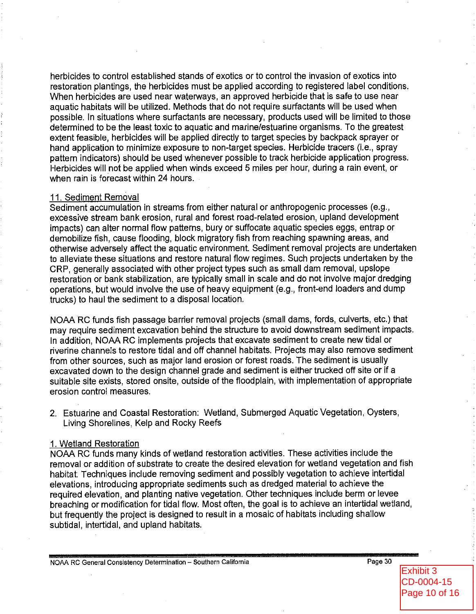herbicides to control established stands of exotics or to control the invasion of exotics into restoration plantings, the herbicides must be applied according to registered label conditions. When herbicides are used near waterways, an approved herbicide that is safe to use near aquatic habitats will be utilized. Methods that do not require surfactants will be used when possible. In situations where surfactants are necessary, products used will be limited to those determined to be the least toxic to aquatic and marine/estuarine organisms. To the greatest extent feasible, herbicides will be applied directly to target species by backpack sprayer or hand application to minimize exposure to non-target species. Herbicide tracers (i.e., spray pattern indicators) should be used whenever possible to track herbicide application progress. Herbicides will not be applied when winds exceed 5 miles per hour, during a rain event, or when rain is forecast within 24 hours.

#### 11. Sediment Removal

Sediment accumulation in streams from either natural or anthropogenic processes (e.g., excessive stream bank erosion, rural and forest road-related erosion, upland development impacts) can alter normal flow patterns, bury or suffocate aquatic species eggs, entrap or demobilize fish, cause flooding, block migratory fish from reaching spawning areas, and otherwise adversely affect the aquatic environment. Sediment removal projects are undertaken to alleviate these situations and restore natural flow regimes. Such projects undertaken by the CRP, generally associated with other project types such as small dam removal, upslope restoration or bank stabilization, are typically small in scale and do not involve major dredging operations, but would involve the use of heavy equipment (e.g., front-end loaders and dump trucks) to haul the sediment to a disposal location.

NOAA RC funds fish passage barrier removal projects (small dams, fords, culverts, etc.) that may require sediment excavation behind the structure to avoid downstream sediment impacts. In addition, NOAA RC implements projects that excavate sediment to create new tidal or riverine channels to restore tidal and off channel habitats. Projects may also remove sediment from other sources, such as major land erosion or forest roads. The sediment is usually excavated down to the design channel grade and sediment is either trucked off site or if a suitable site exists, stored onsite, outside of the floodplain, with implementation of appropriate erosion control measures.

2. Estuarine and Coastal Restoration: Wetland, Submerged Aquatic Vegetation, Oysters, Living Shorelines, Kelp and Rocky Reefs

#### 1. Wetland Restoration

NOAA RC funds many kinds of wetland restoration activities. These activities include the removal or addition of substrate to create the desired elevation for wetland vegetation and fish habitat. Techniques include removing sediment and possibly vegetation to achieve intertidal elevations, introducing appropriate sediments such as dredged material to achieve the required elevation, and planting native vegetation. Other techniques include berm or levee breaching or modification for tidal flow. Most often, the goal is to achieve an intertidal wetland, but frequently the project is designed to result in a mosaic of habitats including shallow subtidal, intertidal, and upland habitats.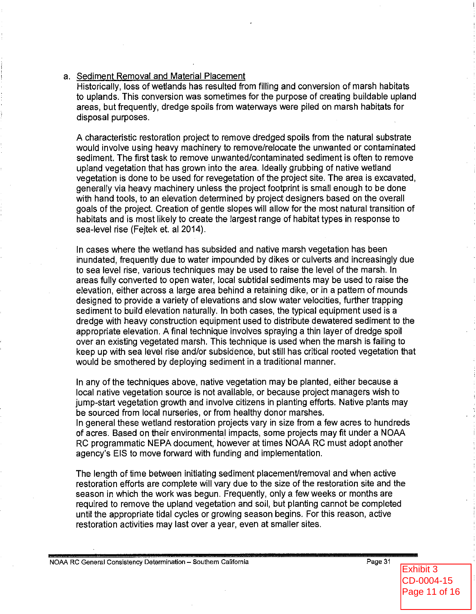#### a. Sediment Removal and Material Placement

Historically, loss of wetlands has resulted from filling and conversion of marsh habitats to uplands. This conversion was sometimes for the purpose of creating buildable upland areas, but frequently, dredge spoils from waterways were piled on marsh habitats for disposal purposes.

A characteristic restoration project to remove dredged spoils from the natural substrate would involve using heavy machinery to remove/relocate the unwanted or contaminated sediment. The first task to remove unwanted/contaminated sediment is often to remove upland vegetation that has grown into the area. Ideally grubbing of native wetland vegetation is done to be used for revegetation of the project site. The area is excavated, generally via heavy machinery unless the project footprint is small enough to be done with hand tools, to an elevation determined by project designers based on the overall goals of the project. Creation of gentle slopes will allow for the most natural transition of habitats and is most likely to create the largest range of habitat types in response to sea-level rise (Feitek et. al 2014).

In cases where the wetland has subsided and native marsh vegetation has been inundated, frequently due to water impounded by dikes or culverts and increasingly due to sea level rise, various techniques may be used to raise the level of the marsh. In areas fully converted to open water, local subtidal sediments may be used to raise the elevation, either across a large area behind a retaining dike, or in a pattern of mounds designed to provide a variety of elevations and slow water velocities, further trapping sediment to build elevation naturally. In both cases, the typical equipment used is a dredge with heavy construction equipment used to distribute dewatered sediment to the appropriate elevation. A final technique involves spraying a thin layer of dredge spoil over an existing vegetated marsh. This technique is used when the marsh is failing to keep up with sea level rise and/or subsidence, but still has critical rooted vegetation that would be smothered by deploying sediment in a traditional manner.

In any of the techniques above, native vegetation may be planted, either because a local native vegetation source is not available, or because project managers wish to jump-start vegetation growth and involve citizens in planting efforts. Native plants may be sourced from local nurseries, or from healthy donor marshes.

In general these wetland restoration projects vary in size from a few acres to hundreds of acres. Based on their environmental impacts, some projects may fit under a NOAA RC programmatic NEPA document, however at times NOAA RC must adopt another agency's EIS to move forward with funding and implementation.

The length of time between initiating sediment placement/removal and when active restoration efforts are complete will vary due to the size of the restoration site and the season in which the work was begun. Frequently, only a few weeks or months are required to remove the upland vegetation and soil, but planting cannot be completed until the appropriate tidal cycles or growing season begins. For this reason, active restoration activities may last over a year, even at smaller sites.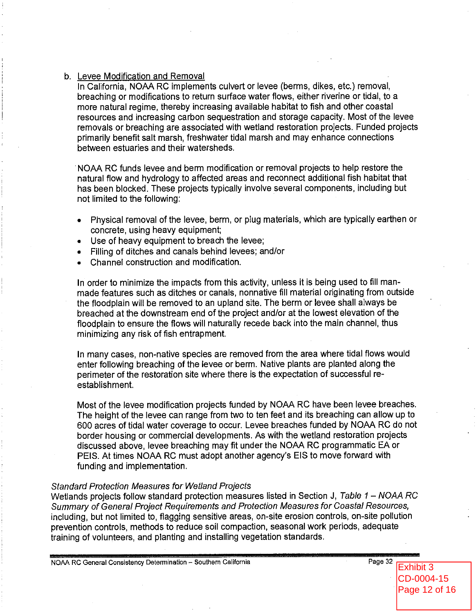#### b. Levee Modification and Removal

In California, NOAA RC implements culvert or levee (berms, dikes, etc.) removal, breaching or modifications to return surface water flows, either riverine or tidal, to a more natural regime, thereby increasing available habitat to fish and other coastal resources and increasing carbon sequestration and storage capacity. Most of the levee removals or breaching are associated with wetland restoration projects. Funded projects primarily benefit salt marsh, freshwater tidal marsh and may enhance connections between estuaries and their watersheds.

NOAA RC funds levee and berm modification or removal projects to help restore the natural flow and hydrology to affected areas and reconnect additional fish habitat that has been blocked. These projects typically involve several components, including but not limited to the following:

- Physical removal of the levee, berm, or plug materials, which are typically earthen or concrete, using heavy equipment;
- Use of heavy equipment to breach the levee;
- Filling of ditches and canals behind levees; and/or
- Channel construction and modification.

In order to minimize the impacts from this activity, unless it is being used to fill manmade features such as ditches or canals, nonnative fill material originating from outside the floodplain will be removed to an upland site. The berm or levee shall always be breached at the downstream end of the project and/or at the lowest elevation of the floodplain to ensure the flows will naturally recede back into the main channel, thus minimizing any risk of fish entrapment.

In many cases, non-native species are removed from the area where tidal flows would enter following breaching of the levee or berm. Native plants are planted along the perimeter of the restoration site where there is the expectation of successful reestablishment.

Most of the levee modification projects funded by NOAA RC have been levee breaches. The height of the levee can range from two to ten feet and its breaching can allow up to 600 acres of tidal water coverage to occur. Levee breaches funded by NOAA RC do not border housing or commercial developments. As with the wetland restoration projects discussed above, levee breaching may fit under the NOAA RC programmatic EA or PEIS. At times NOAA RC must adopt another agency's EIS to move forward with funding and implementation.

#### **Standard Protection Measures for Wetland Projects**

Wetlands projects follow standard protection measures listed in Section J, Table  $1 - NOAA$  RC Summary of General Project Requirements and Protection Measures for Coastal Resources, including, but not limited to, flagging sensitive areas, on-site erosion controls, on-site pollution prevention controls, methods to reduce soil compaction, seasonal work periods, adequate training of volunteers, and planting and installing vegetation standards.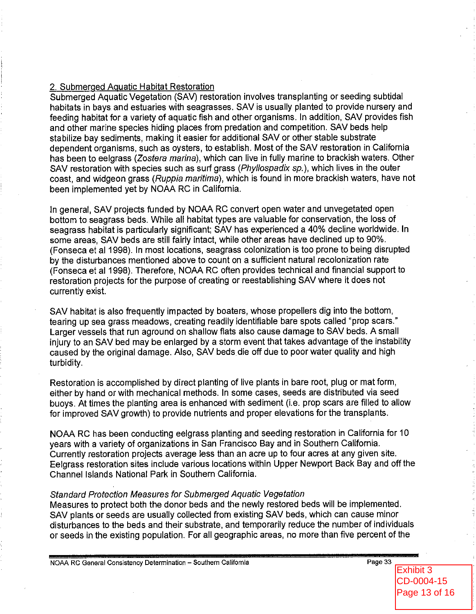## 2. Submerged Aquatic Habitat Restoration

Submerged Aquatic Vegetation (SAV) restoration involves transplanting or seeding subtidal habitats in bays and estuaries with seagrasses. SAV is usually planted to provide nursery and feeding habitat for a variety of aquatic fish and other organisms. In addition, SAV provides fish and other marine species hiding places from predation and competition. SAV beds help stabilize bay sediments, making it easier for additional SAV or other stable substrate dependent organisms, such as oysters, to establish. Most of the SAV restoration in California has been to eelgrass (Zostera marina), which can live in fully marine to brackish waters. Other SAV restoration with species such as surf grass (Phyllospadix sp.), which lives in the outer coast, and widgeon grass (Ruppia maritima), which is found in more brackish waters, have not been implemented yet by NOAA RC in California.

In general, SAV projects funded by NOAA RC convert open water and unvegetated open bottom to seagrass beds. While all habitat types are valuable for conservation, the loss of seagrass habitat is particularly significant; SAV has experienced a 40% decline worldwide. In some areas, SAV beds are still fairly intact, while other areas have declined up to 90%. (Fonseca et al 1998). In most locations, seagrass colonization is too prone to being disrupted by the disturbances mentioned above to count on a sufficient natural recolonization rate (Fonseca et al 1998). Therefore, NOAA RC often provides technical and financial support to restoration projects for the purpose of creating or reestablishing SAV where it does not currently exist.

SAV habitat is also frequently impacted by boaters, whose propellers dig into the bottom, tearing up sea grass meadows, creating readily identifiable bare spots called "prop scars." Larger vessels that run aground on shallow flats also cause damage to SAV beds. A small injury to an SAV bed may be enlarged by a storm event that takes advantage of the instability caused by the original damage. Also, SAV beds die off due to poor water quality and high turbidity.

Restoration is accomplished by direct planting of live plants in bare root, plug or mat form, either by hand or with mechanical methods. In some cases, seeds are distributed via seed buoys. At times the planting area is enhanced with sediment (i.e. prop scars are filled to allow for improved SAV growth) to provide nutrients and proper elevations for the transplants.

NOAA RC has been conducting eelgrass planting and seeding restoration in California for 10 vears with a variety of organizations in San Francisco Bay and in Southern California. Currently restoration projects average less than an acre up to four acres at any given site. Eelgrass restoration sites include various locations within Upper Newport Back Bay and off the Channel Islands National Park in Southern California.

## **Standard Protection Measures for Submerged Aquatic Vegetation**

Measures to protect both the donor beds and the newly restored beds will be implemented. SAV plants or seeds are usually collected from existing SAV beds, which can cause minor disturbances to the beds and their substrate, and temporarily reduce the number of individuals or seeds in the existing population. For all geographic areas, no more than five percent of the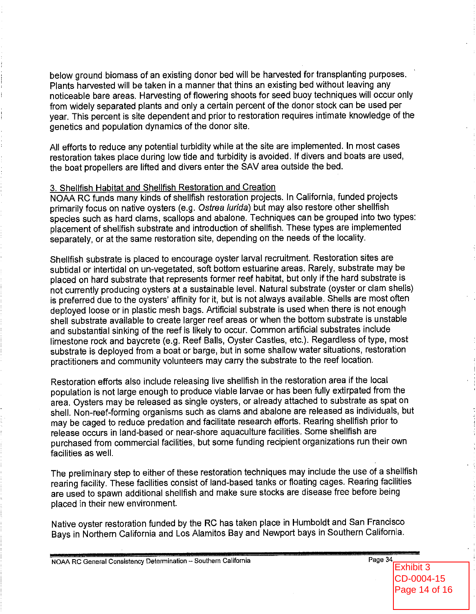below ground biomass of an existing donor bed will be harvested for transplanting purposes. Plants harvested will be taken in a manner that thins an existing bed without leaving any noticeable bare areas. Harvesting of flowering shoots for seed buoy techniques will occur only from widely separated plants and only a certain percent of the donor stock can be used per year. This percent is site dependent and prior to restoration requires intimate knowledge of the genetics and population dynamics of the donor site.

All efforts to reduce any potential turbidity while at the site are implemented. In most cases restoration takes place during low tide and turbidity is avoided. If divers and boats are used, the boat propellers are lifted and divers enter the SAV area outside the bed.

#### 3. Shellfish Habitat and Shellfish Restoration and Creation

NOAA RC funds many kinds of shellfish restoration projects. In California, funded projects primarily focus on native oysters (e.g. Ostrea lurida) but may also restore other shellfish species such as hard clams, scallops and abalone. Techniques can be grouped into two types: placement of shellfish substrate and introduction of shellfish. These types are implemented separately, or at the same restoration site, depending on the needs of the locality.

Shellfish substrate is placed to encourage oyster larval recruitment. Restoration sites are subtidal or intertidal on un-vegetated, soft bottom estuarine areas. Rarely, substrate may be placed on hard substrate that represents former reef habitat, but only if the hard substrate is not currently producing oysters at a sustainable level. Natural substrate (oyster or clam shells) is preferred due to the oysters' affinity for it, but is not always available. Shells are most often deployed loose or in plastic mesh bags. Artificial substrate is used when there is not enough shell substrate available to create larger reef areas or when the bottom substrate is unstable and substantial sinking of the reef is likely to occur. Common artificial substrates include limestone rock and baycrete (e.g. Reef Balls, Oyster Castles, etc.). Regardless of type, most substrate is deployed from a boat or barge, but in some shallow water situations, restoration practitioners and community volunteers may carry the substrate to the reef location.

Restoration efforts also include releasing live shellfish in the restoration area if the local population is not large enough to produce viable larvae or has been fully extirpated from the area. Oysters may be released as single oysters, or already attached to substrate as spat on shell. Non-reef-forming organisms such as clams and abalone are released as individuals, but may be caged to reduce predation and facilitate research efforts. Rearing shellfish prior to release occurs in land-based or near-shore aquaculture facilities. Some shellfish are purchased from commercial facilities, but some funding recipient organizations run their own facilities as well.

The preliminary step to either of these restoration techniques may include the use of a shellfish rearing facility. These facilities consist of land-based tanks or floating cages. Rearing facilities are used to spawn additional shellfish and make sure stocks are disease free before being placed in their new environment.

Native oyster restoration funded by the RC has taken place in Humboldt and San Francisco Bays in Northern California and Los Alamitos Bay and Newport bays in Southern California.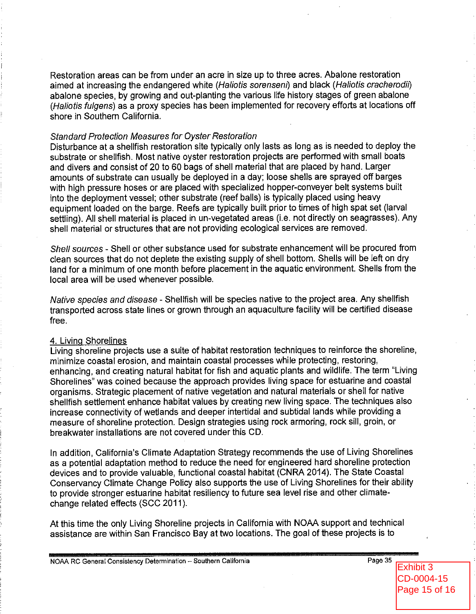Restoration areas can be from under an acre in size up to three acres. Abalone restoration aimed at increasing the endangered white (Haliotis sorenseni) and black (Haliotis cracherodii) abalone species, by growing and out-planting the various life history stages of green abalone (Haliotis fulgens) as a proxy species has been implemented for recovery efforts at locations off shore in Southern California.

### **Standard Protection Measures for Oyster Restoration**

Disturbance at a shellfish restoration site typically only lasts as long as is needed to deploy the substrate or shellfish. Most native oyster restoration projects are performed with small boats and divers and consist of 20 to 60 bags of shell material that are placed by hand. Larger amounts of substrate can usually be deployed in a day; loose shells are sprayed off barges with high pressure hoses or are placed with specialized hopper-conveyer belt systems built into the deployment vessel; other substrate (reef balls) is typically placed using heavy equipment loaded on the barge. Reefs are typically built prior to times of high spat set (larval settling). All shell material is placed in un-vegetated areas (i.e. not directly on seagrasses). Any shell material or structures that are not providing ecological services are removed.

Shell sources - Shell or other substance used for substrate enhancement will be procured from clean sources that do not deplete the existing supply of shell bottom. Shells will be left on dry land for a minimum of one month before placement in the aquatic environment. Shells from the local area will be used whenever possible.

Native species and disease - Shellfish will be species native to the project area. Any shellfish transported across state lines or grown through an aquaculture facility will be certified disease free.

#### 4. Living Shorelines

Living shoreline projects use a suite of habitat restoration techniques to reinforce the shoreline, minimize coastal erosion, and maintain coastal processes while protecting, restoring, enhancing, and creating natural habitat for fish and aquatic plants and wildlife. The term "Living" Shorelines" was coined because the approach provides living space for estuarine and coastal organisms. Strategic placement of native vegetation and natural materials or shell for native shellfish settlement enhance habitat values by creating new living space. The techniques also increase connectivity of wetlands and deeper intertidal and subtidal lands while providing a measure of shoreline protection. Design strategies using rock armoring, rock sill, groin, or breakwater installations are not covered under this CD.

In addition, California's Climate Adaptation Strategy recommends the use of Living Shorelines as a potential adaptation method to reduce the need for engineered hard shoreline protection devices and to provide valuable, functional coastal habitat (CNRA 2014). The State Coastal Conservancy Climate Change Policy also supports the use of Living Shorelines for their ability to provide stronger estuarine habitat resiliency to future sea level rise and other climatechange related effects (SCC 2011).

At this time the only Living Shoreline projects in California with NOAA support and technical assistance are within San Francisco Bay at two locations. The goal of these projects is to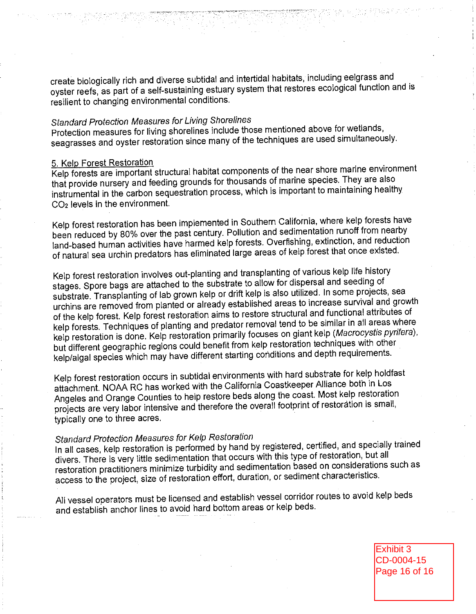create biologically rich and diverse subtidal and intertidal habitats, including eelgrass and oyster reefs, as part of a self-sustaining estuary system that restores ecological function and is resilient to changing environmental conditions.

# **Standard Protection Measures for Living Shorelines**

Protection measures for living shorelines include those mentioned above for wetlands, seagrasses and oyster restoration since many of the techniques are used simultaneously.

#### 5. Kelp Forest Restoration

Kelp forests are important structural habitat components of the near shore marine environment that provide nursery and feeding grounds for thousands of marine species. They are also instrumental in the carbon sequestration process, which is important to maintaining healthy CO<sub>2</sub> levels in the environment.

Kelp forest restoration has been implemented in Southern California, where kelp forests have been reduced by 80% over the past century. Pollution and sedimentation runoff from nearby land-based human activities have harmed kelp forests. Overfishing, extinction, and reduction of natural sea urchin predators has eliminated large areas of kelp forest that once existed.

Kelp forest restoration involves out-planting and transplanting of various kelp life history stages. Spore bags are attached to the substrate to allow for dispersal and seeding of substrate. Transplanting of lab grown kelp or drift kelp is also utilized. In some projects, sea urchins are removed from planted or already established areas to increase survival and growth of the kelp forest. Kelp forest restoration aims to restore structural and functional attributes of kelp forests. Techniques of planting and predator removal tend to be similar in all areas where kelp restoration is done. Kelp restoration primarily focuses on giant kelp (Macrocystis pyrifera), but different geographic regions could benefit from kelp restoration techniques with other kelp/algal species which may have different starting conditions and depth requirements.

Kelp forest restoration occurs in subtidal environments with hard substrate for kelp holdfast attachment. NOAA RC has worked with the California Coastkeeper Alliance both in Los Angeles and Orange Counties to help restore beds along the coast. Most kelp restoration projects are very labor intensive and therefore the overall footprint of restoration is small, typically one to three acres.

# Standard Protection Measures for Kelp Restoration

In all cases, kelp restoration is performed by hand by registered, certified, and specially trained divers. There is very little sedimentation that occurs with this type of restoration, but all restoration practitioners minimize turbidity and sedimentation based on considerations such as access to the project, size of restoration effort, duration, or sediment characteristics.

All vessel operators must be licensed and establish vessel corridor routes to avoid kelp beds and establish anchor lines to avoid hard bottom areas or kelp beds.

> Exhibit 3 CD-0004-15 Page 16 of 16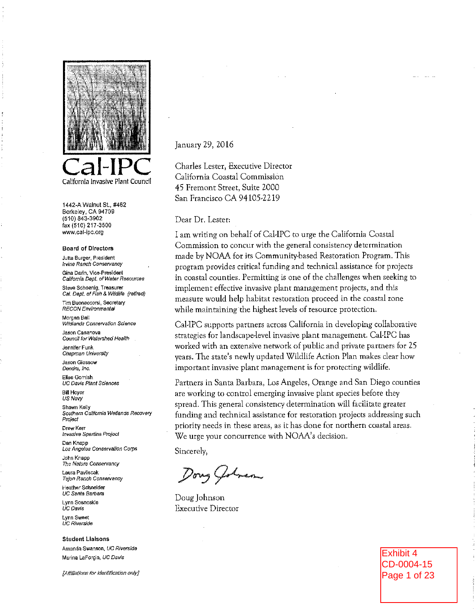

1442-A Walnut St., #462 Berkeley, CA 94709 (510) 843-3902 fax (510) 217-3500 www.cal-ipc.org

#### **Board of Directors**

Jutta Burger, President **Irvine Ranch Conservancy** Gina Darin, Vice-President

California Dept. of Water Resources Steve Schoenig, Treasurer

Cal. Dept. of Fish & Wildlife (retired) Tim Buonaccorsi, Secretary

RECON Environmental

Morgan Ball Wildlands Conservation Science

Jason Casanova Council for Watershed Health

Jennifer Funk Chapman University

Jason Giessow Dendra, Inc.

Elise Gornish UC Davis Plant Sciences

**Bill Hoyer US Navv** 

Shawn Kelly Southern California Wetlands Recovery Project

Drew Kerr Invasive Spartina Project

Dan Knapp Los Angeles Conservation Corps

John Knapp The Nature Conservancy

Laura Payliscak Telon Ranch Conservancy

Heather Schneider UC Santa Barbara Lynn Sosnoskie

ÚC Davis

Lynn Sweet **UC Riverside** 

**Student Lialsons** Amanda Swanson, UC Riverside Marina LaForgia, UC Davis

[Affiliations for identification only]

January 29, 2016

Charles Lester, Executive Director California Coastal Commission 45 Fremont Street, Suite 2000 San Francisco CA 94105-2219

Dear Dr. Lester:

I am writing on behalf of Cal-IPC to urge the California Coastal Commission to concur with the general consistency determination made by NOAA for its Community-based Restoration Program. This program provides critical funding and technical assistance for projects in coastal counties. Permitting is one of the challenges when seeking to implement effective invasive plant management projects, and this measure would help habitat restoration proceed in the coastal zone while maintaining the highest levels of resource protection.

Cal-IPC supports partners across California in developing collaborative strategies for landscape-level invasive plant management. Cal-IPC has worked with an extensive network of public and private partners for 25 years. The state's newly updated Wildlife Action Plan makes clear how important invasive plant management is for protecting wildlife.

Partners in Santa Barbara, Los Angeles, Orange and San Diego counties are working to control emerging invasive plant species before they spread. This general consistency determination will facilitate greater funding and technical assistance for restoration projects addressing such priority needs in these areas, as it has done for northern coastal areas. We urge your concurrence with NOAA's decision.

Sincerely.

Dong Golven

Doug Johnson **Executive Director** 

Exhibit 4 CD-0004-15 Page 1 of 23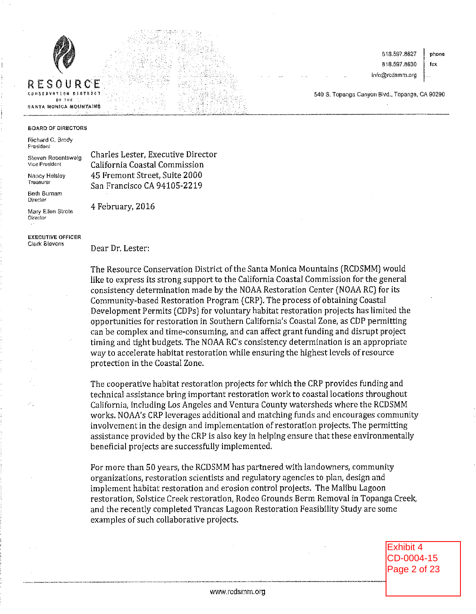



SANTA MONICA MOUNTAINS

818.597.8627 818,597,8630

info@rodsmm.org

phone fax

540 S. Topanga Canyon Bivd., Topanga, CA 90290

#### BOARD OF DIRECTORS

Richard C. Brody President

Steven Rosentsweig Vice President

Nancy Helsley Treasurer

**Beth Burnam** Director

Mary Ellen Strote Director

**EXECUTIVE OFFICER** Clark Stevens

4 February, 2016

Charles Lester, Executive Director

California Coastal Commission

45 Fremont Street, Suite 2000

San Francisco CA 94105-2219

Dear Dr. Lester:

The Resource Conservation District of the Santa Monica Mountains (RCDSMM) would like to express its strong support to the California Coastal Commission for the general consistency determination made by the NOAA Restoration Center (NOAA RC) for its Community-based Restoration Program (CRP). The process of obtaining Coastal Development Permits (CDPs) for voluntary habitat restoration projects has limited the opportunities for restoration in Southern California's Coastal Zone, as CDP permitting can be complex and time-consuming, and can affect grant funding and disrupt project timing and tight budgets. The NOAA RC's consistency determination is an appropriate way to accelerate habitat restoration while ensuring the highest levels of resource protection in the Coastal Zone.

The cooperative habitat restoration projects for which the CRP provides funding and technical assistance bring important restoration work to coastal locations throughout California, including Los Angeles and Ventura County watersheds where the RCDSMM works. NOAA's CRP leverages additional and matching funds and encourages community involvement in the design and implementation of restoration projects. The permitting assistance provided by the CRP is also key in helping ensure that these environmentally beneficial projects are successfully implemented.

For more than 50 years, the RCDSMM has partnered with landowners, community organizations, restoration scientists and regulatory agencies to plan, design and implement habitat restoration and erosion control projects. The Malibu Lagoon restoration, Solstice Creek restoration, Rodeo Grounds Berm Removal in Topanga Creek, and the recently completed Trancas Lagoon Restoration Feasibility Study are some examples of such collaborative projects.

> Exhibit 4 CD-0004-15 Page 2 of 23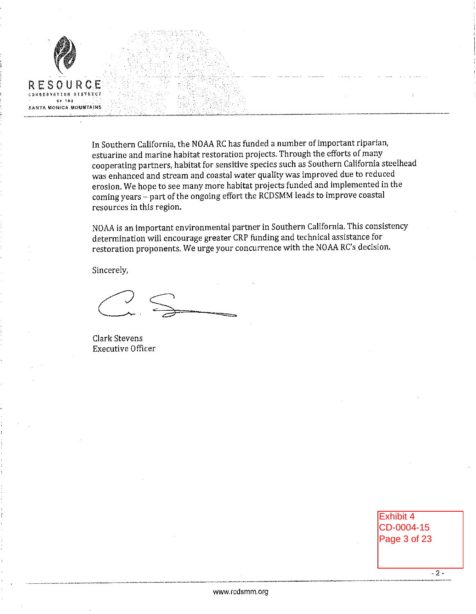

In Southern California, the NOAA RC has funded a number of important riparian, estuarine and marine habitat restoration projects. Through the efforts of many cooperating partners, habitat for sensitive species such as Southern California steelhead was enhanced and stream and coastal water quality was improved due to reduced erosion. We hope to see many more habitat projects funded and implemented in the coming years - part of the ongoing effort the RCDSMM leads to improve coastal resources in this region.

NOAA is an important environmental partner in Southern California. This consistency determination will encourage greater CRP funding and technical assistance for restoration proponents. We urge your concurrence with the NOAA RC's decision.

Sincerely,

Clark Stevens **Executive Officer** 

**Exhibit 4** CD-0004-15 Page 3 of 23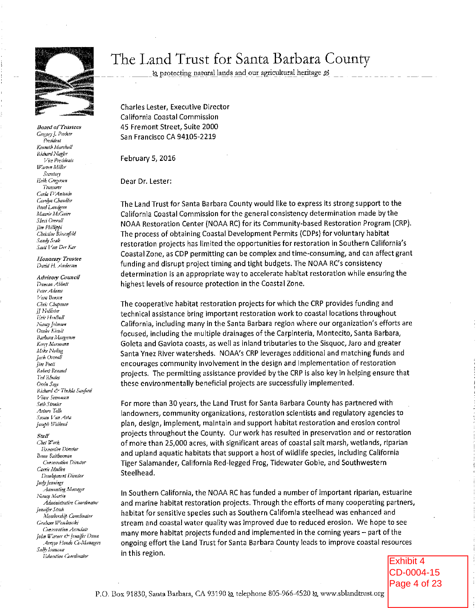

**Board of Trustees** Gregory J. Parker President Kenneth Marshall Richard Nagler Vice Presidents Waren Miller Secretary **Erik Gregersen** Treasurer Carla D'Antonio Carolyn Chandler **Brad Landgren** Maurie McCain Sheri Orerall fim Phillippi Christine Riesenfeld Sandy Seale Scott Van Der Kar

Honorary Trustee David H. Anderson

**Advisory Council** Duncan Abbott Peter Adams Vera Bensen Chris Chapman **JJ** Hollister Eric Hrolboll Nancy Johnson Orake Kiewit Barbara Margerum Kerry Mormani Mike Noling Jack Overall **Jim Poett** Robert Renand Ted Rhodes Orrin Sage Richard & Thekla Sanford Vince Semonsen Seth Streter Arturo Tello Susan Van Atta Joseph Weitand

#### Staff

Chet Work Executive Director **Brne** Reitherman Conserration Director Carrie Mullen Development Director Judy Jeanings Accounting Manager Nancy Martin Administrative Coordinator Jennifer Stroh Membership Coordinator Grabam Wesolonski Concertation Associate John Warner ew Jennifer Dunn Arroyo Flondo Co-Managers Sally Laureson Education Coordinator

# The Land Trust for Santa Barbara County

& protecting natural lands and our agricultural heritage &

**Charles Lester. Executive Director** California Coastal Commission 45 Fremont Street, Suite 2000 San Francisco CA 94105-2219

February 5, 2016

Dear Dr. Lester:

The Land Trust for Santa Barbara County would like to express its strong support to the California Coastal Commission for the general consistency determination made by the NOAA Restoration Center (NOAA RC) for its Community-based Restoration Program (CRP). The process of obtaining Coastal Development Permits (CDPs) for voluntary habitat restoration projects has limited the opportunities for restoration in Southern California's Coastal Zone, as CDP permitting can be complex and time-consuming, and can affect grant funding and disrupt project timing and tight budgets. The NOAA RC's consistency determination is an appropriate way to accelerate habitat restoration while ensuring the highest levels of resource protection in the Coastal Zone.

The cooperative habitat restoration projects for which the CRP provides funding and technical assistance bring important restoration work to coastal locations throughout California, including many in the Santa Barbara region where our organization's efforts are focused, including the multiple drainages of the Carpinteria, Montecito, Santa Barbara, Goleta and Gaviota coasts, as well as inland tributaries to the Sisquoc, Jaro and greater Santa Ynez River watersheds. NOAA's CRP leverages additional and matching funds and encourages community involvement in the design and implementation of restoration projects. The permitting assistance provided by the CRP is also key in helping ensure that these environmentally beneficial projects are successfully implemented.

For more than 30 years, the Land Trust for Santa Barbara County has partnered with landowners, community organizations, restoration scientists and regulatory agencies to plan, design, implement, maintain and support habitat restoration and erosion control projects throughout the County. Our work has resulted in preservation and or restoration of more than 25,000 acres, with significant areas of coastal salt marsh, wetlands, riparian and upland aquatic habitats that support a host of wildlife species, including California Tiger Salamander, California Red-legged Frog, Tidewater Gobie, and Southwestern Steelhead.

In Southern California, the NOAA RC has funded a number of important riparian, estuarine and marine habitat restoration projects. Through the efforts of many cooperating partners, habitat for sensitive species such as Southern California steelhead was enhanced and stream and coastal water quality was improved due to reduced erosion. We hope to see many more habitat projects funded and implemented in the coming years – part of the ongoing effort the Land Trust for Santa Barbara County leads to improve coastal resources in this region.

Exhibit 4 CD-0004-15 Page 4 of 23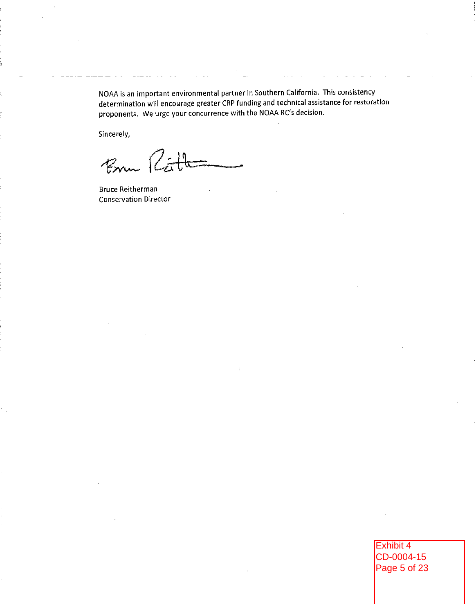NOAA is an important environmental partner in Southern California. This consistency determination will encourage greater CRP funding and technical assistance for restoration proponents. We urge your concurrence with the NOAA RC's decision.

Sincerely,

Bru Ratt

**Bruce Reitherman Conservation Director** 

Exhibit 4 CD-0004-15 Page 5 of 23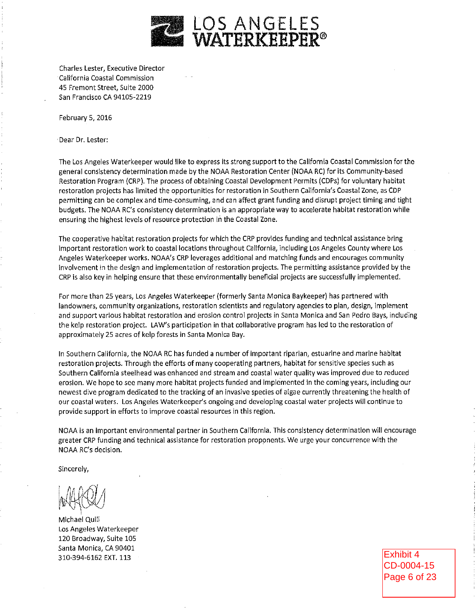

Charles Lester, Executive Director California Coastal Commission 45 Fremont Street, Suite 2000 San Francisco CA 94105-2219

February 5, 2016

Dear Dr. Lester:

The Los Angeles Waterkeeper would like to express its strong support to the California Coastal Commission for the general consistency determination made by the NOAA Restoration Center (NOAA RC) for its Community-based Restoration Program (CRP). The process of obtaining Coastal Development Permits (CDPs) for voluntary habitat restoration projects has limited the opportunities for restoration in Southern California's Coastal Zone, as CDP permitting can be complex and time-consuming, and can affect grant funding and disrupt project timing and tight budgets. The NOAA RC's consistency determination is an appropriate way to accelerate habitat restoration while ensuring the highest levels of resource protection in the Coastal Zone.

The cooperative habitat restoration projects for which the CRP provides funding and technical assistance bring important restoration work to coastal locations throughout California, including Los Angeles County where Los Angeles Waterkeeper works. NOAA's CRP leverages additional and matching funds and encourages community involvement in the design and implementation of restoration projects. The permitting assistance provided by the CRP is also key in helping ensure that these environmentally beneficial projects are successfully implemented.

For more than 25 years, Los Angeles Waterkeeper (formerly Santa Monica Baykeeper) has partnered with landowners, community organizations, restoration scientists and regulatory agencies to plan, design, implement and support various habitat restoration and erosion control projects in Santa Monica and San Pedro Bays, including the kelp restoration project. LAW's participation in that collaborative program has led to the restoration of approximately 25 acres of kelp forests in Santa Monica Bay.

In Southern California, the NOAA RC has funded a number of important riparian, estuarine and marine habitat restoration projects. Through the efforts of many cooperating partners, habitat for sensitive species such as Southern California steelhead was enhanced and stream and coastal water quality was improved due to reduced erosion. We hope to see many more habitat projects funded and implemented in the coming years, including our newest dive program dedicated to the tracking of an invasive species of algae currently threatening the health of our coastal waters. Los Angeles Waterkeeper's ongoing and developing coastal water projects will continue to provide support in efforts to improve coastal resources in this region.

NOAA is an important environmental partner in Southern California. This consistency determination will encourage greater CRP funding and technical assistance for restoration proponents. We urge your concurrence with the NOAA RC's decision.

Sincerely,

Michael Quill Los Angeles Waterkeeper 120 Broadway, Suite 105 Santa Monica, CA 90401 310-394-6162 EXT. 113

Exhibit 4 CD-0004-15 Page 6 of 23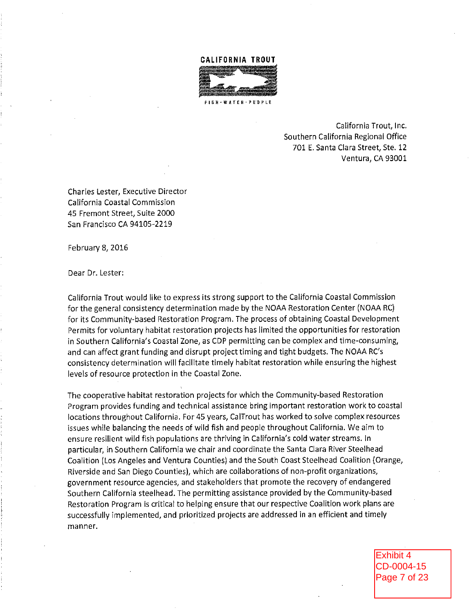#### **CALIFORNIA TROUT**



California Trout, Inc. Southern California Regional Office 701 E. Santa Clara Street, Ste. 12 Ventura, CA 93001

Charles Lester, Executive Director California Coastal Commission 45 Fremont Street, Suite 2000 San Francisco CA 94105-2219

February 8, 2016

Dear Dr. Lester:

California Trout would like to express its strong support to the California Coastal Commission for the general consistency determination made by the NOAA Restoration Center (NOAA RC) for its Community-based Restoration Program. The process of obtaining Coastal Development Permits for voluntary habitat restoration projects has limited the opportunities for restoration in Southern California's Coastal Zone, as CDP permitting can be complex and time-consuming, and can affect grant funding and disrupt project timing and tight budgets. The NOAA RC's consistency determination will facilitate timely habitat restoration while ensuring the highest levels of resource protection in the Coastal Zone.

The cooperative habitat restoration projects for which the Community-based Restoration Program provides funding and technical assistance bring important restoration work to coastal locations throughout California. For 45 years, CalTrout has worked to solve complex resources issues while balancing the needs of wild fish and people throughout California. We aim to ensure resilient wild fish populations are thriving in California's cold water streams. In particular, in Southern California we chair and coordinate the Santa Clara River Steelhead Coalition (Los Angeles and Ventura Counties) and the South Coast Steelhead Coalition (Orange, Riverside and San Diego Counties), which are collaborations of non-profit organizations, government resource agencies, and stakeholders that promote the recovery of endangered Southern California steelhead. The permitting assistance provided by the Community-based Restoration Program is critical to helping ensure that our respective Coalition work plans are successfully implemented, and prioritized projects are addressed in an efficient and timely manner.

> Exhibit 4 CD-0004-15 Page 7 of 23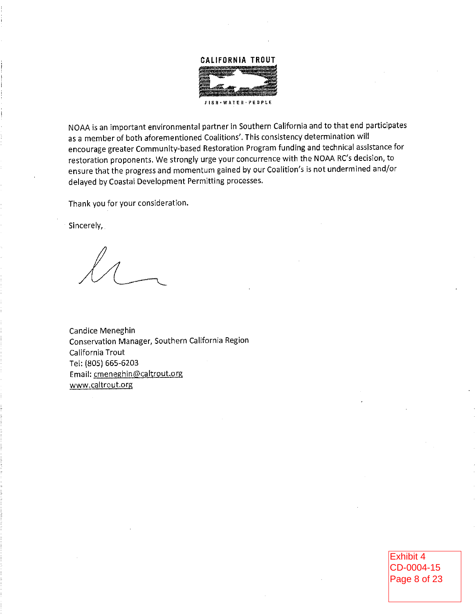# **CALIFORNIA TROUT**

FISH WATER PEOPLE

NOAA is an important environmental partner in Southern California and to that end participates as a member of both aforementioned Coalitions'. This consistency determination will encourage greater Community-based Restoration Program funding and technical assistance for restoration proponents. We strongly urge your concurrence with the NOAA RC's decision, to ensure that the progress and momentum gained by our Coalition's is not undermined and/or delayed by Coastal Development Permitting processes.

Thank you for your consideration.

Sincerely,

Candice Meneghin Conservation Manager, Southern California Region California Trout Tel: (805) 665-6203 Email: cmeneghin@caltrout.org www.caltrout.org

> Exhibit 4 CD-0004-15 Page 8 of 23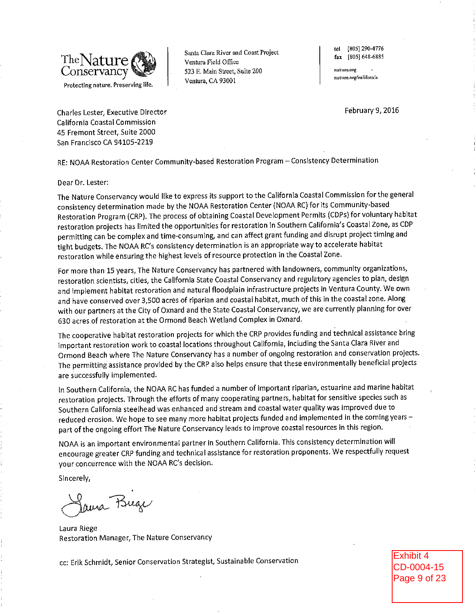

Santa Clara River and Coast Project Ventura Field Office 523 E. Main Street, Suite 200 Ventura, CA 93001

tel [805] 290-4776 fax [805] 648-6885

nature.org nature.org/california

February 9, 2016

Charles Lester, Executive Director California Coastal Commission 45 Fremont Street, Suite 2000 San Francisco CA 94105-2219

RE: NOAA Restoration Center Community-based Restoration Program - Consistency Determination

#### Dear Dr. Lester:

The Nature Conservancy would like to express its support to the California Coastal Commission for the general consistency determination made by the NOAA Restoration Center (NOAA RC) for its Community-based Restoration Program (CRP). The process of obtaining Coastal Development Permits (CDPs) for voluntary habitat restoration projects has limited the opportunities for restoration in Southern California's Coastal Zone, as CDP permitting can be complex and time-consuming, and can affect grant funding and disrupt project timing and tight budgets. The NOAA RC's consistency determination is an appropriate way to accelerate habitat restoration while ensuring the highest levels of resource protection in the Coastal Zone.

For more than 15 years, The Nature Conservancy has partnered with landowners, community organizations, restoration scientists, cities, the California State Coastal Conservancy and regulatory agencies to plan, design and implement habitat restoration and natural floodplain infrastructure projects in Ventura County. We own and have conserved over 3,500 acres of riparian and coastal habitat, much of this in the coastal zone. Along with our partners at the City of Oxnard and the State Coastal Conservancy, we are currently planning for over 630 acres of restoration at the Ormond Beach Wetland Complex in Oxnard.

The cooperative habitat restoration projects for which the CRP provides funding and technical assistance bring important restoration work to coastal locations throughout California, including the Santa Clara River and Ormond Beach where The Nature Conservancy has a number of ongoing restoration and conservation projects. The permitting assistance provided by the CRP also helps ensure that these environmentally beneficial projects are successfully implemented.

In Southern California, the NOAA RC has funded a number of important riparian, estuarine and marine habitat restoration projects. Through the efforts of many cooperating partners, habitat for sensitive species such as Southern California steelhead was enhanced and stream and coastal water quality was improved due to reduced erosion. We hope to see many more habitat projects funded and implemented in the coming years part of the ongoing effort The Nature Conservancy leads to improve coastal resources in this region.

NOAA is an important environmental partner in Southern California. This consistency determination will encourage greater CRP funding and technical assistance for restoration proponents. We respectfully request your concurrence with the NOAA RC's decision.

Sincerely,

Jama Buge

Laura Riege Restoration Manager, The Nature Conservancy

cc: Erik Schmidt, Senior Conservation Strategist, Sustainable Conservation

Exhibit 4 CD-0004-15 Page 9 of 23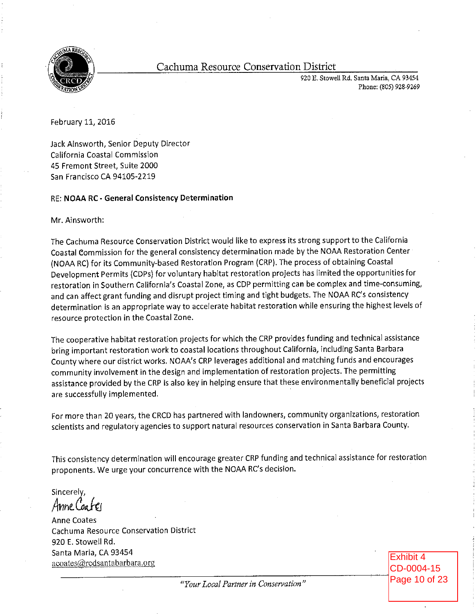

# Cachuma Resource Conservation District

920 E. Stowell Rd. Santa Maria, CA 93454 Phone: (805) 928-9269

February 11, 2016

Jack Ainsworth, Senior Deputy Director California Coastal Commission 45 Fremont Street, Suite 2000 San Francisco CA 94105-2219

#### RE: NOAA RC - General Consistency Determination

Mr. Ainsworth:

The Cachuma Resource Conservation District would like to express its strong support to the California Coastal Commission for the general consistency determination made by the NOAA Restoration Center (NOAA RC) for its Community-based Restoration Program (CRP). The process of obtaining Coastal Development Permits (CDPs) for voluntary habitat restoration projects has limited the opportunities for restoration in Southern California's Coastal Zone, as CDP permitting can be complex and time-consuming, and can affect grant funding and disrupt project timing and tight budgets. The NOAA RC's consistency determination is an appropriate way to accelerate habitat restoration while ensuring the highest levels of resource protection in the Coastal Zone.

The cooperative habitat restoration projects for which the CRP provides funding and technical assistance bring important restoration work to coastal locations throughout California, including Santa Barbara County where our district works. NOAA's CRP leverages additional and matching funds and encourages community involvement in the design and implementation of restoration projects. The permitting assistance provided by the CRP is also key in helping ensure that these environmentally beneficial projects are successfully implemented.

For more than 20 years, the CRCD has partnered with landowners, community organizations, restoration scientists and regulatory agencies to support natural resources conservation in Santa Barbara County.

This consistency determination will encourage greater CRP funding and technical assistance for restoration proponents. We urge your concurrence with the NOAA RC's decision.

Sincerely, Anne Coafei

**Anne Coates** Cachuma Resource Conservation District 920 E. Stowell Rd. Santa Maria, CA 93454 acoates@rcdsantabarbara.org

Exhibit 4 CD-0004-15 Page 10 of 23

"Your Local Partner in Conservation"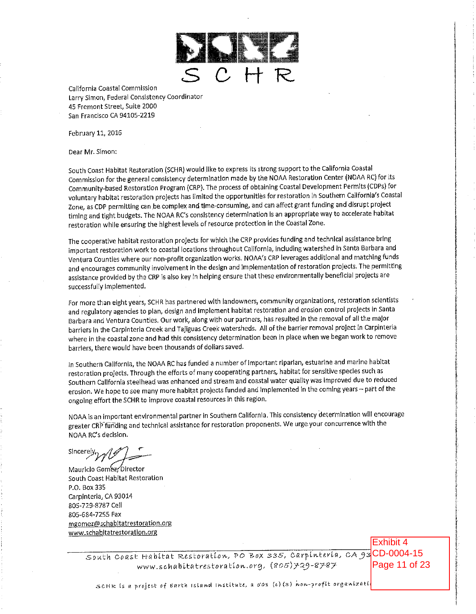

California Coastal Commission Larry Simon, Federal Consistency Coordinator 45 Fremont Street, Suite 2000 San Francisco CA 94105-2219

February 11, 2016

Dear Mr. Simon:

South Coast Habitat Restoration (SCHR) would like to express its strong support to the California Coastal Commission for the general consistency determination made by the NOAA Restoration Center (NOAA RC) for its Community-based Restoration Program (CRP). The process of obtaining Coastal Development Permits (CDPs) for voluntary habitat restoration projects has limited the opportunities for restoration in Southern California's Coastal Zone, as CDP permitting can be complex and time-consuming, and can affect grant funding and disrupt project timing and tight budgets. The NOAA RC's consistency determination is an appropriate way to accelerate habitat restoration while ensuring the highest levels of resource protection in the Coastal Zone.

The cooperative habitat restoration projects for which the CRP provides funding and technical assistance bring important restoration work to coastal locations throughout California, including watershed in Santa Barbara and Ventura Countles where our non-profit organization works. NOAA's CRP leverages additional and matching funds and encourages community involvement in the design and implementation of restoration projects. The permitting assistance provided by the CRP is also key in helping ensure that these environmentally beneficial projects are successfully implemented.

For more than eight years, SCHR has partnered with landowners, community organizations, restoration scientists and regulatory agencies to plan, design and implement habitat restoration and erosion control projects in Santa Barbara and Ventura Counties. Our work, along with our partners, has resulted in the removal of all the major barriers in the Carpinteria Creek and Tajiguas Creek watersheds. All of the barrier removal project in Carpinteria where in the coastal zone and had this consistency determination been in place when we began work to remove barriers, there would have been thousands of dollars saved.

In Southern California, the NOAA RC has funded a number of important riparian, estuarine and marine habitat restoration projects. Through the efforts of many cooperating partners, habitat for sensitive species such as Southern California steelhead was enhanced and stream and coastal water quality was improved due to reduced erosion. We hope to see many more habitat projects funded and implemented in the coming years - part of the ongoing effort the SCHR to improve coastal resources in this region.

NOAA is an important environmental partner in Southern California. This consistency determination will encourage greater CRP funding and technical assistance for restoration proponents. We urge your concurrence with the NOAA RC's decision.

Sincerei

Mauricio Gomez-Director South Coast Habitat Restoration P.O. Box 335 Carpinteria, CA 93014 805-729-8787 Cell 805-684-7255 Fax mgomez@schabitatrestoration.org www.schabitatrestoration.org

> South Coast Habitat Restoration, PO Box 335, Carpinteria, CA 93 CD-0004-15 www.schabitatrestoration.org, (805) 729-8787

Exhibit 4 Page 11 of 23

SCHR is a project of Earth Island Institute, a 501 (c)(3) non-profit organizati.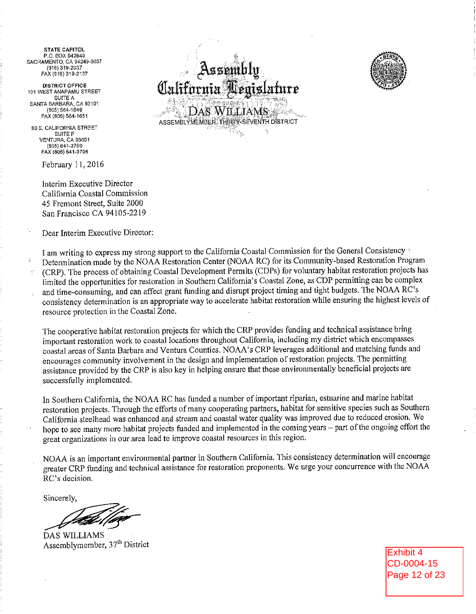**STATE CAPITOL** P.O. BOX 942849 SACRAMENTO, CA 94249-0037  $(916) 319 - 2037$ FAX (916) 319-2137

**DISTRICT OFFICE** 101 WEST ANAPAMU STREET SUITE A SANTA BARBARA, CA 93101  $(805) 564 - 1640$ FAX (805) 564-1651

89 S. CALIFORNIA STREET SUITE F VENTURA, CA 93001  $(805) 641 - 3700$ FAX (805) 641-3708

February 11, 2016

Interim Executive Director California Coastal Commission 45 Fremont Street, Suite 2000 San Francisco CA 94105-2219

Dear Interim Executive Director:





I am writing to express my strong support to the California Coastal Commission for the General Consistency Determination made by the NOAA Restoration Center (NOAA RC) for its Community-based Restoration Program (CRP). The process of obtaining Coastal Development Permits (CDPs) for voluntary habitat restoration projects has limited the opportunities for restoration in Southern California's Coastal Zone, as CDP permitting can be complex and time-consuming, and can affect grant funding and disrupt project timing and tight budgets. The NOAA RC's consistency determination is an appropriate way to accelerate habitat restoration while ensuring the highest levels of resource protection in the Coastal Zone.

The cooperative habitat restoration projects for which the CRP provides funding and technical assistance bring important restoration work to coastal locations throughout California, including my district which encompasses coastal areas of Santa Barbara and Ventura Counties. NOAA's CRP leverages additional and matching funds and encourages community involvement in the design and implementation of restoration projects. The permitting assistance provided by the CRP is also key in helping ensure that these environmentally beneficial projects are successfully implemented.

In Southern California, the NOAA RC has funded a number of important riparian, estuarine and marine habitat restoration projects. Through the efforts of many cooperating partners, habitat for sensitive species such as Southern California steelhead was enhanced and stream and coastal water quality was improved due to reduced erosion. We hope to see many more habitat projects funded and implemented in the coming years – part of the ongoing effort the great organizations in our area lead to improve coastal resources in this region.

NOAA is an important environmental partner in Southern California. This consistency determination will encourage greater CRP funding and technical assistance for restoration proponents. We urge your concurrence with the NOAA RC's decision.

Sincerely.

**DAS WILLIAMS** Assemblymember, 37<sup>th</sup> District

Exhibit 4 CD-0004-15 Page 12 of 23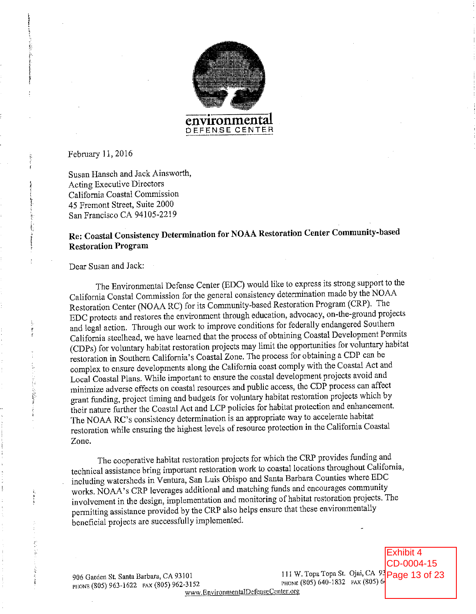

February 11, 2016

Susan Hansch and Jack Ainsworth, **Acting Executive Directors** California Coastal Commission 45 Fremont Street, Suite 2000 San Francisco CA 94105-2219

# Re: Coastal Consistency Determination for NOAA Restoration Center Community-based **Restoration Program**

Dear Susan and Jack:

The Environmental Defense Center (EDC) would like to express its strong support to the California Coastal Commission for the general consistency determination made by the NOAA Restoration Center (NOAA RC) for its Community-based Restoration Program (CRP). The EDC protects and restores the environment through education, advocacy, on-the-ground projects and legal action. Through our work to improve conditions for federally endangered Southern California steelhead, we have learned that the process of obtaining Coastal Development Permits (CDPs) for voluntary habitat restoration projects may limit the opportunities for voluntary habitat restoration in Southern California's Coastal Zone. The process for obtaining a CDP can be complex to ensure developments along the California coast comply with the Coastal Act and Local Coastal Plans. While important to ensure the coastal development projects avoid and minimize adverse effects on coastal resources and public access, the CDP process can affect grant funding, project timing and budgets for voluntary habitat restoration projects which by their nature further the Coastal Act and LCP policies for habitat protection and enhancement. The NOAA RC's consistency determination is an appropriate way to accelerate habitat restoration while ensuring the highest levels of resource protection in the California Coastal Zone.

The cooperative habitat restoration projects for which the CRP provides funding and technical assistance bring important restoration work to coastal locations throughout California, including watersheds in Ventura, San Luis Obispo and Santa Barbara Counties where EDC works. NOAA's CRP leverages additional and matching funds and encourages community involvement in the design, implementation and monitoring of habitat restoration projects. The permitting assistance provided by the CRP also helps ensure that these environmentally beneficial projects are successfully implemented.

906 Garden St. Santa Barbara, CA 93101 PHONE (805) 963-1622 FAX (805) 962-3152 www.EnvironmentalDefenseCenter.org

111 W. Topa Topa St. Ojai, CA 93 Page 13 of 23 PHONE (805) 640-1832 FAX (805) 64

Exhibit 4 CD-0004-15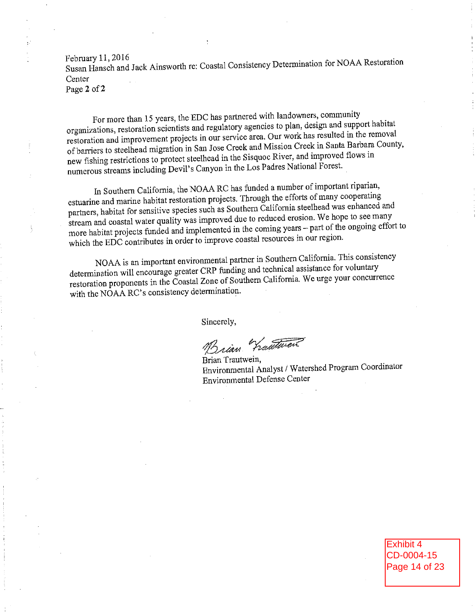February 11, 2016 Susan Hansch and Jack Ainsworth re: Coastal Consistency Determination for NOAA Restoration Center Page 2 of 2

For more than 15 years, the EDC has partnered with landowners, community organizations, restoration scientists and regulatory agencies to plan, design and support habitat restoration and improvement projects in our service area. Our work has resulted in the removal of barriers to steelhead migration in San Jose Creek and Mission Creek in Santa Barbara County, new fishing restrictions to protect steelhead in the Sisquoc River, and improved flows in numerous streams including Devil's Canyon in the Los Padres National Forest.

In Southern California, the NOAA RC has funded a number of important riparian, estuarine and marine habitat restoration projects. Through the efforts of many cooperating partners, habitat for sensitive species such as Southern California steelhead was enhanced and stream and coastal water quality was improved due to reduced erosion. We hope to see many more habitat projects funded and implemented in the coming years - part of the ongoing effort to which the EDC contributes in order to improve coastal resources in our region.

NOAA is an important environmental partner in Southern California. This consistency determination will encourage greater CRP funding and technical assistance for voluntary restoration proponents in the Coastal Zone of Southern California. We urge your concurrence with the NOAA RC's consistency determination.

Sincerely,

hautwer

Brian Trautwein. Environmental Analyst / Watershed Program Coordinator **Environmental Defense Center** 

> Exhibit 4 CD-0004-15 Page 14 of 23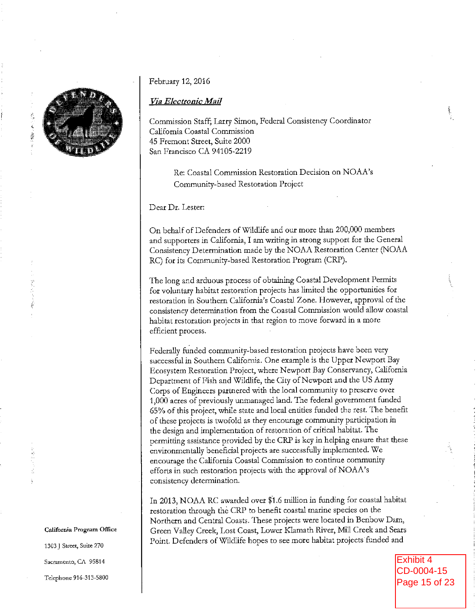

#### February 12, 2016

#### Via Electronic Mail

Commission Staff; Larry Simon, Federal Consistency Coordinator California Coastal Commission 45 Fremont Street, Suite 2000 San Francisco CA 94105-2219

> Re: Coastal Commission Restoration Decision on NOAA's Community-based Restoration Project

Dear Dr. Lester:

On behalf of Defenders of Wildlife and our more than 200,000 members and supporters in California, I am writing in strong support for the General Consistency Determination made by the NOAA Restoration Center (NOAA RC) for its Community-based Restoration Program (CRP).

The long and arduous process of obtaining Coastal Development Permits for voluntary habitat restoration projects has limited the opportunities for restoration in Southern California's Coastal Zone. However, approval of the consistency determination from the Coastal Commission would allow coastal habitat restoration projects in that region to move forward in a more efficient process.

Federally funded community-based restoration projects have been very successful in Southern California. One example is the Upper Newport Bay Ecosystem Restoration Project, where Newport Bay Conservancy, California Department of Fish and Wildlife, the City of Newport and the US Army Corps of Engineers partnered with the local community to preserve over 1,000 acres of previously unmanaged land. The federal government funded 65% of this project, while state and local entities funded the rest. The benefit of these projects is twofold as they encourage community participation in the design and implementation of restoration of critical habitat. The permitting assistance provided by the CRP is key in helping ensure that these environmentally beneficial projects are successfully implemented. We encourage the California Coastal Commission to continue community efforts in such restoration projects with the approval of NOAA's consistency determination.

In 2013, NOAA RC awarded over \$1.6 million in funding for coastal habitat restoration through the CRP to benefit coastal marine species on the Northern and Central Coasts. These projects were located in Benbow Dam, Green Valley Creek, Lost Coast, Lower Klamath River, Mill Creek and Sears Point. Defenders of Wildlife hopes to see more habitat projects funded and

> **Exhibit 4** CD-0004-15 Page 15 of 23

California Program Office

1303 J Street, Suite 270 Sacramento, CA 95814 Telephone 916-313-5800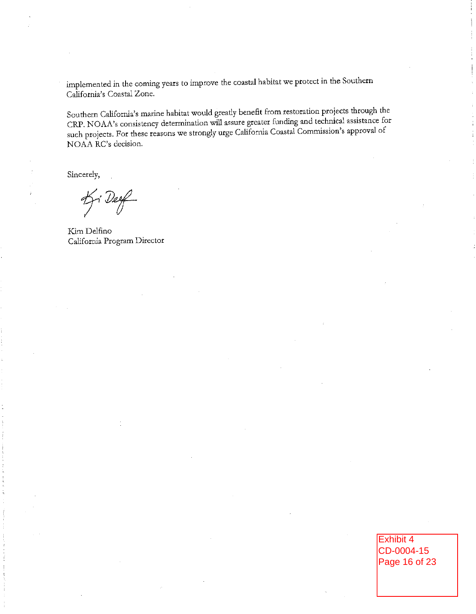implemented in the coming years to improve the coastal habitat we protect in the Southern California's Coastal Zone.

Southern California's marine habitat would greatly benefit from restoration projects through the CRP. NOAA's consistency determination will assure greater funding and technical assistance for such projects. For these reasons we strongly urge California Coastal Commission's approval of NOAA RC's decision.

Sincerely,

Ki Deef

Kim Delfino California Program Director

Exhibit 4 CD-0004-15 Page 16 of 23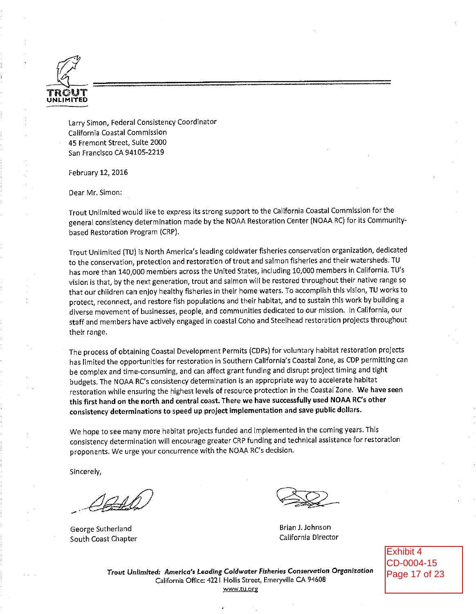

Larry Simon, Federal Consistency Coordinator California Coastal Commission 45 Fremont Street, Suite 2000 San Francisco CA 94105-2219

February 12, 2016

Dear Mr. Simon:

Trout Unlimited would like to express its strong support to the California Coastal Commission for the general consistency determination made by the NOAA Restoration Center (NOAA RC) for its Communitybased Restoration Program (CRP).

Trout Unlimited (TU) is North America's leading coldwater fisheries conservation organization, dedicated to the conservation, protection and restoration of trout and salmon fisheries and their watersheds. TU has more than 140,000 members across the United States, including 10,000 members in California. TU's vision is that, by the next generation, trout and salmon will be restored throughout their native range so that our children can enjoy healthy fisheries in their home waters. To accomplish this vision, TU works to protect, reconnect, and restore fish populations and their habitat, and to sustain this work by building a diverse movement of businesses, people, and communities dedicated to our mission. In California, our staff and members have actively engaged in coastal Coho and Steelhead restoration projects throughout their range.

The process of obtaining Coastal Development Permits (CDPs) for voluntary habitat restoration projects has limited the opportunities for restoration in Southern California's Coastal Zone, as CDP permitting can be complex and time-consuming, and can affect grant funding and disrupt project timing and tight budgets. The NOAA RC's consistency determination is an appropriate way to accelerate habitat restoration while ensuring the highest levels of resource protection in the Coasta! Zone. We have seen this first hand on the north and central coast. There we have successfully used NOAA RC's other consistency determinations to speed up project implementation and save public dollars.

We hope to see many more habitat projects funded and implemented in the coming years. This consistency determination will encourage greater CRP funding and technical assistance for restoration proponents. We urge your concurrence with the NOAA RC's decision.

Sincerely,

George Sutherland South Coast Chapter

Brian J. Johnson California Director

Exhibit 4 CD-0004-15 Page 17 of 23

Trout Unlimited: America's Leading Coldwater Fisheries Conservation Organization California Office: 4221 Hollis Street, Emeryville CA 94608 www.tu.org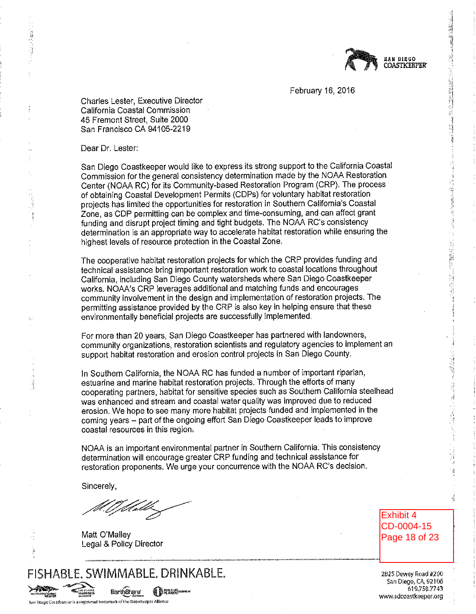

February 16, 2016

Charles Lester, Executive Director California Coastal Commission 45 Fremont Street, Suite 2000 San Francisco CA 94105-2219

Dear Dr. Lester:

San Diego Coastkeeper would like to express its strong support to the California Coastal Commission for the general consistency determination made by the NOAA Restoration Center (NOAA RC) for its Community-based Restoration Program (CRP). The process of obtaining Coastal Development Permits (CDPs) for voluntary habitat restoration projects has limited the opportunities for restoration in Southern California's Coastal Zone, as CDP permitting can be complex and time-consuming, and can affect grant funding and disrupt project timing and tight budgets. The NOAA RC's consistency determination is an appropriate way to accelerate habitat restoration while ensuring the highest levels of resource protection in the Coastal Zone.

The cooperative habitat restoration projects for which the CRP provides funding and technical assistance bring important restoration work to coastal locations throughout California, including San Diego County watersheds where San Diego Coastkeeper works. NOAA's CRP leverages additional and matching funds and encourages community involvement in the design and implementation of restoration projects. The permitting assistance provided by the CRP is also key in helping ensure that these environmentally beneficial projects are successfully implemented.

For more than 20 years, San Diego Coastkeeper has partnered with landowners, community organizations, restoration scientists and regulatory agencies to implement an support habitat restoration and erosion control projects in San Diego County.

In Southern California, the NOAA RC has funded a number of important riparian, estuarine and marine habitat restoration projects. Through the efforts of many cooperating partners, habitat for sensitive species such as Southern California steelhead was enhanced and stream and coastal water quality was improved due to reduced erosion. We hope to see many more habitat projects funded and implemented in the coming years - part of the ongoing effort San Diego Coastkeeper leads to improve coastal resources in this region.

NOAA is an important environmental partner in Southern California. This consistency determination will encourage greater CRP funding and technical assistance for restoration proponents. We urge your concurrence with the NOAA RC's decision.

Sincerely,

an Diago Coastkaasveris a registered trademark of the Waterkooper Alliance

**SPACIFICATE** 

Matt O'Malley Legal & Policy Director

Exhibit 4 CD-0004-15 Page 18 of 23 1月26日 朝史

2825 Dewey Road #200 San Diego, CA, 92106 619,758.7743 www.sdcoastkeeper.org

FISHABLE, SWIMMABLE, DRINKABLE, Earth Shuro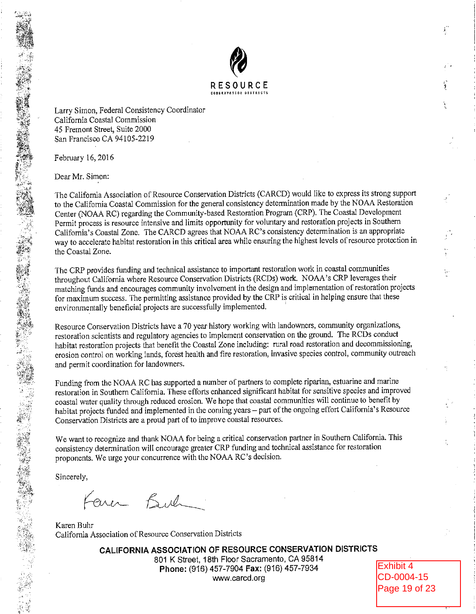

Larry Simon, Federal Consistency Coordinator California Coastal Commission 45 Fremont Street, Suite 2000 San Francisco CA 94105-2219

February 16, 2016

Dear Mr. Simon:

The California Association of Resource Conservation Districts (CARCD) would like to express its strong support to the California Coastal Commission for the general consistency determination made by the NOAA Restoration Center (NOAA RC) regarding the Community-based Restoration Program (CRP). The Coastal Development Permit process is resource intensive and limits opportunity for voluntary and restoration projects in Southern California's Coastal Zone. The CARCD agrees that NOAA RC's consistency determination is an appropriate way to accelerate habitat restoration in this critical area while ensuring the highest levels of resource protection in the Coastal Zone.

The CRP provides funding and technical assistance to important restoration work in coastal communities throughout California where Resource Conservation Districts (RCDs) work. NOAA's CRP leverages their matching funds and encourages community involvement in the design and implementation of restoration projects for maximum success. The permitting assistance provided by the CRP is critical in helping ensure that these environmentally beneficial projects are successfully implemented.

Resource Conservation Districts have a 70 year history working with landowners, community organizations, restoration scientists and regulatory agencies to implement conservation on the ground. The RCDs conduct habitat restoration projects that benefit the Coastal Zone including: rural road restoration and decommissioning, erosion control on working lands, forest health and fire restoration, invasive species control, community outreach and permit coordination for landowners.

Funding from the NOAA RC has supported a number of partners to complete riparian, estuarine and marine restoration in Southern California. These efforts enhanced significant habitat for sensitive species and improved coastal water quality through reduced erosion. We hope that coastal communities will continue to benefit by habitat projects funded and implemented in the coming years - part of the ongoing effort California's Resource Conservation Districts are a proud part of to improve coastal resources.

We want to recognize and thank NOAA for being a critical conservation partner in Southern California. This consistency determination will encourage greater CRP funding and technical assistance for restoration proponents. We urge your concurrence with the NOAA RC's decision.

Sincerely,

Fener Buch

Karen Buhr California Association of Resource Conservation Districts

> CALIFORNIA ASSOCIATION OF RESOURCE CONSERVATION DISTRICTS 801 K Street, 18th Floor Sacramento, CA 95814 Phone: (916) 457-7904 Fax: (916) 457-7934 www.carcd.org

Exhibit 4 CD-0004-15 Page 19 of 23 ï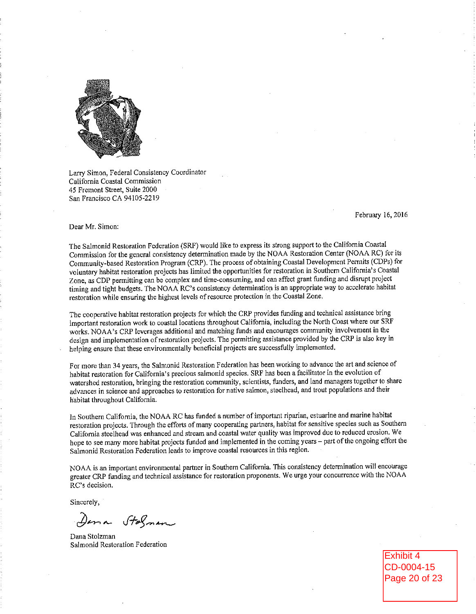

Larry Simon, Federal Consistency Coordinator California Coastal Commission 45 Fremont Street, Suite 2000 San Francisco CA 94105-2219

February 16, 2016

Dear Mr. Simon:

The Salmonid Restoration Federation (SRF) would like to express its strong support to the California Coastal Commission for the general consistency determination made by the NOAA Restoration Center (NOAA RC) for its Community-based Restoration Program (CRP). The process of obtaining Coastal Development Permits (CDPs) for voluntary habitat restoration projects has limited the opportunities for restoration in Southern California's Coastal Zone, as CDP permitting can be complex and time-consuming, and can affect grant funding and disrupt project timing and tight budgets. The NOAA RC's consistency determination is an appropriate way to accelerate habitat restoration while ensuring the highest levels of resource protection in the Coastal Zone.

The cooperative habitat restoration projects for which the CRP provides funding and technical assistance bring important restoration work to coastal locations throughout California, including the North Coast where our SRF works. NOAA's CRP leverages additional and matching funds and encourages community involvement in the design and implementation of restoration projects. The permitting assistance provided by the CRP is also key in helping ensure that these environmentally beneficial projects are successfully implemented.

For more than 34 years, the Salmonid Restoration Federation has been working to advance the art and science of habitat restoration for California's precious salmonid species. SRF has been a facilitator in the evolution of watershed restoration, bringing the restoration community, scientists, funders, and land managers together to share advances in science and approaches to restoration for native salmon, steelhead, and trout populations and their habitat throughout California.

In Southern California, the NOAA RC has funded a number of important riparian, estuarine and marine habitat restoration projects. Through the efforts of many cooperating partners, habitat for sensitive species such as Southern California steelhead was enhanced and stream and coastal water quality was improved due to reduced erosion. We hope to see many more habitat projects funded and implemented in the coming years - part of the ongoing effort the Salmonid Restoration Federation leads to improve coastal resources in this region.

NOAA is an important environmental partner in Southern California. This consistency determination will encourage greater CRP funding and technical assistance for restoration proponents. We urge your concurrence with the NOAA RC's decision.

Sincerely,

Dena Stalman

Dana Stolzman Salmonid Restoration Federation

Exhibit 4 CD-0004-15 Page 20 of 23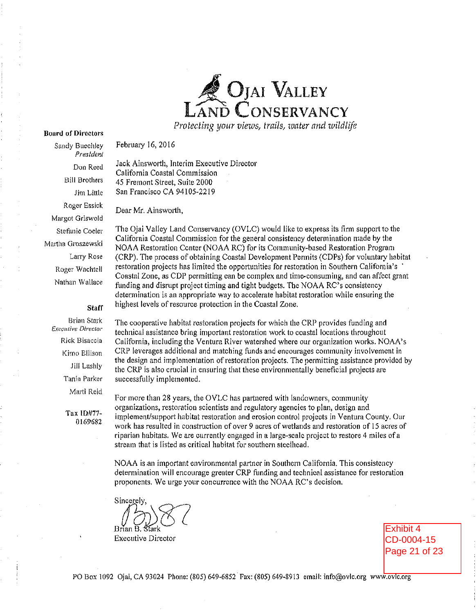

Protecting your views, trails, water and wildlife

## **Board of Directors** Sandy Buechley

President

Don Reed

February 16, 2016

Jack Ainsworth, Interim Executive Director California Coastal Commission 45 Fremont Street, Suite 2000 San Francisco CA 94105-2219

**Bill Brothers** Jim Little Roger Essick Margot Griswold Stefanje Coeler Martha Groszewski **Larry Rose** Roger Wachtell Nathan Wallace

## Staff

**Brian Stark Executive Director** Rick Bisaccia Kimo Ellison Jill Lashly Tania Parker Marti Reid

> Tax ID#77-0169682

Dear Mr. Ainsworth,

The Ojai Valley Land Conservancy (OVLC) would like to express its firm support to the California Coastal Commission for the general consistency determination made by the NOAA Restoration Center (NOAA RC) for its Community-based Restoration Program (CRP). The process of obtaining Coastal Development Permits (CDPs) for voluntary habitat restoration projects has limited the opportunities for restoration in Southern California's Coastal Zone, as CDP permitting can be complex and time-consuming, and can affect grant funding and disrupt project timing and tight budgets. The NOAA RC's consistency determination is an appropriate way to accelerate habitat restoration while ensuring the highest levels of resource protection in the Coastal Zone.

The cooperative habitat restoration projects for which the CRP provides funding and technical assistance bring important restoration work to coastal locations throughout California, including the Ventura River watershed where our organization works. NOAA's CRP leverages additional and matching funds and encourages community involvement in the design and implementation of restoration projects. The permitting assistance provided by the CRP is also crucial in ensuring that these environmentally beneficial projects are successfully implemented.

For more than 28 years, the OVLC has partnered with landowners, community organizations, restoration scientists and regulatory agencies to plan, design and implement/support habitat restoration and erosion control projects in Ventura County, Our work has resulted in construction of over 9 acres of wetlands and restoration of 15 acres of riparian habitats. We are currently engaged in a large-scale project to restore 4 miles of a stream that is listed as critical habitat for southern steelhead.

NOAA is an important environmental partner in Southern California. This consistency determination will encourage greater CRP funding and technical assistance for restoration proponents. We urge your concurrence with the NOAA RC's decision.

Sincerel Brian B. **Executive Director** 

Exhibit 4 CD-0004-15 Page 21 of 23

PO Box 1092 Ojai, CA 93024 Phone: (805) 649-6852 Fax: (805) 649-8913 email: info@ovlc.org www.ovlc.org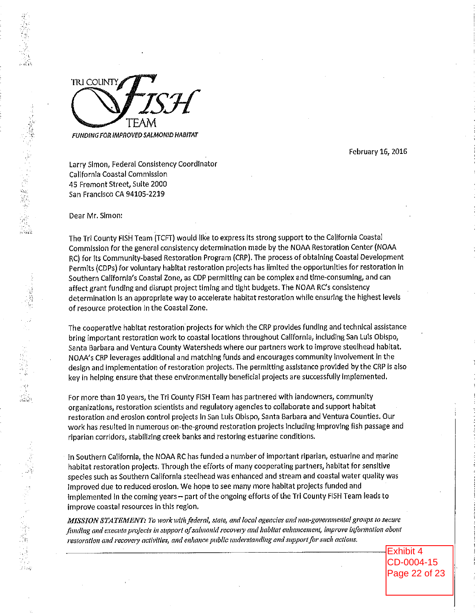

February 16, 2016

Larry Simon, Federal Consistency Coordinator California Coastal Commission 45 Fremont Street, Suite 2000 San Francisco CA 94105-2219

Dear Mr. Simon:

The Tri County FISH Team (TCFT) would like to express its strong support to the California Coastal Commission for the general consistency determination made by the NOAA Restoration Center (NOAA RC) for its Community-based Restoration Program (CRP). The process of obtaining Coastal Development Permits (CDPs) for voluntary habitat restoration projects has limited the opportunities for restoration in Southern California's Coastal Zone, as CDP permitting can be complex and time-consuming, and can affect grant funding and disrupt project timing and tight budgets. The NOAA RC's consistency determination is an appropriate way to accelerate habitat restoration while ensuring the highest levels of resource protection in the Coastal Zone.

The cooperative habitat restoration projects for which the CRP provides funding and technical assistance bring important restoration work to coastal locations throughout California, including San Luis Obispo, Santa Barbara and Ventura County Watersheds where our partners work to improve steelhead habitat. NOAA's CRP leverages additional and matching funds and encourages community involvement in the design and implementation of restoration projects. The permitting assistance provided by the CRP is also key in helping ensure that these environmentally beneficial projects are successfully implemented.

For more than 10 years, the Tri County FISH Team has partnered with landowners, community organizations, restoration scientists and regulatory agencies to collaborate and support habitat restoration and erosion control projects in San Luis Obispo, Santa Barbara and Ventura Counties. Our work has resulted in numerous on-the-ground restoration projects including improving fish passage and riparian corridors, stabilizing creek banks and restoring estuarine conditions.

In Southern California, the NOAA RC has funded a number of important riparian, estuarine and marine habitat restoration projects. Through the efforts of many cooperating partners, habitat for sensitive species such as Southern California steelhead was enhanced and stream and coastal water quality was Improved due to reduced erosion. We hope to see many more habitat projects funded and implemented in the coming years - part of the ongoing efforts of the Tri County FISH Team leads to improve coastal resources in this region.

MISSION STATEMENT: To work with federal, state, and local agencies and non-governmental groups to secure funding and execute projects in support of salmonid recovery and habitat enhancement, improve information about restoration and recovery activities, and enhance public understanding and support for such actions.

> **Exhibit 4** CD-0004-15 Page 22 of 23